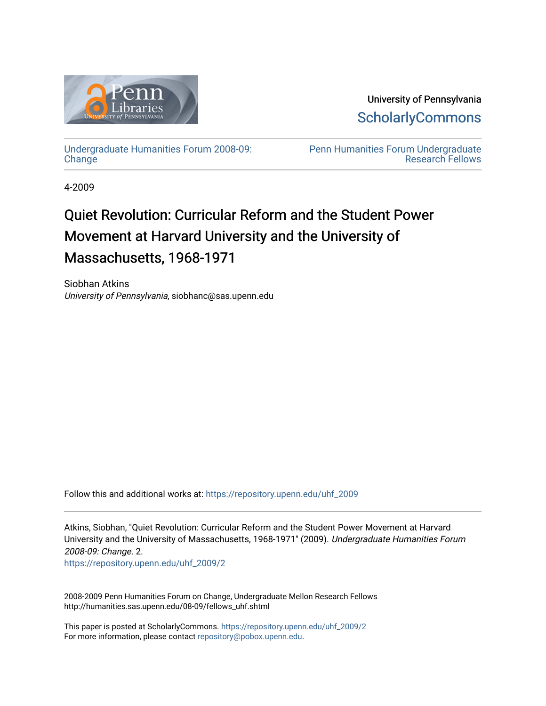

University of Pennsylvania **ScholarlyCommons** 

[Undergraduate Humanities Forum 2008-09:](https://repository.upenn.edu/uhf_2009)  **[Change](https://repository.upenn.edu/uhf_2009)** 

[Penn Humanities Forum Undergraduate](https://repository.upenn.edu/uhf_fellows)  [Research Fellows](https://repository.upenn.edu/uhf_fellows) 

4-2009

# Quiet Revolution: Curricular Reform and the Student Power Movement at Harvard University and the University of Massachusetts, 1968-1971

Siobhan Atkins University of Pennsylvania, siobhanc@sas.upenn.edu

Follow this and additional works at: [https://repository.upenn.edu/uhf\\_2009](https://repository.upenn.edu/uhf_2009?utm_source=repository.upenn.edu%2Fuhf_2009%2F2&utm_medium=PDF&utm_campaign=PDFCoverPages) 

Atkins, Siobhan, "Quiet Revolution: Curricular Reform and the Student Power Movement at Harvard University and the University of Massachusetts, 1968-1971" (2009). Undergraduate Humanities Forum 2008-09: Change. 2.

[https://repository.upenn.edu/uhf\\_2009/2](https://repository.upenn.edu/uhf_2009/2?utm_source=repository.upenn.edu%2Fuhf_2009%2F2&utm_medium=PDF&utm_campaign=PDFCoverPages) 

2008-2009 Penn Humanities Forum on Change, Undergraduate Mellon Research Fellows http://humanities.sas.upenn.edu/08-09/fellows\_uhf.shtml

This paper is posted at ScholarlyCommons. [https://repository.upenn.edu/uhf\\_2009/2](https://repository.upenn.edu/uhf_2009/2)  For more information, please contact [repository@pobox.upenn.edu.](mailto:repository@pobox.upenn.edu)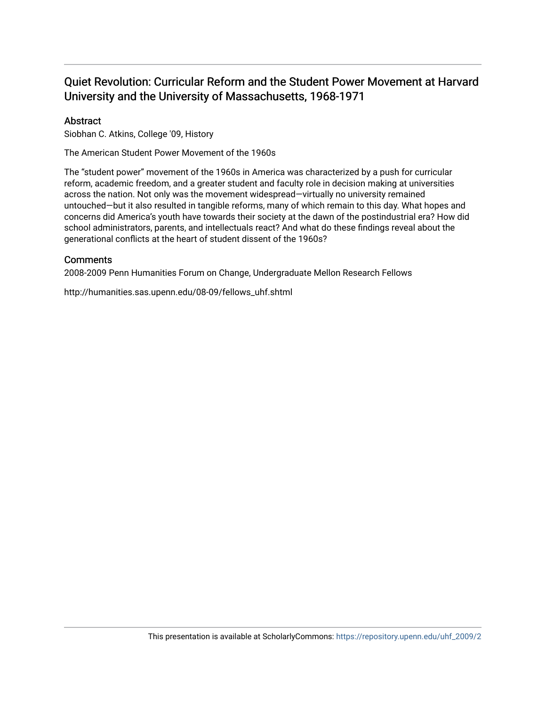#### Quiet Revolution: Curricular Reform and the Student Power Movement at Harvard University and the University of Massachusetts, 1968-1971

#### Abstract

Siobhan C. Atkins, College '09, History

The American Student Power Movement of the 1960s

The "student power" movement of the 1960s in America was characterized by a push for curricular reform, academic freedom, and a greater student and faculty role in decision making at universities across the nation. Not only was the movement widespread—virtually no university remained untouched—but it also resulted in tangible reforms, many of which remain to this day. What hopes and concerns did America's youth have towards their society at the dawn of the postindustrial era? How did school administrators, parents, and intellectuals react? And what do these findings reveal about the generational conflicts at the heart of student dissent of the 1960s?

#### **Comments**

2008-2009 Penn Humanities Forum on Change, Undergraduate Mellon Research Fellows

http://humanities.sas.upenn.edu/08-09/fellows\_uhf.shtml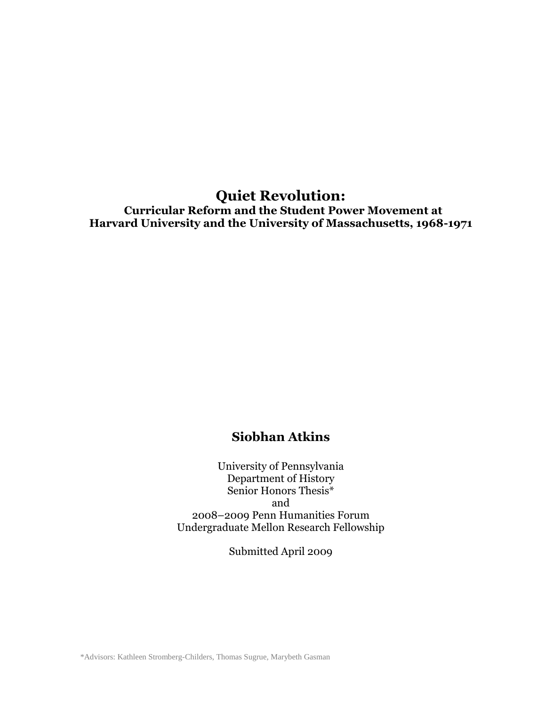**Quiet Revolution: Curricular Reform and the Student Power Movement at Harvard University and the University of Massachusetts, 1968-1971**

### **Siobhan Atkins**

University of Pennsylvania Department of History Senior Honors Thesis\* and 2008–2009 Penn Humanities Forum Undergraduate Mellon Research Fellowship

Submitted April 2009

\*Advisors: Kathleen Stromberg-Childers, Thomas Sugrue, Marybeth Gasman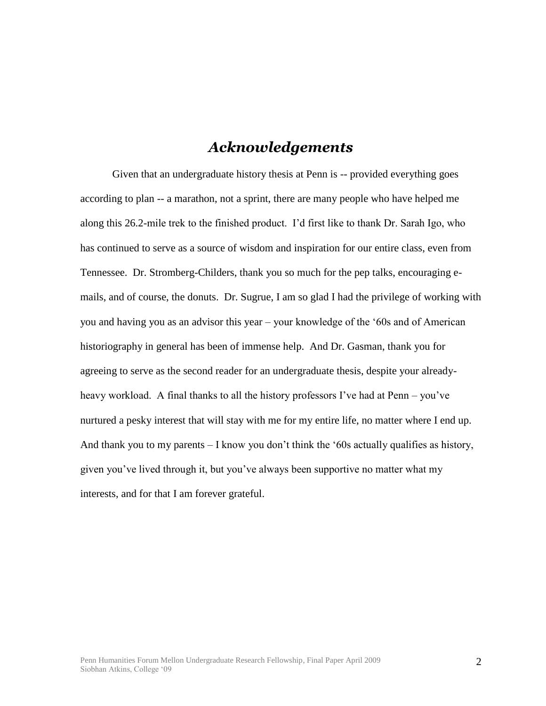### *Acknowledgements*

Given that an undergraduate history thesis at Penn is -- provided everything goes according to plan -- a marathon, not a sprint, there are many people who have helped me along this 26.2-mile trek to the finished product. I"d first like to thank Dr. Sarah Igo, who has continued to serve as a source of wisdom and inspiration for our entire class, even from Tennessee. Dr. Stromberg-Childers, thank you so much for the pep talks, encouraging emails, and of course, the donuts. Dr. Sugrue, I am so glad I had the privilege of working with you and having you as an advisor this year – your knowledge of the "60s and of American historiography in general has been of immense help. And Dr. Gasman, thank you for agreeing to serve as the second reader for an undergraduate thesis, despite your alreadyheavy workload. A final thanks to all the history professors I've had at Penn – you've nurtured a pesky interest that will stay with me for my entire life, no matter where I end up. And thank you to my parents  $-1$  know you don't think the '60s actually qualifies as history, given you've lived through it, but you've always been supportive no matter what my interests, and for that I am forever grateful.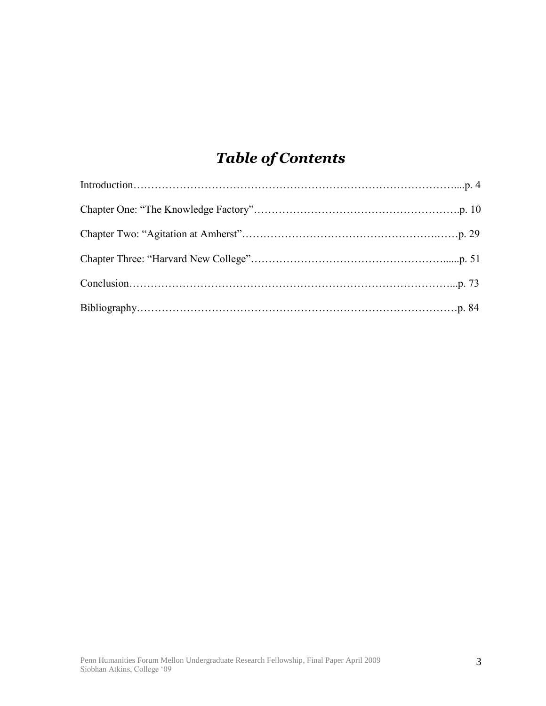# *Table of Contents*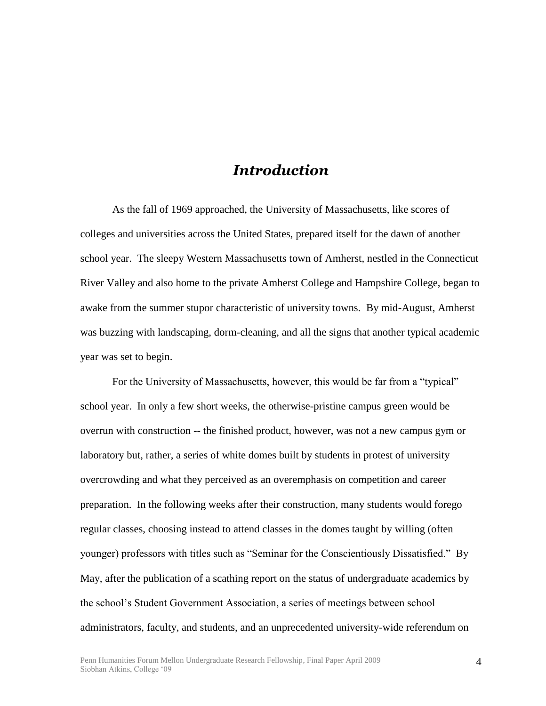#### *Introduction*

As the fall of 1969 approached, the University of Massachusetts, like scores of colleges and universities across the United States, prepared itself for the dawn of another school year. The sleepy Western Massachusetts town of Amherst, nestled in the Connecticut River Valley and also home to the private Amherst College and Hampshire College, began to awake from the summer stupor characteristic of university towns. By mid-August, Amherst was buzzing with landscaping, dorm-cleaning, and all the signs that another typical academic year was set to begin.

For the University of Massachusetts, however, this would be far from a "typical" school year. In only a few short weeks, the otherwise-pristine campus green would be overrun with construction -- the finished product, however, was not a new campus gym or laboratory but, rather, a series of white domes built by students in protest of university overcrowding and what they perceived as an overemphasis on competition and career preparation. In the following weeks after their construction, many students would forego regular classes, choosing instead to attend classes in the domes taught by willing (often younger) professors with titles such as "Seminar for the Conscientiously Dissatisfied." By May, after the publication of a scathing report on the status of undergraduate academics by the school"s Student Government Association, a series of meetings between school administrators, faculty, and students, and an unprecedented university-wide referendum on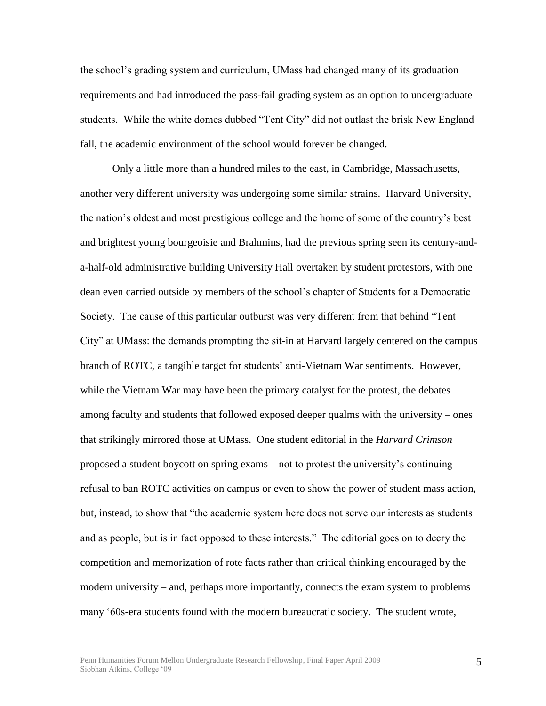the school"s grading system and curriculum, UMass had changed many of its graduation requirements and had introduced the pass-fail grading system as an option to undergraduate students. While the white domes dubbed "Tent City" did not outlast the brisk New England fall, the academic environment of the school would forever be changed.

Only a little more than a hundred miles to the east, in Cambridge, Massachusetts, another very different university was undergoing some similar strains. Harvard University, the nation"s oldest and most prestigious college and the home of some of the country"s best and brightest young bourgeoisie and Brahmins, had the previous spring seen its century-anda-half-old administrative building University Hall overtaken by student protestors, with one dean even carried outside by members of the school"s chapter of Students for a Democratic Society. The cause of this particular outburst was very different from that behind "Tent City" at UMass: the demands prompting the sit-in at Harvard largely centered on the campus branch of ROTC, a tangible target for students' anti-Vietnam War sentiments. However, while the Vietnam War may have been the primary catalyst for the protest, the debates among faculty and students that followed exposed deeper qualms with the university – ones that strikingly mirrored those at UMass. One student editorial in the *Harvard Crimson*  proposed a student boycott on spring exams – not to protest the university"s continuing refusal to ban ROTC activities on campus or even to show the power of student mass action, but, instead, to show that "the academic system here does not serve our interests as students and as people, but is in fact opposed to these interests." The editorial goes on to decry the competition and memorization of rote facts rather than critical thinking encouraged by the modern university – and, perhaps more importantly, connects the exam system to problems many "60s-era students found with the modern bureaucratic society. The student wrote,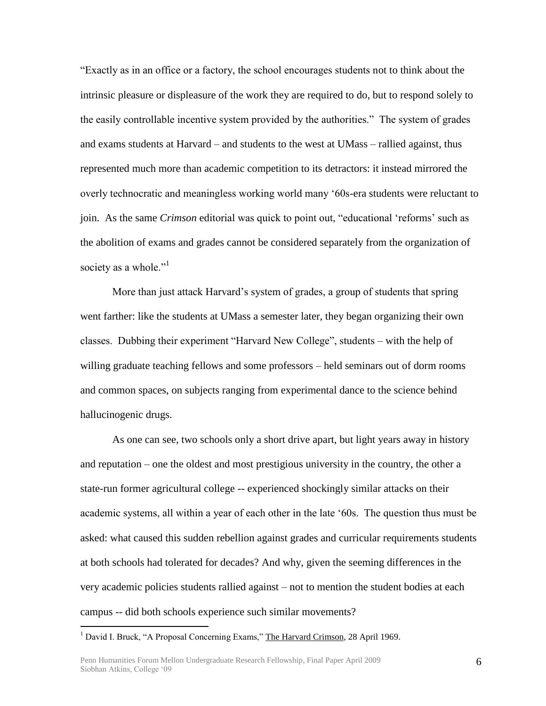"Exactly as in an office or a factory, the school encourages students not to think about the intrinsic pleasure or displeasure of the work they are required to do, but to respond solely to the easily controllable incentive system provided by the authorities." The system of grades and exams students at Harvard – and students to the west at UMass – rallied against, thus represented much more than academic competition to its detractors: it instead mirrored the overly technocratic and meaningless working world many "60s-era students were reluctant to join. As the same *Crimson* editorial was quick to point out, "educational "reforms" such as the abolition of exams and grades cannot be considered separately from the organization of society as a whole."<sup>1</sup>

More than just attack Harvard"s system of grades, a group of students that spring went farther: like the students at UMass a semester later, they began organizing their own classes. Dubbing their experiment "Harvard New College", students – with the help of willing graduate teaching fellows and some professors – held seminars out of dorm rooms and common spaces, on subjects ranging from experimental dance to the science behind hallucinogenic drugs.

As one can see, two schools only a short drive apart, but light years away in history and reputation – one the oldest and most prestigious university in the country, the other a state-run former agricultural college -- experienced shockingly similar attacks on their academic systems, all within a year of each other in the late "60s. The question thus must be asked: what caused this sudden rebellion against grades and curricular requirements students at both schools had tolerated for decades? And why, given the seeming differences in the very academic policies students rallied against – not to mention the student bodies at each campus -- did both schools experience such similar movements?

<sup>&</sup>lt;sup>1</sup> David I. Bruck, "A Proposal Concerning Exams," The Harvard Crimson, 28 April 1969.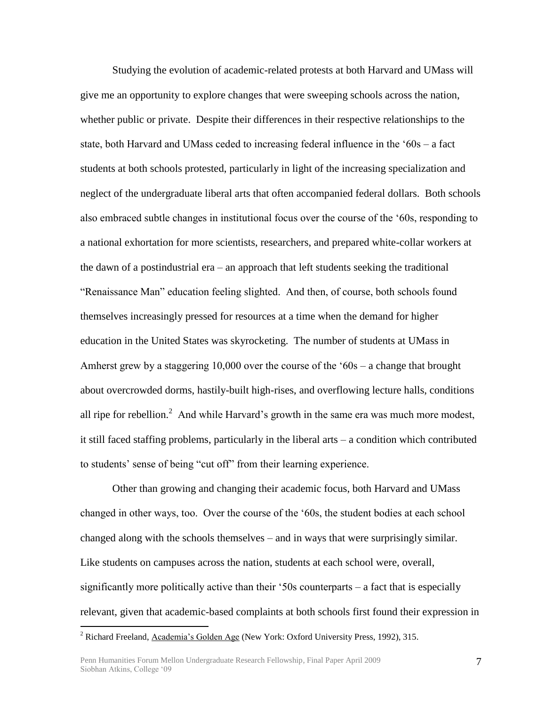Studying the evolution of academic-related protests at both Harvard and UMass will give me an opportunity to explore changes that were sweeping schools across the nation, whether public or private. Despite their differences in their respective relationships to the state, both Harvard and UMass ceded to increasing federal influence in the "60s – a fact students at both schools protested, particularly in light of the increasing specialization and neglect of the undergraduate liberal arts that often accompanied federal dollars. Both schools also embraced subtle changes in institutional focus over the course of the "60s, responding to a national exhortation for more scientists, researchers, and prepared white-collar workers at the dawn of a postindustrial era – an approach that left students seeking the traditional "Renaissance Man" education feeling slighted. And then, of course, both schools found themselves increasingly pressed for resources at a time when the demand for higher education in the United States was skyrocketing. The number of students at UMass in Amherst grew by a staggering 10,000 over the course of the "60s – a change that brought about overcrowded dorms, hastily-built high-rises, and overflowing lecture halls, conditions all ripe for rebellion.<sup>2</sup> And while Harvard's growth in the same era was much more modest, it still faced staffing problems, particularly in the liberal arts – a condition which contributed to students" sense of being "cut off" from their learning experience.

Other than growing and changing their academic focus, both Harvard and UMass changed in other ways, too. Over the course of the "60s, the student bodies at each school changed along with the schools themselves – and in ways that were surprisingly similar. Like students on campuses across the nation, students at each school were, overall, significantly more politically active than their "50s counterparts – a fact that is especially relevant, given that academic-based complaints at both schools first found their expression in

<sup>&</sup>lt;sup>2</sup> Richard Freeland, Academia's Golden Age (New York: Oxford University Press, 1992), 315.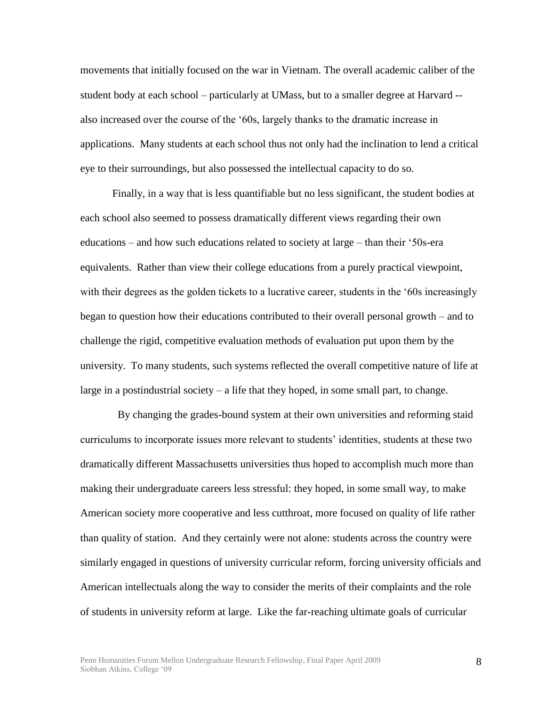movements that initially focused on the war in Vietnam. The overall academic caliber of the student body at each school – particularly at UMass, but to a smaller degree at Harvard - also increased over the course of the "60s, largely thanks to the dramatic increase in applications. Many students at each school thus not only had the inclination to lend a critical eye to their surroundings, but also possessed the intellectual capacity to do so.

Finally, in a way that is less quantifiable but no less significant, the student bodies at each school also seemed to possess dramatically different views regarding their own educations – and how such educations related to society at large – than their "50s-era equivalents. Rather than view their college educations from a purely practical viewpoint, with their degrees as the golden tickets to a lucrative career, students in the "60s increasingly began to question how their educations contributed to their overall personal growth – and to challenge the rigid, competitive evaluation methods of evaluation put upon them by the university. To many students, such systems reflected the overall competitive nature of life at large in a postindustrial society – a life that they hoped, in some small part, to change.

 By changing the grades-bound system at their own universities and reforming staid curriculums to incorporate issues more relevant to students" identities, students at these two dramatically different Massachusetts universities thus hoped to accomplish much more than making their undergraduate careers less stressful: they hoped, in some small way, to make American society more cooperative and less cutthroat, more focused on quality of life rather than quality of station. And they certainly were not alone: students across the country were similarly engaged in questions of university curricular reform, forcing university officials and American intellectuals along the way to consider the merits of their complaints and the role of students in university reform at large. Like the far-reaching ultimate goals of curricular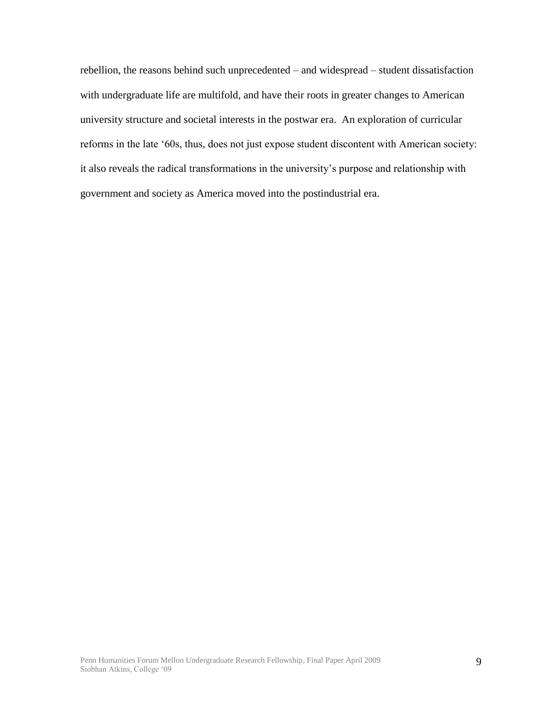rebellion, the reasons behind such unprecedented – and widespread – student dissatisfaction with undergraduate life are multifold, and have their roots in greater changes to American university structure and societal interests in the postwar era. An exploration of curricular reforms in the late "60s, thus, does not just expose student discontent with American society: it also reveals the radical transformations in the university"s purpose and relationship with government and society as America moved into the postindustrial era.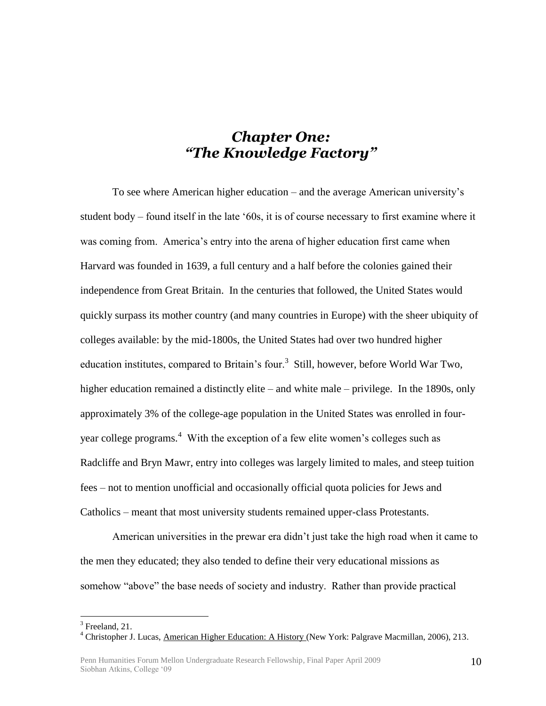## *Chapter One: "The Knowledge Factory"*

To see where American higher education – and the average American university"s student body – found itself in the late "60s, it is of course necessary to first examine where it was coming from. America's entry into the arena of higher education first came when Harvard was founded in 1639, a full century and a half before the colonies gained their independence from Great Britain. In the centuries that followed, the United States would quickly surpass its mother country (and many countries in Europe) with the sheer ubiquity of colleges available: by the mid-1800s, the United States had over two hundred higher education institutes, compared to Britain's four.<sup>3</sup> Still, however, before World War Two, higher education remained a distinctly elite – and white male – privilege. In the 1890s, only approximately 3% of the college-age population in the United States was enrolled in fouryear college programs.<sup>4</sup> With the exception of a few elite women's colleges such as Radcliffe and Bryn Mawr, entry into colleges was largely limited to males, and steep tuition fees – not to mention unofficial and occasionally official quota policies for Jews and Catholics – meant that most university students remained upper-class Protestants.

American universities in the prewar era didn"t just take the high road when it came to the men they educated; they also tended to define their very educational missions as somehow "above" the base needs of society and industry. Rather than provide practical

 $3$  Freeland, 21.

<sup>&</sup>lt;sup>4</sup> Christopher J. Lucas, American Higher Education: A History (New York: Palgrave Macmillan, 2006), 213.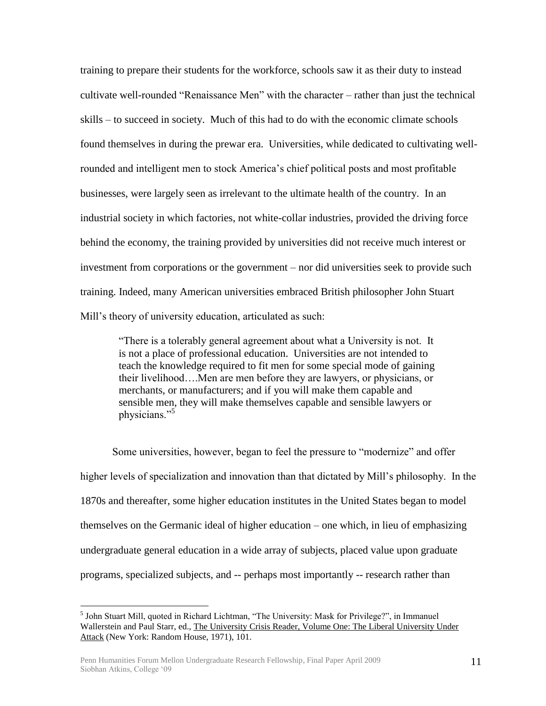training to prepare their students for the workforce, schools saw it as their duty to instead cultivate well-rounded "Renaissance Men" with the character – rather than just the technical skills – to succeed in society. Much of this had to do with the economic climate schools found themselves in during the prewar era. Universities, while dedicated to cultivating wellrounded and intelligent men to stock America"s chief political posts and most profitable businesses, were largely seen as irrelevant to the ultimate health of the country. In an industrial society in which factories, not white-collar industries, provided the driving force behind the economy, the training provided by universities did not receive much interest or investment from corporations or the government – nor did universities seek to provide such training. Indeed, many American universities embraced British philosopher John Stuart Mill"s theory of university education, articulated as such:

"There is a tolerably general agreement about what a University is not. It is not a place of professional education. Universities are not intended to teach the knowledge required to fit men for some special mode of gaining their livelihood….Men are men before they are lawyers, or physicians, or merchants, or manufacturers; and if you will make them capable and sensible men, they will make themselves capable and sensible lawyers or physicians."<sup>5</sup>

Some universities, however, began to feel the pressure to "modernize" and offer higher levels of specialization and innovation than that dictated by Mill"s philosophy. In the 1870s and thereafter, some higher education institutes in the United States began to model themselves on the Germanic ideal of higher education – one which, in lieu of emphasizing undergraduate general education in a wide array of subjects, placed value upon graduate programs, specialized subjects, and -- perhaps most importantly -- research rather than

<sup>&</sup>lt;sup>5</sup> John Stuart Mill, quoted in Richard Lichtman, "The University: Mask for Privilege?", in Immanuel Wallerstein and Paul Starr, ed., The University Crisis Reader, Volume One: The Liberal University Under Attack (New York: Random House, 1971), 101.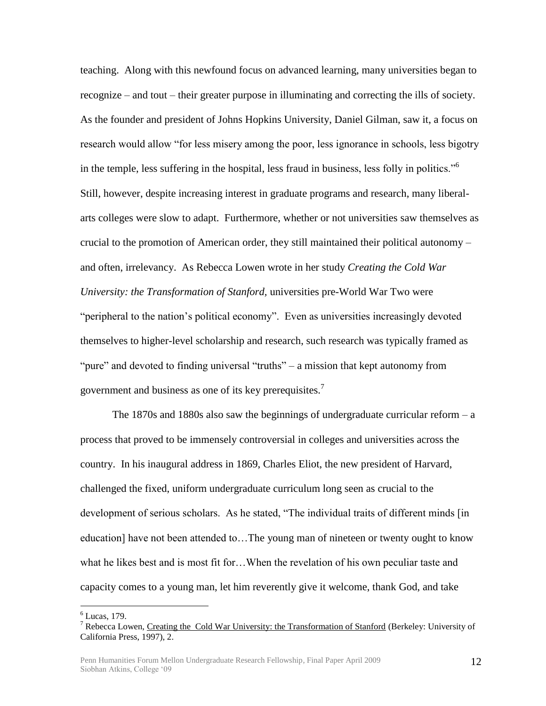teaching. Along with this newfound focus on advanced learning, many universities began to recognize – and tout – their greater purpose in illuminating and correcting the ills of society. As the founder and president of Johns Hopkins University, Daniel Gilman, saw it, a focus on research would allow "for less misery among the poor, less ignorance in schools, less bigotry in the temple, less suffering in the hospital, less fraud in business, less folly in politics."<sup>6</sup> Still, however, despite increasing interest in graduate programs and research, many liberalarts colleges were slow to adapt. Furthermore, whether or not universities saw themselves as crucial to the promotion of American order, they still maintained their political autonomy – and often, irrelevancy. As Rebecca Lowen wrote in her study *Creating the Cold War University: the Transformation of Stanford,* universities pre-World War Two were "peripheral to the nation"s political economy". Even as universities increasingly devoted themselves to higher-level scholarship and research, such research was typically framed as "pure" and devoted to finding universal "truths" – a mission that kept autonomy from government and business as one of its key prerequisites.<sup>7</sup>

The 1870s and 1880s also saw the beginnings of undergraduate curricular reform  $-a$ process that proved to be immensely controversial in colleges and universities across the country. In his inaugural address in 1869, Charles Eliot, the new president of Harvard, challenged the fixed, uniform undergraduate curriculum long seen as crucial to the development of serious scholars. As he stated, "The individual traits of different minds [in education] have not been attended to…The young man of nineteen or twenty ought to know what he likes best and is most fit for…When the revelation of his own peculiar taste and capacity comes to a young man, let him reverently give it welcome, thank God, and take

 $<sup>6</sup>$  Lucas, 179.</sup>

<sup>&</sup>lt;sup>7</sup> Rebecca Lowen, Creating the Cold War University: the Transformation of Stanford (Berkeley: University of California Press, 1997), 2.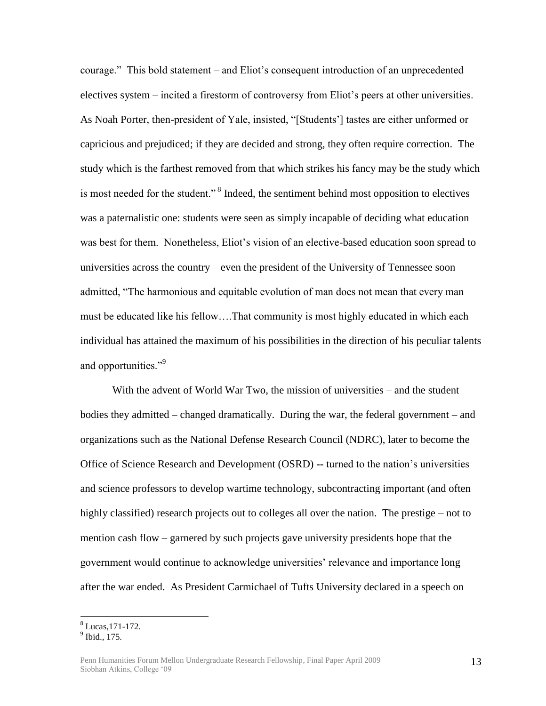courage." This bold statement – and Eliot"s consequent introduction of an unprecedented electives system – incited a firestorm of controversy from Eliot"s peers at other universities. As Noah Porter, then-president of Yale, insisted, "[Students"] tastes are either unformed or capricious and prejudiced; if they are decided and strong, they often require correction. The study which is the farthest removed from that which strikes his fancy may be the study which is most needed for the student."<sup>8</sup> Indeed, the sentiment behind most opposition to electives was a paternalistic one: students were seen as simply incapable of deciding what education was best for them. Nonetheless, Eliot"s vision of an elective-based education soon spread to universities across the country – even the president of the University of Tennessee soon admitted, "The harmonious and equitable evolution of man does not mean that every man must be educated like his fellow….That community is most highly educated in which each individual has attained the maximum of his possibilities in the direction of his peculiar talents and opportunities."<sup>9</sup>

With the advent of World War Two, the mission of universities – and the student bodies they admitted – changed dramatically. During the war, the federal government – and organizations such as the National Defense Research Council (NDRC), later to become the Office of Science Research and Development (OSRD) **--** turned to the nation"s universities and science professors to develop wartime technology, subcontracting important (and often highly classified) research projects out to colleges all over the nation. The prestige – not to mention cash flow – garnered by such projects gave university presidents hope that the government would continue to acknowledge universities" relevance and importance long after the war ended. As President Carmichael of Tufts University declared in a speech on

<sup>8</sup> Lucas,171-172.

<sup>&</sup>lt;sup>9</sup> Ibid., 175.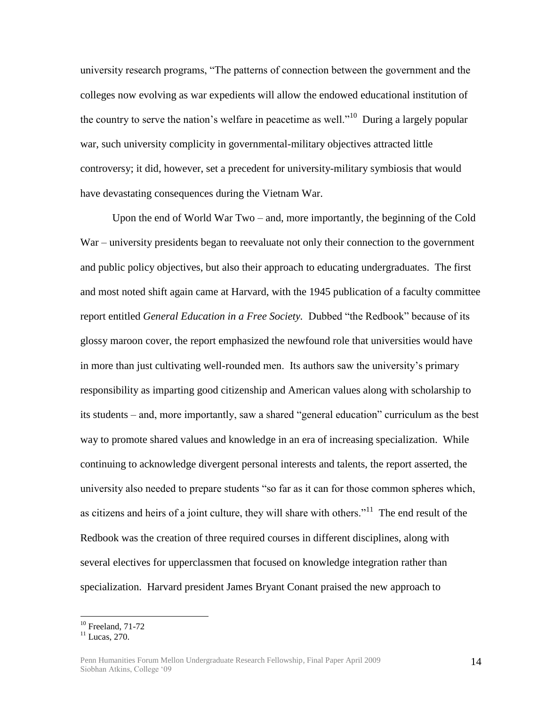university research programs, "The patterns of connection between the government and the colleges now evolving as war expedients will allow the endowed educational institution of the country to serve the nation's welfare in peacetime as well."<sup>10</sup> During a largely popular war, such university complicity in governmental-military objectives attracted little controversy; it did, however, set a precedent for university-military symbiosis that would have devastating consequences during the Vietnam War.

Upon the end of World War Two – and, more importantly, the beginning of the Cold War – university presidents began to reevaluate not only their connection to the government and public policy objectives, but also their approach to educating undergraduates. The first and most noted shift again came at Harvard, with the 1945 publication of a faculty committee report entitled *General Education in a Free Society.* Dubbed "the Redbook" because of its glossy maroon cover, the report emphasized the newfound role that universities would have in more than just cultivating well-rounded men. Its authors saw the university"s primary responsibility as imparting good citizenship and American values along with scholarship to its students – and, more importantly, saw a shared "general education" curriculum as the best way to promote shared values and knowledge in an era of increasing specialization. While continuing to acknowledge divergent personal interests and talents, the report asserted, the university also needed to prepare students "so far as it can for those common spheres which, as citizens and heirs of a joint culture, they will share with others.<sup> $11$ </sup> The end result of the Redbook was the creation of three required courses in different disciplines, along with several electives for upperclassmen that focused on knowledge integration rather than specialization. Harvard president James Bryant Conant praised the new approach to

<sup>10</sup> Freeland, 71-72

 $11$  Lucas, 270.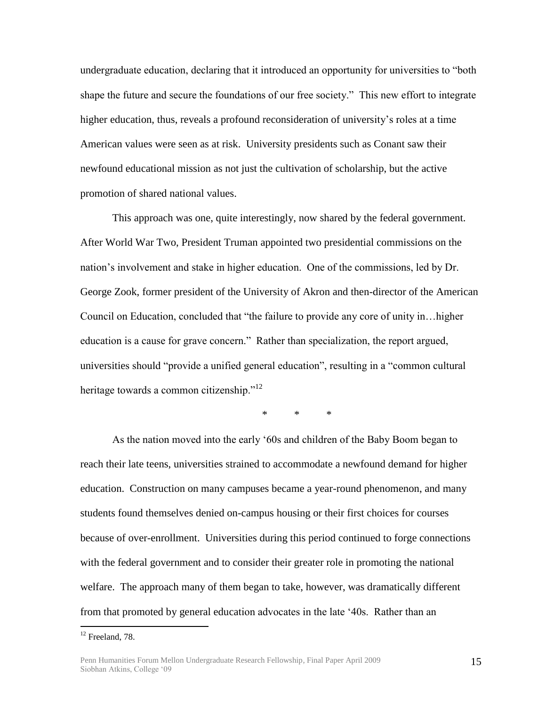undergraduate education, declaring that it introduced an opportunity for universities to "both shape the future and secure the foundations of our free society." This new effort to integrate higher education, thus, reveals a profound reconsideration of university"s roles at a time American values were seen as at risk. University presidents such as Conant saw their newfound educational mission as not just the cultivation of scholarship, but the active promotion of shared national values.

This approach was one, quite interestingly, now shared by the federal government. After World War Two, President Truman appointed two presidential commissions on the nation"s involvement and stake in higher education. One of the commissions, led by Dr. George Zook, former president of the University of Akron and then-director of the American Council on Education, concluded that "the failure to provide any core of unity in…higher education is a cause for grave concern." Rather than specialization, the report argued, universities should "provide a unified general education", resulting in a "common cultural heritage towards a common citizenship."<sup>12</sup>

\* \* \*

As the nation moved into the early "60s and children of the Baby Boom began to reach their late teens, universities strained to accommodate a newfound demand for higher education. Construction on many campuses became a year-round phenomenon, and many students found themselves denied on-campus housing or their first choices for courses because of over-enrollment. Universities during this period continued to forge connections with the federal government and to consider their greater role in promoting the national welfare. The approach many of them began to take, however, was dramatically different from that promoted by general education advocates in the late "40s. Rather than an

 $12$  Freeland, 78.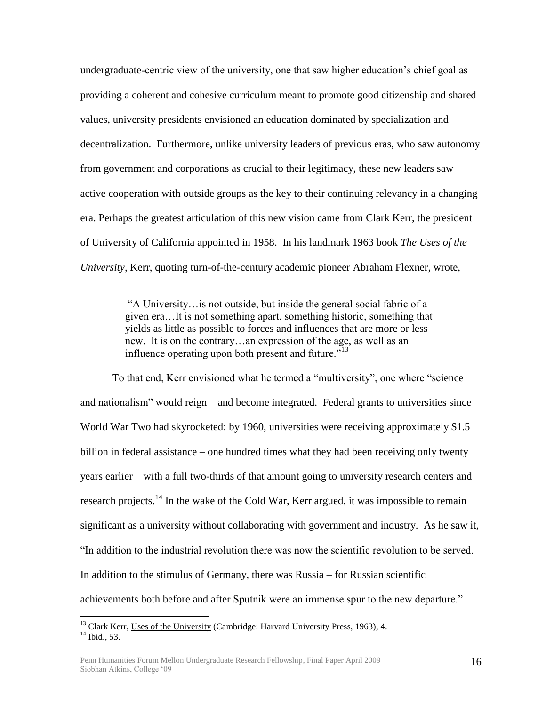undergraduate-centric view of the university, one that saw higher education"s chief goal as providing a coherent and cohesive curriculum meant to promote good citizenship and shared values, university presidents envisioned an education dominated by specialization and decentralization. Furthermore, unlike university leaders of previous eras, who saw autonomy from government and corporations as crucial to their legitimacy, these new leaders saw active cooperation with outside groups as the key to their continuing relevancy in a changing era. Perhaps the greatest articulation of this new vision came from Clark Kerr, the president of University of California appointed in 1958. In his landmark 1963 book *The Uses of the University*, Kerr, quoting turn-of-the-century academic pioneer Abraham Flexner, wrote,

> "A University…is not outside, but inside the general social fabric of a given era…It is not something apart, something historic, something that yields as little as possible to forces and influences that are more or less new. It is on the contrary…an expression of the age, as well as an influence operating upon both present and future."<sup>13</sup>

To that end, Kerr envisioned what he termed a "multiversity", one where "science and nationalism" would reign – and become integrated. Federal grants to universities since World War Two had skyrocketed: by 1960, universities were receiving approximately \$1.5 billion in federal assistance – one hundred times what they had been receiving only twenty years earlier – with a full two-thirds of that amount going to university research centers and research projects.<sup>14</sup> In the wake of the Cold War, Kerr argued, it was impossible to remain significant as a university without collaborating with government and industry. As he saw it, "In addition to the industrial revolution there was now the scientific revolution to be served. In addition to the stimulus of Germany, there was Russia – for Russian scientific achievements both before and after Sputnik were an immense spur to the new departure."

<sup>13</sup> Clark Kerr, Uses of the University (Cambridge: Harvard University Press, 1963)*,* 4.

 $14$  Ibid., 53.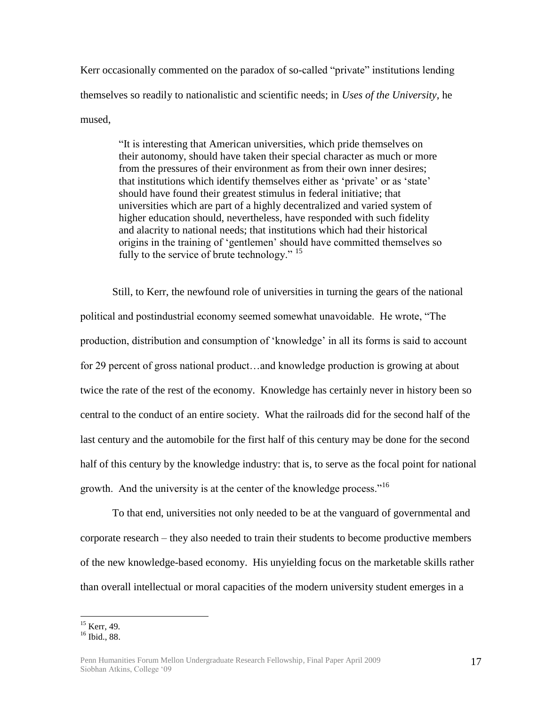Kerr occasionally commented on the paradox of so-called "private" institutions lending themselves so readily to nationalistic and scientific needs; in *Uses of the University*, he mused,

> "It is interesting that American universities, which pride themselves on their autonomy, should have taken their special character as much or more from the pressures of their environment as from their own inner desires; that institutions which identify themselves either as "private" or as "state" should have found their greatest stimulus in federal initiative; that universities which are part of a highly decentralized and varied system of higher education should, nevertheless, have responded with such fidelity and alacrity to national needs; that institutions which had their historical origins in the training of "gentlemen" should have committed themselves so fully to the service of brute technology." <sup>15</sup>

Still, to Kerr, the newfound role of universities in turning the gears of the national political and postindustrial economy seemed somewhat unavoidable. He wrote, "The production, distribution and consumption of "knowledge" in all its forms is said to account for 29 percent of gross national product…and knowledge production is growing at about twice the rate of the rest of the economy. Knowledge has certainly never in history been so central to the conduct of an entire society. What the railroads did for the second half of the last century and the automobile for the first half of this century may be done for the second half of this century by the knowledge industry: that is, to serve as the focal point for national growth. And the university is at the center of the knowledge process."<sup>16</sup>

To that end, universities not only needed to be at the vanguard of governmental and corporate research – they also needed to train their students to become productive members of the new knowledge-based economy. His unyielding focus on the marketable skills rather than overall intellectual or moral capacities of the modern university student emerges in a

<sup>&</sup>lt;sup>15</sup> Kerr, 49.

<sup>16</sup> Ibid., 88.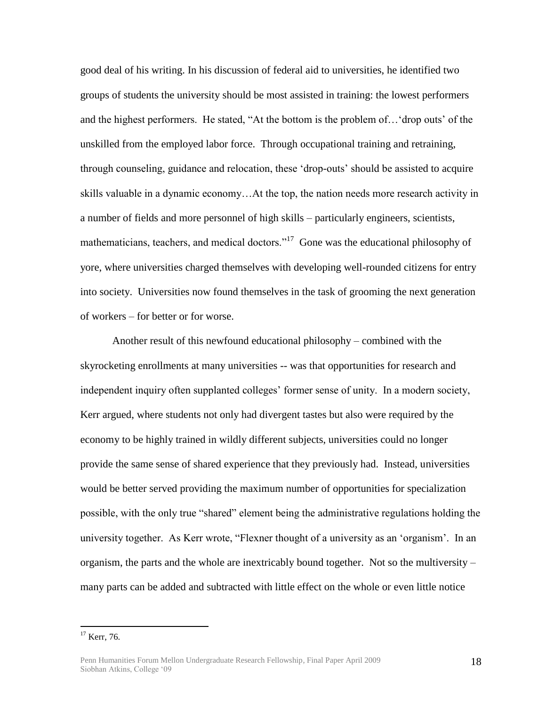good deal of his writing. In his discussion of federal aid to universities, he identified two groups of students the university should be most assisted in training: the lowest performers and the highest performers. He stated, "At the bottom is the problem of…"drop outs" of the unskilled from the employed labor force. Through occupational training and retraining, through counseling, guidance and relocation, these "drop-outs" should be assisted to acquire skills valuable in a dynamic economy…At the top, the nation needs more research activity in a number of fields and more personnel of high skills – particularly engineers, scientists, mathematicians, teachers, and medical doctors."<sup>17</sup> Gone was the educational philosophy of yore, where universities charged themselves with developing well-rounded citizens for entry into society. Universities now found themselves in the task of grooming the next generation of workers – for better or for worse.

Another result of this newfound educational philosophy – combined with the skyrocketing enrollments at many universities -- was that opportunities for research and independent inquiry often supplanted colleges" former sense of unity. In a modern society, Kerr argued, where students not only had divergent tastes but also were required by the economy to be highly trained in wildly different subjects, universities could no longer provide the same sense of shared experience that they previously had. Instead, universities would be better served providing the maximum number of opportunities for specialization possible, with the only true "shared" element being the administrative regulations holding the university together. As Kerr wrote, "Flexner thought of a university as an "organism". In an organism, the parts and the whole are inextricably bound together. Not so the multiversity – many parts can be added and subtracted with little effect on the whole or even little notice

 $17$  Kerr, 76.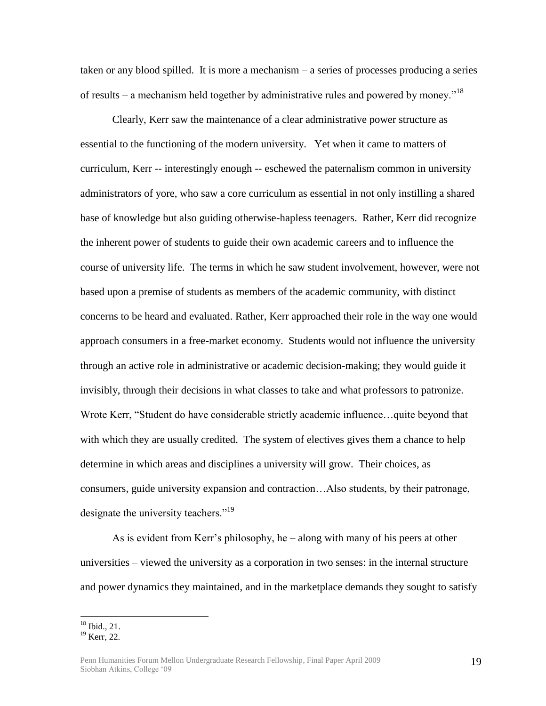taken or any blood spilled. It is more a mechanism – a series of processes producing a series of results – a mechanism held together by administrative rules and powered by money."<sup>18</sup>

Clearly, Kerr saw the maintenance of a clear administrative power structure as essential to the functioning of the modern university. Yet when it came to matters of curriculum, Kerr -- interestingly enough -- eschewed the paternalism common in university administrators of yore, who saw a core curriculum as essential in not only instilling a shared base of knowledge but also guiding otherwise-hapless teenagers. Rather, Kerr did recognize the inherent power of students to guide their own academic careers and to influence the course of university life. The terms in which he saw student involvement, however, were not based upon a premise of students as members of the academic community, with distinct concerns to be heard and evaluated. Rather, Kerr approached their role in the way one would approach consumers in a free-market economy. Students would not influence the university through an active role in administrative or academic decision-making; they would guide it invisibly, through their decisions in what classes to take and what professors to patronize. Wrote Kerr, "Student do have considerable strictly academic influence…quite beyond that with which they are usually credited. The system of electives gives them a chance to help determine in which areas and disciplines a university will grow. Their choices, as consumers, guide university expansion and contraction…Also students, by their patronage, designate the university teachers."<sup>19</sup>

As is evident from Kerr"s philosophy, he – along with many of his peers at other universities – viewed the university as a corporation in two senses: in the internal structure and power dynamics they maintained, and in the marketplace demands they sought to satisfy

 $18$  Ibid., 21.

<sup>&</sup>lt;sup>19</sup> Kerr, 22.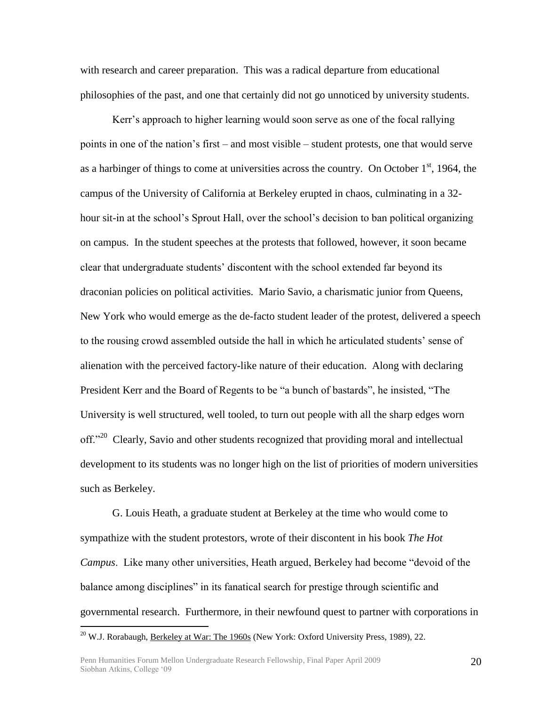with research and career preparation. This was a radical departure from educational philosophies of the past, and one that certainly did not go unnoticed by university students.

Kerr"s approach to higher learning would soon serve as one of the focal rallying points in one of the nation"s first – and most visible – student protests, one that would serve as a harbinger of things to come at universities across the country. On October  $1<sup>st</sup>$ , 1964, the campus of the University of California at Berkeley erupted in chaos, culminating in a 32 hour sit-in at the school's Sprout Hall, over the school's decision to ban political organizing on campus. In the student speeches at the protests that followed, however, it soon became clear that undergraduate students" discontent with the school extended far beyond its draconian policies on political activities. Mario Savio, a charismatic junior from Queens, New York who would emerge as the de-facto student leader of the protest, delivered a speech to the rousing crowd assembled outside the hall in which he articulated students" sense of alienation with the perceived factory-like nature of their education. Along with declaring President Kerr and the Board of Regents to be "a bunch of bastards", he insisted, "The University is well structured, well tooled, to turn out people with all the sharp edges worn off."<sup>20</sup> Clearly, Savio and other students recognized that providing moral and intellectual development to its students was no longer high on the list of priorities of modern universities such as Berkeley.

G. Louis Heath, a graduate student at Berkeley at the time who would come to sympathize with the student protestors, wrote of their discontent in his book *The Hot Campus*. Like many other universities, Heath argued, Berkeley had become "devoid of the balance among disciplines" in its fanatical search for prestige through scientific and governmental research. Furthermore, in their newfound quest to partner with corporations in

 $^{20}$  W.J. Rorabaugh, Berkeley at War: The 1960s (New York: Oxford University Press, 1989), 22.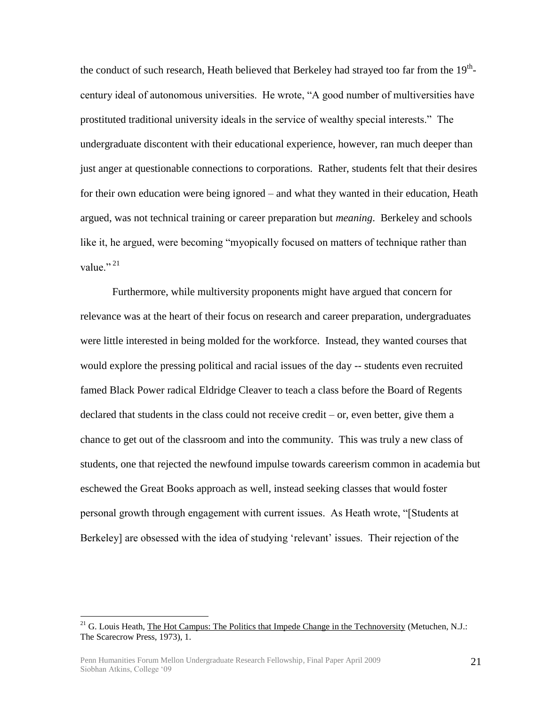the conduct of such research, Heath believed that Berkeley had strayed too far from the 19<sup>th</sup>century ideal of autonomous universities. He wrote, "A good number of multiversities have prostituted traditional university ideals in the service of wealthy special interests." The undergraduate discontent with their educational experience, however, ran much deeper than just anger at questionable connections to corporations. Rather, students felt that their desires for their own education were being ignored – and what they wanted in their education, Heath argued, was not technical training or career preparation but *meaning*. Berkeley and schools like it, he argued, were becoming "myopically focused on matters of technique rather than value."  $^{21}$ 

Furthermore, while multiversity proponents might have argued that concern for relevance was at the heart of their focus on research and career preparation, undergraduates were little interested in being molded for the workforce. Instead, they wanted courses that would explore the pressing political and racial issues of the day -- students even recruited famed Black Power radical Eldridge Cleaver to teach a class before the Board of Regents declared that students in the class could not receive credit – or, even better, give them a chance to get out of the classroom and into the community. This was truly a new class of students, one that rejected the newfound impulse towards careerism common in academia but eschewed the Great Books approach as well, instead seeking classes that would foster personal growth through engagement with current issues. As Heath wrote, "[Students at Berkeley] are obsessed with the idea of studying 'relevant' issues. Their rejection of the

 $^{21}$  G. Louis Heath, The Hot Campus: The Politics that Impede Change in the Technoversity (Metuchen, N.J.: The Scarecrow Press, 1973), 1.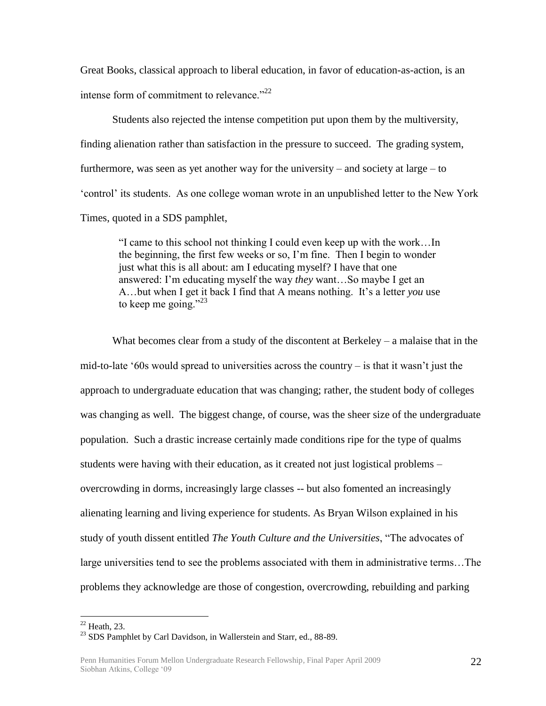Great Books, classical approach to liberal education, in favor of education-as-action, is an intense form of commitment to relevance."<sup>22</sup>

Students also rejected the intense competition put upon them by the multiversity, finding alienation rather than satisfaction in the pressure to succeed. The grading system, furthermore, was seen as yet another way for the university – and society at large – to "control" its students. As one college woman wrote in an unpublished letter to the New York Times, quoted in a SDS pamphlet,

"I came to this school not thinking I could even keep up with the work…In the beginning, the first few weeks or so, I"m fine. Then I begin to wonder just what this is all about: am I educating myself? I have that one answered: I"m educating myself the way *they* want…So maybe I get an A…but when I get it back I find that A means nothing. It"s a letter *you* use to keep me going."<sup>23</sup>

What becomes clear from a study of the discontent at Berkeley – a malaise that in the mid-to-late '60s would spread to universities across the country  $-$  is that it wasn't just the approach to undergraduate education that was changing; rather, the student body of colleges was changing as well. The biggest change, of course, was the sheer size of the undergraduate population. Such a drastic increase certainly made conditions ripe for the type of qualms students were having with their education, as it created not just logistical problems – overcrowding in dorms, increasingly large classes -- but also fomented an increasingly alienating learning and living experience for students. As Bryan Wilson explained in his study of youth dissent entitled *The Youth Culture and the Universities*, "The advocates of large universities tend to see the problems associated with them in administrative terms…The problems they acknowledge are those of congestion, overcrowding, rebuilding and parking

 $22$  Heath, 23.

<sup>&</sup>lt;sup>23</sup> SDS Pamphlet by Carl Davidson, in Wallerstein and Starr, ed., 88-89.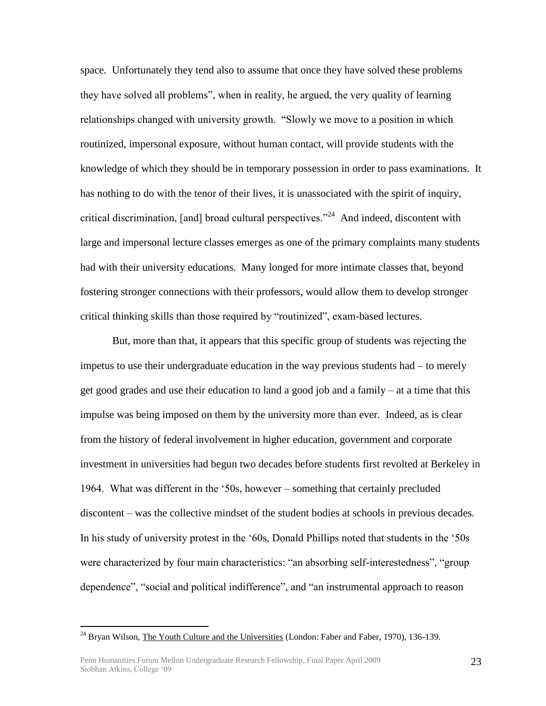space. Unfortunately they tend also to assume that once they have solved these problems they have solved all problems", when in reality, he argued, the very quality of learning relationships changed with university growth. "Slowly we move to a position in which routinized, impersonal exposure, without human contact, will provide students with the knowledge of which they should be in temporary possession in order to pass examinations. It has nothing to do with the tenor of their lives, it is unassociated with the spirit of inquiry, critical discrimination, [and] broad cultural perspectives. $124$  And indeed, discontent with large and impersonal lecture classes emerges as one of the primary complaints many students had with their university educations. Many longed for more intimate classes that, beyond fostering stronger connections with their professors, would allow them to develop stronger critical thinking skills than those required by "routinized", exam-based lectures.

But, more than that, it appears that this specific group of students was rejecting the impetus to use their undergraduate education in the way previous students had – to merely get good grades and use their education to land a good job and a family – at a time that this impulse was being imposed on them by the university more than ever. Indeed, as is clear from the history of federal involvement in higher education, government and corporate investment in universities had begun two decades before students first revolted at Berkeley in 1964. What was different in the "50s, however – something that certainly precluded discontent – was the collective mindset of the student bodies at schools in previous decades. In his study of university protest in the "60s, Donald Phillips noted that students in the "50s were characterized by four main characteristics: "an absorbing self-interestedness", "group dependence", "social and political indifference", and "an instrumental approach to reason

 $24$  Bryan Wilson, The Youth Culture and the Universities (London: Faber and Faber, 1970), 136-139.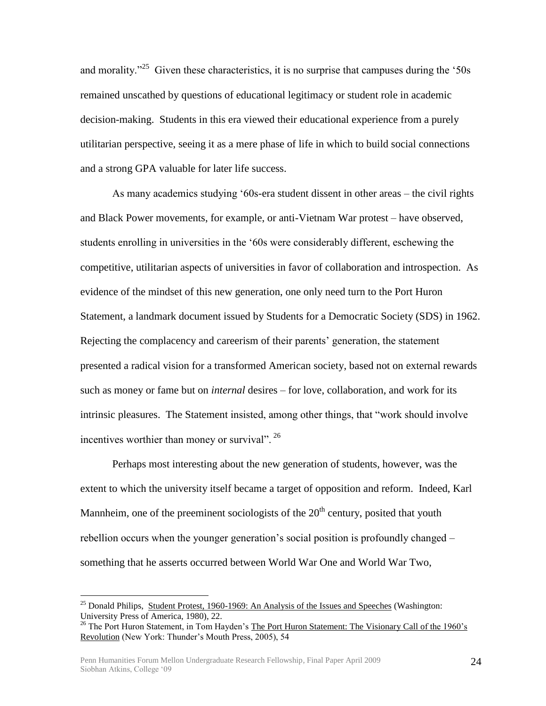and morality."<sup>25</sup> Given these characteristics, it is no surprise that campuses during the '50s remained unscathed by questions of educational legitimacy or student role in academic decision-making. Students in this era viewed their educational experience from a purely utilitarian perspective, seeing it as a mere phase of life in which to build social connections and a strong GPA valuable for later life success.

As many academics studying "60s-era student dissent in other areas – the civil rights and Black Power movements, for example, or anti-Vietnam War protest – have observed, students enrolling in universities in the "60s were considerably different, eschewing the competitive, utilitarian aspects of universities in favor of collaboration and introspection. As evidence of the mindset of this new generation, one only need turn to the Port Huron Statement, a landmark document issued by Students for a Democratic Society (SDS) in 1962. Rejecting the complacency and careerism of their parents" generation, the statement presented a radical vision for a transformed American society, based not on external rewards such as money or fame but on *internal* desires – for love, collaboration, and work for its intrinsic pleasures. The Statement insisted, among other things, that "work should involve incentives worthier than money or survival". <sup>26</sup>

Perhaps most interesting about the new generation of students, however, was the extent to which the university itself became a target of opposition and reform. Indeed, Karl Mannheim, one of the preeminent sociologists of the  $20<sup>th</sup>$  century, posited that youth rebellion occurs when the younger generation's social position is profoundly changed – something that he asserts occurred between World War One and World War Two,

 $^{25}$  Donald Philips, Student Protest, 1960-1969: An Analysis of the Issues and Speeches (Washington: University Press of America, 1980), 22.

<sup>&</sup>lt;sup>26</sup> The Port Huron Statement, in Tom Hayden's The Port Huron Statement: The Visionary Call of the 1960's Revolution (New York: Thunder"s Mouth Press, 2005), 54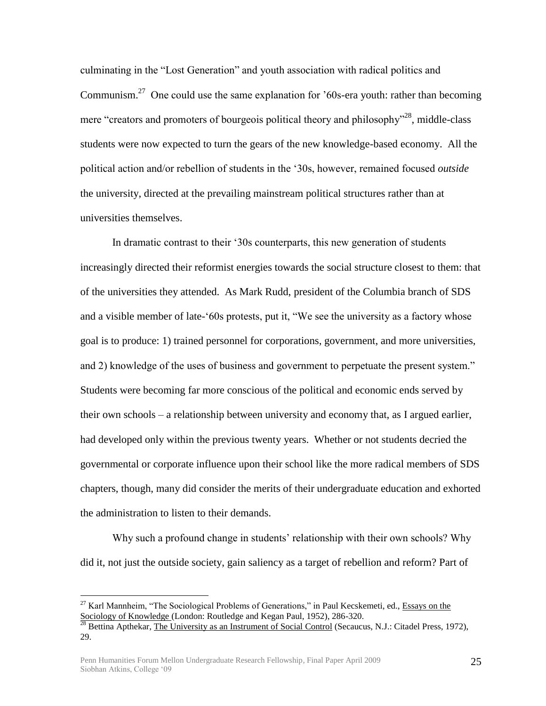culminating in the "Lost Generation" and youth association with radical politics and Communism.<sup>27</sup> One could use the same explanation for '60s-era youth: rather than becoming mere "creators and promoters of bourgeois political theory and philosophy"<sup>28</sup>, middle-class students were now expected to turn the gears of the new knowledge-based economy. All the political action and/or rebellion of students in the "30s, however, remained focused *outside*  the university, directed at the prevailing mainstream political structures rather than at universities themselves.

In dramatic contrast to their "30s counterparts, this new generation of students increasingly directed their reformist energies towards the social structure closest to them: that of the universities they attended. As Mark Rudd, president of the Columbia branch of SDS and a visible member of late-'60s protests, put it, "We see the university as a factory whose goal is to produce: 1) trained personnel for corporations, government, and more universities, and 2) knowledge of the uses of business and government to perpetuate the present system." Students were becoming far more conscious of the political and economic ends served by their own schools – a relationship between university and economy that, as I argued earlier, had developed only within the previous twenty years. Whether or not students decried the governmental or corporate influence upon their school like the more radical members of SDS chapters, though, many did consider the merits of their undergraduate education and exhorted the administration to listen to their demands.

Why such a profound change in students' relationship with their own schools? Why did it, not just the outside society, gain saliency as a target of rebellion and reform? Part of

<sup>&</sup>lt;sup>27</sup> Karl Mannheim, "The Sociological Problems of Generations," in Paul Kecskemeti, ed., **Essays on the** Sociology of Knowledge (London: Routledge and Kegan Paul, 1952), 286-320.

<sup>&</sup>lt;sup>28</sup> Bettina Apthekar, The University as an Instrument of Social Control (Secaucus, N.J.: Citadel Press, 1972), 29.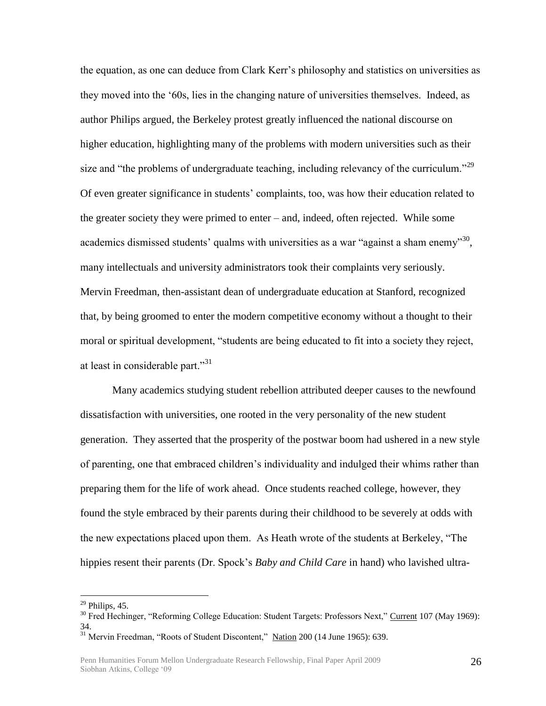the equation, as one can deduce from Clark Kerr"s philosophy and statistics on universities as they moved into the "60s, lies in the changing nature of universities themselves. Indeed, as author Philips argued, the Berkeley protest greatly influenced the national discourse on higher education, highlighting many of the problems with modern universities such as their size and "the problems of undergraduate teaching, including relevancy of the curriculum."<sup>29</sup> Of even greater significance in students" complaints, too, was how their education related to the greater society they were primed to enter – and, indeed, often rejected. While some academics dismissed students' qualms with universities as a war "against a sham enemy"<sup>30</sup>, many intellectuals and university administrators took their complaints very seriously. Mervin Freedman, then-assistant dean of undergraduate education at Stanford, recognized that, by being groomed to enter the modern competitive economy without a thought to their moral or spiritual development, "students are being educated to fit into a society they reject, at least in considerable part."<sup>31</sup>

Many academics studying student rebellion attributed deeper causes to the newfound dissatisfaction with universities, one rooted in the very personality of the new student generation. They asserted that the prosperity of the postwar boom had ushered in a new style of parenting, one that embraced children"s individuality and indulged their whims rather than preparing them for the life of work ahead. Once students reached college, however, they found the style embraced by their parents during their childhood to be severely at odds with the new expectations placed upon them. As Heath wrote of the students at Berkeley, "The hippies resent their parents (Dr. Spock"s *Baby and Child Care* in hand) who lavished ultra-

 $29$  Philips, 45.

<sup>&</sup>lt;sup>30</sup> Fred Hechinger, "Reforming College Education: Student Targets: Professors Next," Current 107 (May 1969): 34.

 $31$  Mervin Freedman, "Roots of Student Discontent," Nation 200 (14 June 1965): 639.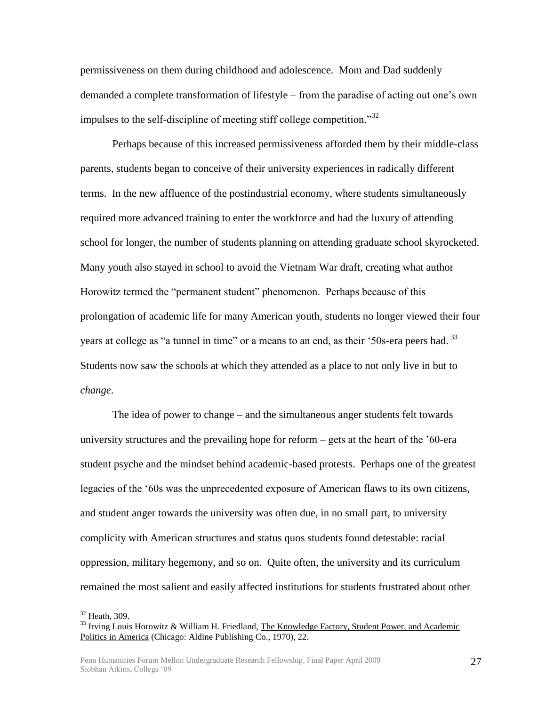permissiveness on them during childhood and adolescence. Mom and Dad suddenly demanded a complete transformation of lifestyle – from the paradise of acting out one"s own impulses to the self-discipline of meeting stiff college competition.<sup>32</sup>

Perhaps because of this increased permissiveness afforded them by their middle-class parents, students began to conceive of their university experiences in radically different terms. In the new affluence of the postindustrial economy, where students simultaneously required more advanced training to enter the workforce and had the luxury of attending school for longer, the number of students planning on attending graduate school skyrocketed. Many youth also stayed in school to avoid the Vietnam War draft, creating what author Horowitz termed the "permanent student" phenomenon. Perhaps because of this prolongation of academic life for many American youth, students no longer viewed their four years at college as "a tunnel in time" or a means to an end, as their '50s-era peers had.<sup>33</sup> Students now saw the schools at which they attended as a place to not only live in but to *change*.

The idea of power to change – and the simultaneous anger students felt towards university structures and the prevailing hope for reform – gets at the heart of the "60-era student psyche and the mindset behind academic-based protests. Perhaps one of the greatest legacies of the "60s was the unprecedented exposure of American flaws to its own citizens, and student anger towards the university was often due, in no small part, to university complicity with American structures and status quos students found detestable: racial oppression, military hegemony, and so on. Quite often, the university and its curriculum remained the most salient and easily affected institutions for students frustrated about other

<sup>32</sup> Heath, 309.

<sup>&</sup>lt;sup>33</sup> Irving Louis Horowitz & William H. Friedland, The Knowledge Factory, Student Power, and Academic Politics in America (Chicago: Aldine Publishing Co., 1970), 22.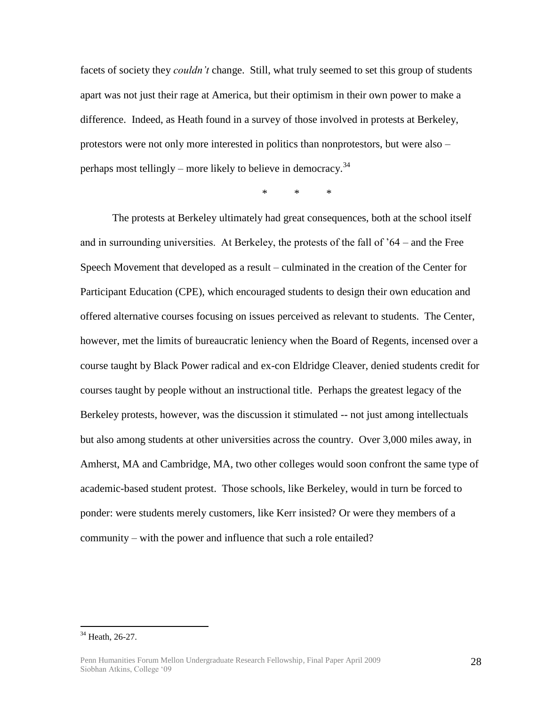facets of society they *couldn't* change. Still, what truly seemed to set this group of students apart was not just their rage at America, but their optimism in their own power to make a difference. Indeed, as Heath found in a survey of those involved in protests at Berkeley, protestors were not only more interested in politics than nonprotestors, but were also – perhaps most tellingly – more likely to believe in democracy.<sup>34</sup>

\* \* \*

The protests at Berkeley ultimately had great consequences, both at the school itself and in surrounding universities. At Berkeley, the protests of the fall of "64 – and the Free Speech Movement that developed as a result – culminated in the creation of the Center for Participant Education (CPE), which encouraged students to design their own education and offered alternative courses focusing on issues perceived as relevant to students. The Center, however, met the limits of bureaucratic leniency when the Board of Regents, incensed over a course taught by Black Power radical and ex-con Eldridge Cleaver, denied students credit for courses taught by people without an instructional title. Perhaps the greatest legacy of the Berkeley protests, however, was the discussion it stimulated -- not just among intellectuals but also among students at other universities across the country. Over 3,000 miles away, in Amherst, MA and Cambridge, MA, two other colleges would soon confront the same type of academic-based student protest. Those schools, like Berkeley, would in turn be forced to ponder: were students merely customers, like Kerr insisted? Or were they members of a community – with the power and influence that such a role entailed?

 $34$  Heath, 26-27.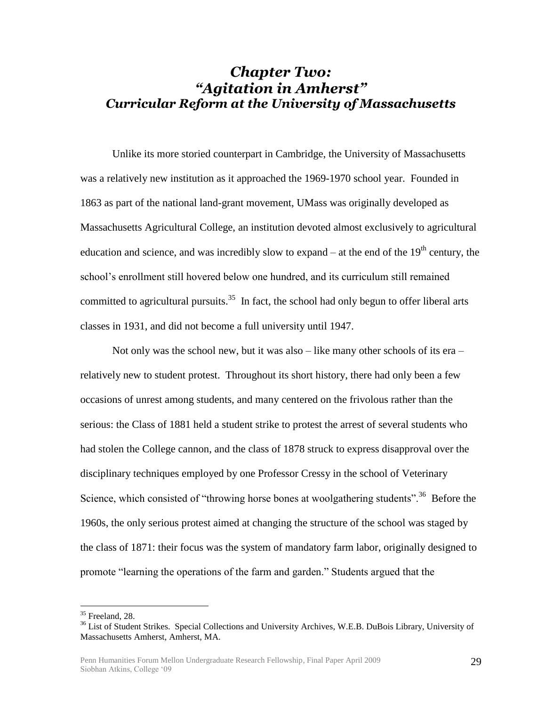## *Chapter Two: "Agitation in Amherst" Curricular Reform at the University of Massachusetts*

Unlike its more storied counterpart in Cambridge, the University of Massachusetts was a relatively new institution as it approached the 1969-1970 school year. Founded in 1863 as part of the national land-grant movement, UMass was originally developed as Massachusetts Agricultural College, an institution devoted almost exclusively to agricultural education and science, and was incredibly slow to expand – at the end of the  $19<sup>th</sup>$  century, the school"s enrollment still hovered below one hundred, and its curriculum still remained committed to agricultural pursuits.<sup>35</sup> In fact, the school had only begun to offer liberal arts classes in 1931, and did not become a full university until 1947.

Not only was the school new, but it was also – like many other schools of its era – relatively new to student protest. Throughout its short history, there had only been a few occasions of unrest among students, and many centered on the frivolous rather than the serious: the Class of 1881 held a student strike to protest the arrest of several students who had stolen the College cannon, and the class of 1878 struck to express disapproval over the disciplinary techniques employed by one Professor Cressy in the school of Veterinary Science, which consisted of "throwing horse bones at woolgathering students".<sup>36</sup> Before the 1960s, the only serious protest aimed at changing the structure of the school was staged by the class of 1871: their focus was the system of mandatory farm labor, originally designed to promote "learning the operations of the farm and garden." Students argued that the

<sup>&</sup>lt;sup>35</sup> Freeland, 28.

<sup>&</sup>lt;sup>36</sup> List of Student Strikes. Special Collections and University Archives, W.E.B. DuBois Library, University of Massachusetts Amherst, Amherst, MA.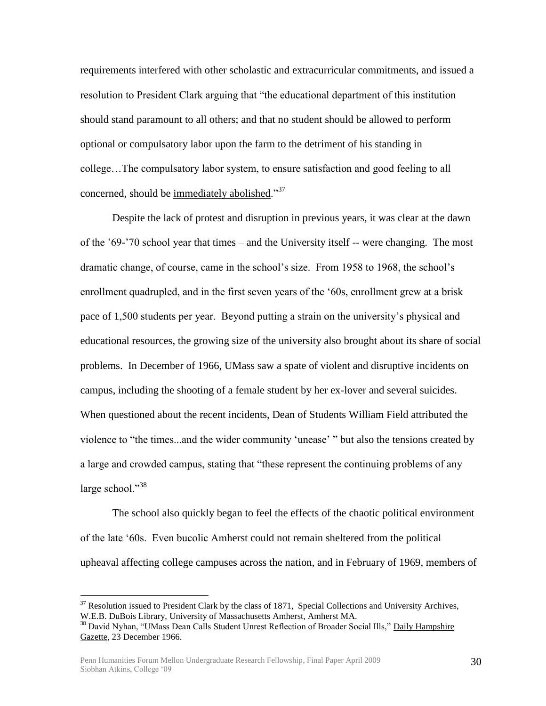requirements interfered with other scholastic and extracurricular commitments, and issued a resolution to President Clark arguing that "the educational department of this institution should stand paramount to all others; and that no student should be allowed to perform optional or compulsatory labor upon the farm to the detriment of his standing in college…The compulsatory labor system, to ensure satisfaction and good feeling to all concerned, should be immediately abolished."<sup>37</sup>

Despite the lack of protest and disruption in previous years, it was clear at the dawn of the "69-"70 school year that times – and the University itself -- were changing. The most dramatic change, of course, came in the school"s size. From 1958 to 1968, the school"s enrollment quadrupled, and in the first seven years of the "60s, enrollment grew at a brisk pace of 1,500 students per year. Beyond putting a strain on the university"s physical and educational resources, the growing size of the university also brought about its share of social problems. In December of 1966, UMass saw a spate of violent and disruptive incidents on campus, including the shooting of a female student by her ex-lover and several suicides. When questioned about the recent incidents, Dean of Students William Field attributed the violence to "the times...and the wider community "unease" " but also the tensions created by a large and crowded campus, stating that "these represent the continuing problems of any large school."<sup>38</sup>

The school also quickly began to feel the effects of the chaotic political environment of the late "60s. Even bucolic Amherst could not remain sheltered from the political upheaval affecting college campuses across the nation, and in February of 1969, members of

 $37$  Resolution issued to President Clark by the class of 1871, Special Collections and University Archives, W.E.B. DuBois Library, University of Massachusetts Amherst, Amherst MA.

<sup>&</sup>lt;sup>38</sup> David Nyhan, "UMass Dean Calls Student Unrest Reflection of Broader Social Ills," Daily Hampshire Gazette, 23 December 1966.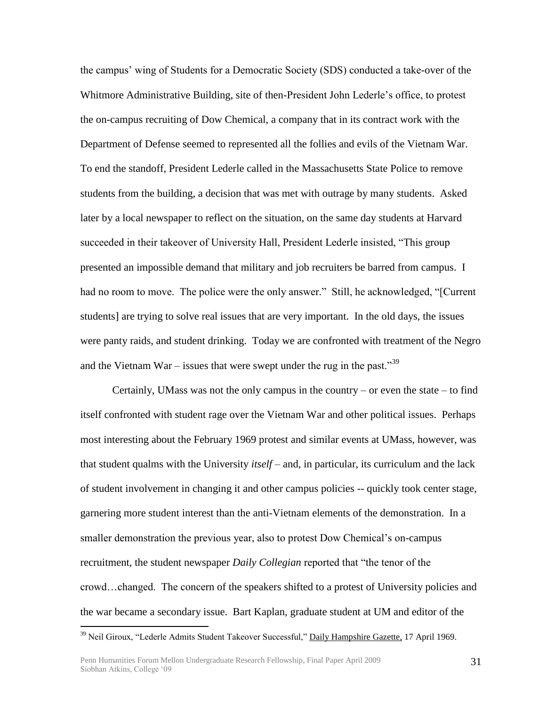the campus" wing of Students for a Democratic Society (SDS) conducted a take-over of the Whitmore Administrative Building, site of then-President John Lederle"s office, to protest the on-campus recruiting of Dow Chemical, a company that in its contract work with the Department of Defense seemed to represented all the follies and evils of the Vietnam War. To end the standoff, President Lederle called in the Massachusetts State Police to remove students from the building, a decision that was met with outrage by many students. Asked later by a local newspaper to reflect on the situation, on the same day students at Harvard succeeded in their takeover of University Hall, President Lederle insisted, "This group presented an impossible demand that military and job recruiters be barred from campus. I had no room to move. The police were the only answer." Still, he acknowledged, "[Current students] are trying to solve real issues that are very important. In the old days, the issues were panty raids, and student drinking. Today we are confronted with treatment of the Negro and the Vietnam War – issues that were swept under the rug in the past.<sup>39</sup>

Certainly, UMass was not the only campus in the country – or even the state – to find itself confronted with student rage over the Vietnam War and other political issues. Perhaps most interesting about the February 1969 protest and similar events at UMass, however, was that student qualms with the University *itself –* and, in particular, its curriculum and the lack of student involvement in changing it and other campus policies -- quickly took center stage, garnering more student interest than the anti-Vietnam elements of the demonstration. In a smaller demonstration the previous year, also to protest Dow Chemical's on-campus recruitment, the student newspaper *Daily Collegian* reported that "the tenor of the crowd…changed. The concern of the speakers shifted to a protest of University policies and the war became a secondary issue. Bart Kaplan, graduate student at UM and editor of the

<sup>&</sup>lt;sup>39</sup> Neil Giroux, "Lederle Admits Student Takeover Successful," Daily Hampshire Gazette, 17 April 1969.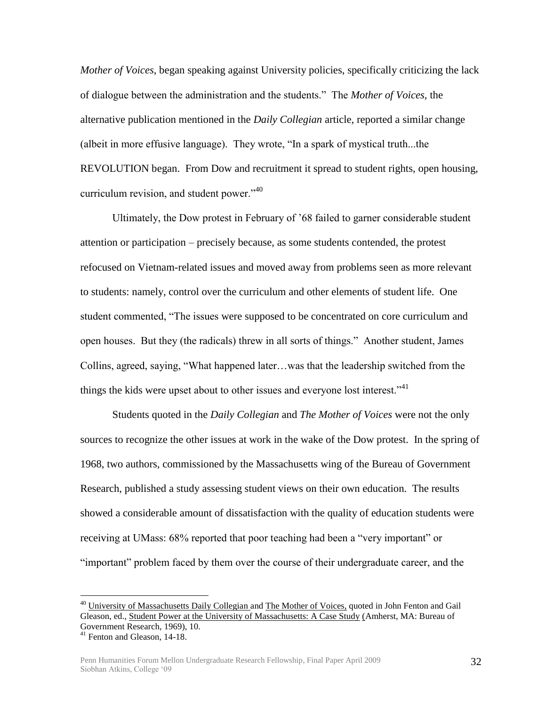*Mother of Voices*, began speaking against University policies, specifically criticizing the lack of dialogue between the administration and the students." The *Mother of Voices,* the alternative publication mentioned in the *Daily Collegian* article, reported a similar change (albeit in more effusive language). They wrote, "In a spark of mystical truth...the REVOLUTION began. From Dow and recruitment it spread to student rights, open housing, curriculum revision, and student power."<sup>40</sup>

Ultimately, the Dow protest in February of "68 failed to garner considerable student attention or participation – precisely because, as some students contended, the protest refocused on Vietnam-related issues and moved away from problems seen as more relevant to students: namely, control over the curriculum and other elements of student life. One student commented, "The issues were supposed to be concentrated on core curriculum and open houses. But they (the radicals) threw in all sorts of things." Another student, James Collins, agreed, saying, "What happened later…was that the leadership switched from the things the kids were upset about to other issues and everyone lost interest."<sup>41</sup>

Students quoted in the *Daily Collegian* and *The Mother of Voices* were not the only sources to recognize the other issues at work in the wake of the Dow protest. In the spring of 1968, two authors, commissioned by the Massachusetts wing of the Bureau of Government Research, published a study assessing student views on their own education. The results showed a considerable amount of dissatisfaction with the quality of education students were receiving at UMass: 68% reported that poor teaching had been a "very important" or "important" problem faced by them over the course of their undergraduate career, and the

<sup>40</sup> University of Massachusetts Daily Collegian and The Mother of Voices*,* quoted in John Fenton and Gail Gleason, ed., Student Power at the University of Massachusetts: A Case Study (Amherst, MA: Bureau of Government Research, 1969), 10.

<sup>&</sup>lt;sup>41</sup> Fenton and Gleason, 14-18.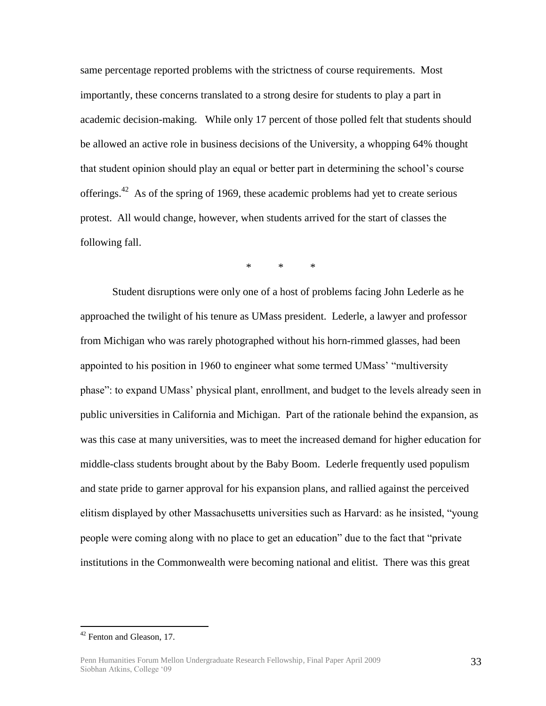same percentage reported problems with the strictness of course requirements. Most importantly, these concerns translated to a strong desire for students to play a part in academic decision-making. While only 17 percent of those polled felt that students should be allowed an active role in business decisions of the University, a whopping 64% thought that student opinion should play an equal or better part in determining the school"s course offerings. $^{42}$  As of the spring of 1969, these academic problems had yet to create serious protest. All would change, however, when students arrived for the start of classes the following fall.

\* \* \*

Student disruptions were only one of a host of problems facing John Lederle as he approached the twilight of his tenure as UMass president. Lederle, a lawyer and professor from Michigan who was rarely photographed without his horn-rimmed glasses, had been appointed to his position in 1960 to engineer what some termed UMass" "multiversity phase": to expand UMass" physical plant, enrollment, and budget to the levels already seen in public universities in California and Michigan. Part of the rationale behind the expansion, as was this case at many universities, was to meet the increased demand for higher education for middle-class students brought about by the Baby Boom. Lederle frequently used populism and state pride to garner approval for his expansion plans, and rallied against the perceived elitism displayed by other Massachusetts universities such as Harvard: as he insisted, "young people were coming along with no place to get an education" due to the fact that "private institutions in the Commonwealth were becoming national and elitist. There was this great

<sup>42</sup> Fenton and Gleason, 17.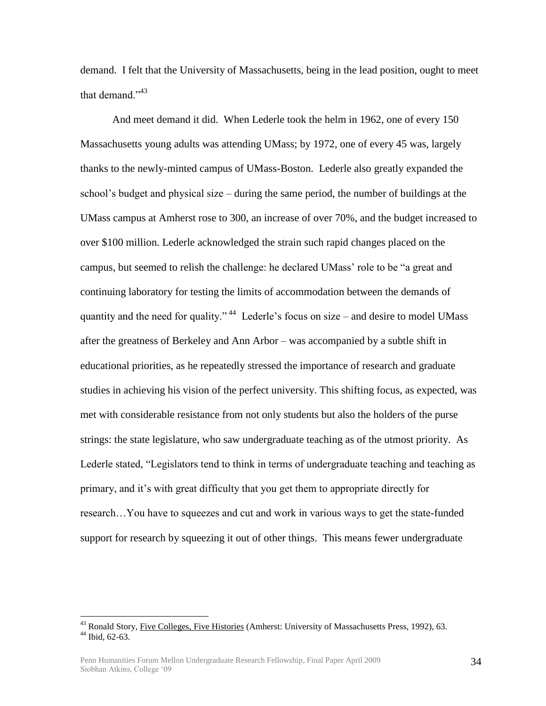demand. I felt that the University of Massachusetts, being in the lead position, ought to meet that demand."<sup>43</sup>

And meet demand it did. When Lederle took the helm in 1962, one of every 150 Massachusetts young adults was attending UMass; by 1972, one of every 45 was, largely thanks to the newly-minted campus of UMass-Boston. Lederle also greatly expanded the school"s budget and physical size – during the same period, the number of buildings at the UMass campus at Amherst rose to 300, an increase of over 70%, and the budget increased to over \$100 million. Lederle acknowledged the strain such rapid changes placed on the campus, but seemed to relish the challenge: he declared UMass" role to be "a great and continuing laboratory for testing the limits of accommodation between the demands of quantity and the need for quality."<sup>44</sup> Lederle's focus on size – and desire to model UMass after the greatness of Berkeley and Ann Arbor – was accompanied by a subtle shift in educational priorities, as he repeatedly stressed the importance of research and graduate studies in achieving his vision of the perfect university. This shifting focus, as expected, was met with considerable resistance from not only students but also the holders of the purse strings: the state legislature, who saw undergraduate teaching as of the utmost priority. As Lederle stated, "Legislators tend to think in terms of undergraduate teaching and teaching as primary, and it"s with great difficulty that you get them to appropriate directly for research…You have to squeezes and cut and work in various ways to get the state-funded support for research by squeezing it out of other things. This means fewer undergraduate

<sup>&</sup>lt;sup>43</sup> Ronald Story, Five Colleges, Five Histories (Amherst: University of Massachusetts Press, 1992), 63. <sup>44</sup> Ibid, 62-63.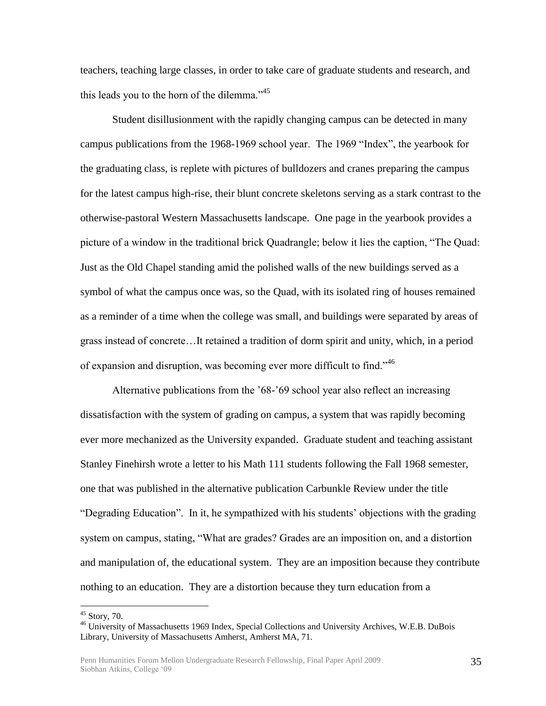teachers, teaching large classes, in order to take care of graduate students and research, and this leads you to the horn of the dilemma."<sup>45</sup>

Student disillusionment with the rapidly changing campus can be detected in many campus publications from the 1968-1969 school year. The 1969 "Index", the yearbook for the graduating class, is replete with pictures of bulldozers and cranes preparing the campus for the latest campus high-rise, their blunt concrete skeletons serving as a stark contrast to the otherwise-pastoral Western Massachusetts landscape. One page in the yearbook provides a picture of a window in the traditional brick Quadrangle; below it lies the caption, "The Quad: Just as the Old Chapel standing amid the polished walls of the new buildings served as a symbol of what the campus once was, so the Quad, with its isolated ring of houses remained as a reminder of a time when the college was small, and buildings were separated by areas of grass instead of concrete…It retained a tradition of dorm spirit and unity, which, in a period of expansion and disruption, was becoming ever more difficult to find."<sup>46</sup>

Alternative publications from the '68-'69 school year also reflect an increasing dissatisfaction with the system of grading on campus, a system that was rapidly becoming ever more mechanized as the University expanded. Graduate student and teaching assistant Stanley Finehirsh wrote a letter to his Math 111 students following the Fall 1968 semester, one that was published in the alternative publication Carbunkle Review under the title "Degrading Education". In it, he sympathized with his students" objections with the grading system on campus, stating, "What are grades? Grades are an imposition on, and a distortion and manipulation of, the educational system. They are an imposition because they contribute nothing to an education. They are a distortion because they turn education from a

<sup>45</sup> Story, 70.

<sup>&</sup>lt;sup>46</sup> University of Massachusetts 1969 Index, Special Collections and University Archives, W.E.B. DuBois Library, University of Massachusetts Amherst, Amherst MA, 71.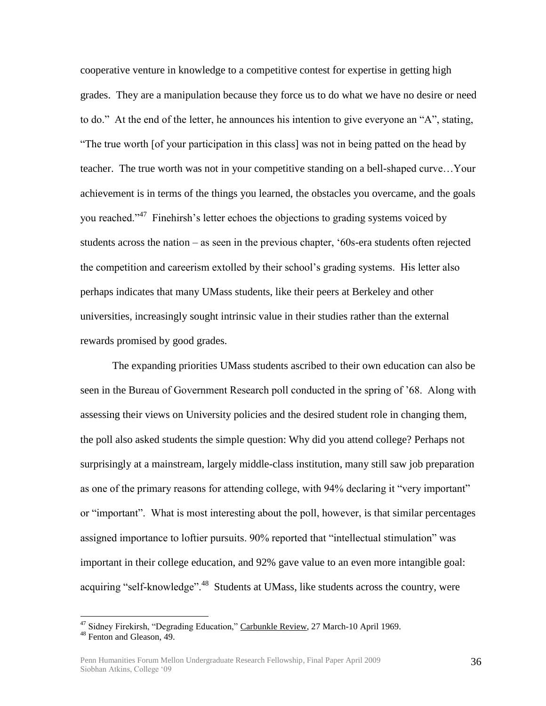cooperative venture in knowledge to a competitive contest for expertise in getting high grades. They are a manipulation because they force us to do what we have no desire or need to do." At the end of the letter, he announces his intention to give everyone an "A", stating, "The true worth [of your participation in this class] was not in being patted on the head by teacher. The true worth was not in your competitive standing on a bell-shaped curve…Your achievement is in terms of the things you learned, the obstacles you overcame, and the goals you reached."<sup>47</sup> Finehirsh's letter echoes the objections to grading systems voiced by students across the nation – as seen in the previous chapter, "60s-era students often rejected the competition and careerism extolled by their school"s grading systems. His letter also perhaps indicates that many UMass students, like their peers at Berkeley and other universities, increasingly sought intrinsic value in their studies rather than the external rewards promised by good grades.

The expanding priorities UMass students ascribed to their own education can also be seen in the Bureau of Government Research poll conducted in the spring of "68. Along with assessing their views on University policies and the desired student role in changing them, the poll also asked students the simple question: Why did you attend college? Perhaps not surprisingly at a mainstream, largely middle-class institution, many still saw job preparation as one of the primary reasons for attending college, with 94% declaring it "very important" or "important". What is most interesting about the poll, however, is that similar percentages assigned importance to loftier pursuits. 90% reported that "intellectual stimulation" was important in their college education, and 92% gave value to an even more intangible goal: acquiring "self-knowledge".<sup>48</sup> Students at UMass, like students across the country, were

<sup>&</sup>lt;sup>47</sup> Sidney Firekirsh, "Degrading Education," Carbunkle Review, 27 March-10 April 1969.

<sup>&</sup>lt;sup>48</sup> Fenton and Gleason, 49.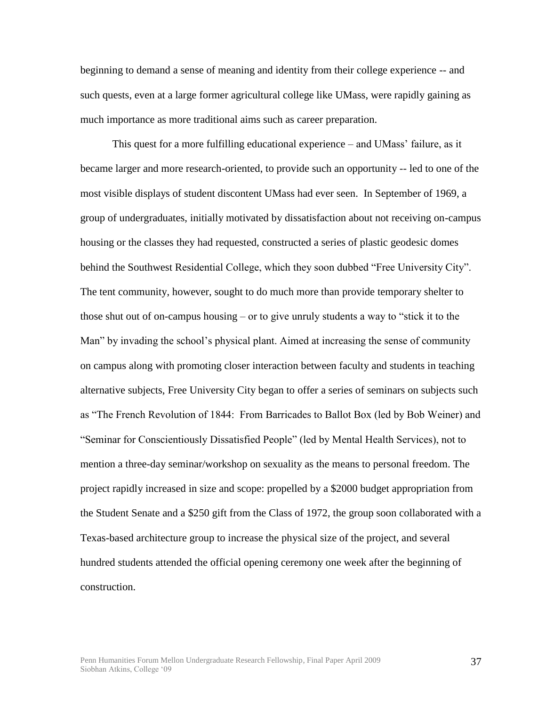beginning to demand a sense of meaning and identity from their college experience -- and such quests, even at a large former agricultural college like UMass, were rapidly gaining as much importance as more traditional aims such as career preparation.

This quest for a more fulfilling educational experience – and UMass' failure, as it became larger and more research-oriented, to provide such an opportunity -- led to one of the most visible displays of student discontent UMass had ever seen. In September of 1969, a group of undergraduates, initially motivated by dissatisfaction about not receiving on-campus housing or the classes they had requested, constructed a series of plastic geodesic domes behind the Southwest Residential College, which they soon dubbed "Free University City". The tent community, however, sought to do much more than provide temporary shelter to those shut out of on-campus housing – or to give unruly students a way to "stick it to the Man" by invading the school"s physical plant. Aimed at increasing the sense of community on campus along with promoting closer interaction between faculty and students in teaching alternative subjects, Free University City began to offer a series of seminars on subjects such as "The French Revolution of 1844: From Barricades to Ballot Box (led by Bob Weiner) and "Seminar for Conscientiously Dissatisfied People" (led by Mental Health Services), not to mention a three-day seminar/workshop on sexuality as the means to personal freedom. The project rapidly increased in size and scope: propelled by a \$2000 budget appropriation from the Student Senate and a \$250 gift from the Class of 1972, the group soon collaborated with a Texas-based architecture group to increase the physical size of the project, and several hundred students attended the official opening ceremony one week after the beginning of construction.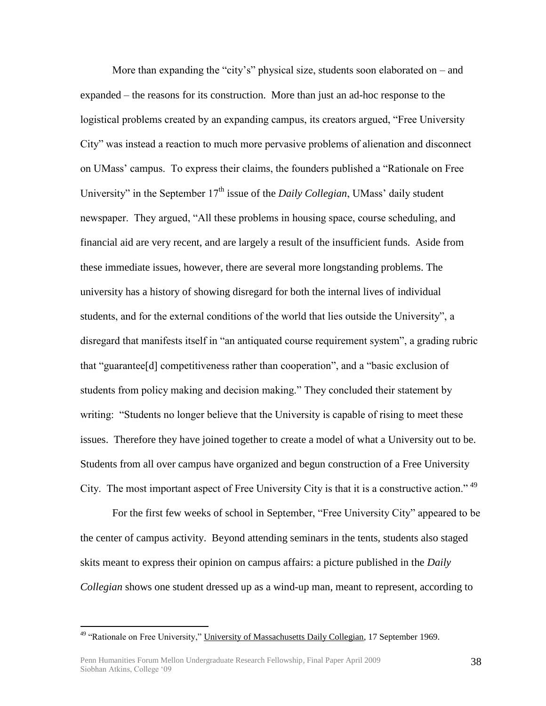More than expanding the "city's" physical size, students soon elaborated on  $-$  and expanded – the reasons for its construction. More than just an ad-hoc response to the logistical problems created by an expanding campus, its creators argued, "Free University City" was instead a reaction to much more pervasive problems of alienation and disconnect on UMass" campus. To express their claims, the founders published a "Rationale on Free University" in the September 17<sup>th</sup> issue of the *Daily Collegian*, UMass' daily student newspaper. They argued, "All these problems in housing space, course scheduling, and financial aid are very recent, and are largely a result of the insufficient funds. Aside from these immediate issues, however, there are several more longstanding problems. The university has a history of showing disregard for both the internal lives of individual students, and for the external conditions of the world that lies outside the University", a disregard that manifests itself in "an antiquated course requirement system", a grading rubric that "guarantee[d] competitiveness rather than cooperation", and a "basic exclusion of students from policy making and decision making." They concluded their statement by writing: "Students no longer believe that the University is capable of rising to meet these issues. Therefore they have joined together to create a model of what a University out to be. Students from all over campus have organized and begun construction of a Free University City. The most important aspect of Free University City is that it is a constructive action." <sup>49</sup>

For the first few weeks of school in September, "Free University City" appeared to be the center of campus activity. Beyond attending seminars in the tents, students also staged skits meant to express their opinion on campus affairs: a picture published in the *Daily Collegian* shows one student dressed up as a wind-up man, meant to represent, according to

<sup>&</sup>lt;sup>49</sup> "Rationale on Free University," University of Massachusetts Daily Collegian, 17 September 1969.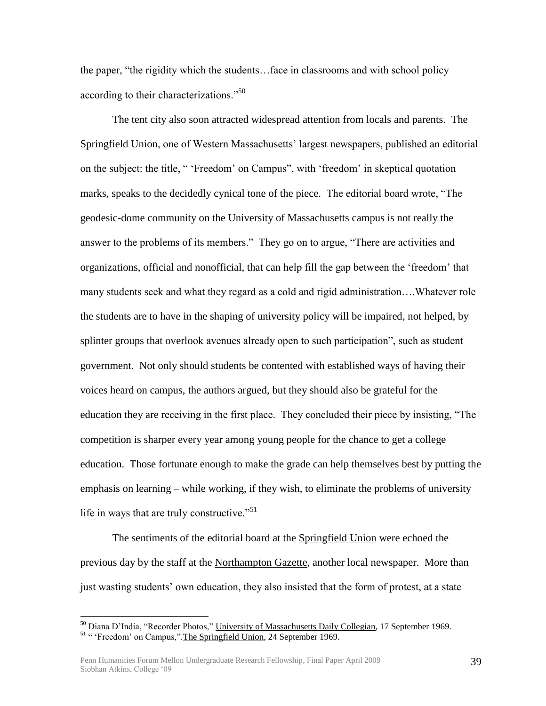the paper, "the rigidity which the students…face in classrooms and with school policy according to their characterizations."<sup>50</sup>

The tent city also soon attracted widespread attention from locals and parents. The Springfield Union, one of Western Massachusetts" largest newspapers, published an editorial on the subject: the title, " "Freedom" on Campus", with "freedom" in skeptical quotation marks, speaks to the decidedly cynical tone of the piece. The editorial board wrote, "The geodesic-dome community on the University of Massachusetts campus is not really the answer to the problems of its members." They go on to argue, "There are activities and organizations, official and nonofficial, that can help fill the gap between the "freedom" that many students seek and what they regard as a cold and rigid administration….Whatever role the students are to have in the shaping of university policy will be impaired, not helped, by splinter groups that overlook avenues already open to such participation", such as student government. Not only should students be contented with established ways of having their voices heard on campus, the authors argued, but they should also be grateful for the education they are receiving in the first place. They concluded their piece by insisting, "The competition is sharper every year among young people for the chance to get a college education. Those fortunate enough to make the grade can help themselves best by putting the emphasis on learning – while working, if they wish, to eliminate the problems of university life in ways that are truly constructive."<sup>51</sup>

The sentiments of the editorial board at the Springfield Union were echoed the previous day by the staff at the <u>Northampton Gazette</u>, another local newspaper. More than just wasting students" own education, they also insisted that the form of protest, at a state

<sup>&</sup>lt;sup>50</sup> Diana D'India, "Recorder Photos," University of Massachusetts Daily Collegian, 17 September 1969. <sup>51</sup> " "Freedom" on Campus,".The Springfield Union*,* 24 September 1969.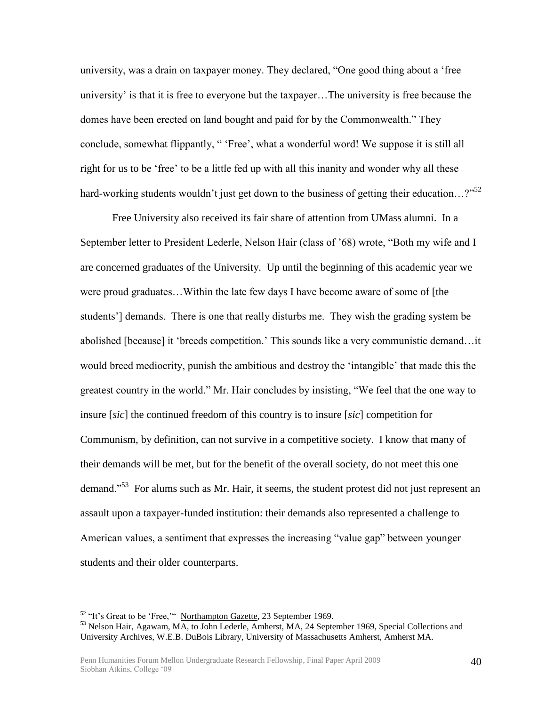university, was a drain on taxpayer money. They declared, "One good thing about a "free university' is that it is free to everyone but the taxpayer...The university is free because the domes have been erected on land bought and paid for by the Commonwealth." They conclude, somewhat flippantly, " "Free", what a wonderful word! We suppose it is still all right for us to be 'free' to be a little fed up with all this inanity and wonder why all these hard-working students wouldn't just get down to the business of getting their education...?"<sup>52</sup>

Free University also received its fair share of attention from UMass alumni. In a September letter to President Lederle, Nelson Hair (class of "68) wrote, "Both my wife and I are concerned graduates of the University. Up until the beginning of this academic year we were proud graduates…Within the late few days I have become aware of some of [the students"] demands. There is one that really disturbs me. They wish the grading system be abolished [because] it "breeds competition." This sounds like a very communistic demand…it would breed mediocrity, punish the ambitious and destroy the "intangible" that made this the greatest country in the world." Mr. Hair concludes by insisting, "We feel that the one way to insure [*sic*] the continued freedom of this country is to insure [*sic*] competition for Communism, by definition, can not survive in a competitive society. I know that many of their demands will be met, but for the benefit of the overall society, do not meet this one demand."<sup>53</sup> For alums such as Mr. Hair, it seems, the student protest did not just represent an assault upon a taxpayer-funded institution: their demands also represented a challenge to American values, a sentiment that expresses the increasing "value gap" between younger students and their older counterparts.

<sup>52</sup> "It"s Great to be "Free,"" Northampton Gazette*,* 23 September 1969.

<sup>53</sup> Nelson Hair, Agawam, MA, to John Lederle, Amherst, MA, 24 September 1969, Special Collections and University Archives, W.E.B. DuBois Library, University of Massachusetts Amherst, Amherst MA.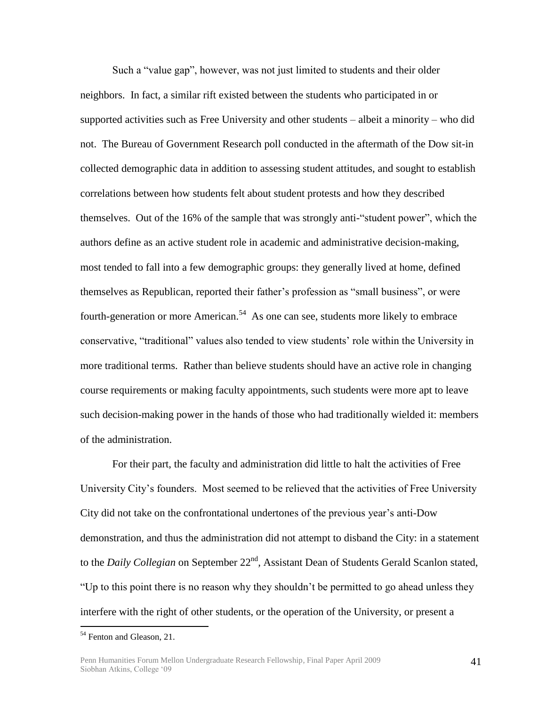Such a "value gap", however, was not just limited to students and their older neighbors. In fact, a similar rift existed between the students who participated in or supported activities such as Free University and other students – albeit a minority – who did not. The Bureau of Government Research poll conducted in the aftermath of the Dow sit-in collected demographic data in addition to assessing student attitudes, and sought to establish correlations between how students felt about student protests and how they described themselves. Out of the 16% of the sample that was strongly anti-"student power", which the authors define as an active student role in academic and administrative decision-making, most tended to fall into a few demographic groups: they generally lived at home, defined themselves as Republican, reported their father"s profession as "small business", or were fourth-generation or more American.<sup>54</sup> As one can see, students more likely to embrace conservative, "traditional" values also tended to view students" role within the University in more traditional terms. Rather than believe students should have an active role in changing course requirements or making faculty appointments, such students were more apt to leave such decision-making power in the hands of those who had traditionally wielded it: members of the administration.

For their part, the faculty and administration did little to halt the activities of Free University City"s founders. Most seemed to be relieved that the activities of Free University City did not take on the confrontational undertones of the previous year"s anti-Dow demonstration, and thus the administration did not attempt to disband the City: in a statement to the *Daily Collegian* on September 22<sup>nd</sup>, Assistant Dean of Students Gerald Scanlon stated, "Up to this point there is no reason why they shouldn"t be permitted to go ahead unless they interfere with the right of other students, or the operation of the University, or present a

<sup>&</sup>lt;sup>54</sup> Fenton and Gleason, 21.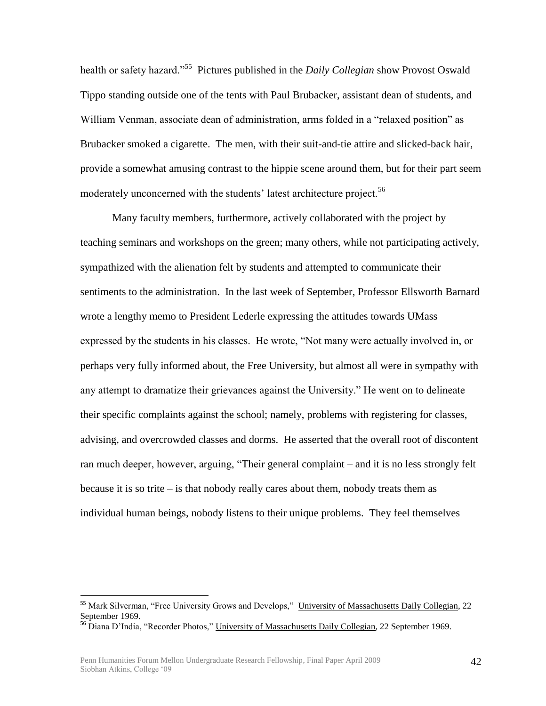health or safety hazard."<sup>55</sup> Pictures published in the *Daily Collegian* show Provost Oswald Tippo standing outside one of the tents with Paul Brubacker, assistant dean of students, and William Venman, associate dean of administration, arms folded in a "relaxed position" as Brubacker smoked a cigarette. The men, with their suit-and-tie attire and slicked-back hair, provide a somewhat amusing contrast to the hippie scene around them, but for their part seem moderately unconcerned with the students' latest architecture project.<sup>56</sup>

Many faculty members, furthermore, actively collaborated with the project by teaching seminars and workshops on the green; many others, while not participating actively, sympathized with the alienation felt by students and attempted to communicate their sentiments to the administration. In the last week of September, Professor Ellsworth Barnard wrote a lengthy memo to President Lederle expressing the attitudes towards UMass expressed by the students in his classes. He wrote, "Not many were actually involved in, or perhaps very fully informed about, the Free University, but almost all were in sympathy with any attempt to dramatize their grievances against the University." He went on to delineate their specific complaints against the school; namely, problems with registering for classes, advising, and overcrowded classes and dorms. He asserted that the overall root of discontent ran much deeper, however, arguing, "Their general complaint – and it is no less strongly felt because it is so trite – is that nobody really cares about them, nobody treats them as individual human beings, nobody listens to their unique problems. They feel themselves

<sup>&</sup>lt;sup>55</sup> Mark Silverman, "Free University Grows and Develops," University of Massachusetts Daily Collegian, 22 September 1969.

<sup>&</sup>lt;sup>56</sup> Diana D'India, "Recorder Photos," University of Massachusetts Daily Collegian, 22 September 1969.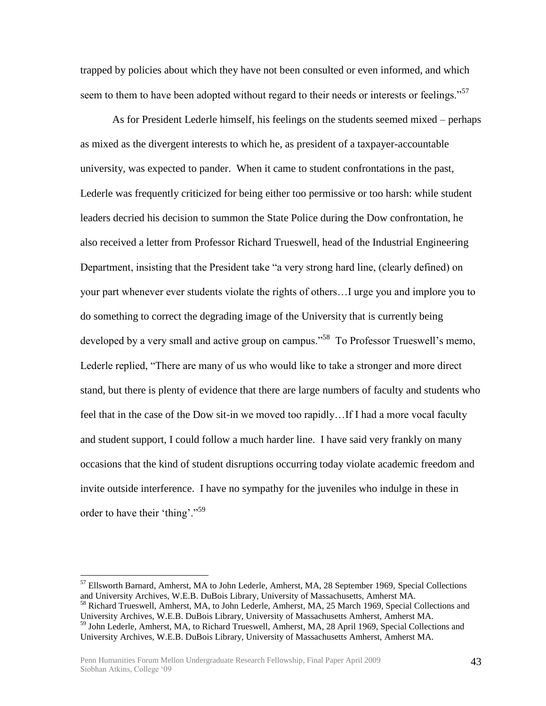trapped by policies about which they have not been consulted or even informed, and which seem to them to have been adopted without regard to their needs or interests or feelings."<sup>57</sup>

As for President Lederle himself, his feelings on the students seemed mixed – perhaps as mixed as the divergent interests to which he, as president of a taxpayer-accountable university, was expected to pander. When it came to student confrontations in the past, Lederle was frequently criticized for being either too permissive or too harsh: while student leaders decried his decision to summon the State Police during the Dow confrontation, he also received a letter from Professor Richard Trueswell, head of the Industrial Engineering Department, insisting that the President take "a very strong hard line, (clearly defined) on your part whenever ever students violate the rights of others…I urge you and implore you to do something to correct the degrading image of the University that is currently being developed by a very small and active group on campus."<sup>58</sup> To Professor Trueswell's memo, Lederle replied, "There are many of us who would like to take a stronger and more direct stand, but there is plenty of evidence that there are large numbers of faculty and students who feel that in the case of the Dow sit-in we moved too rapidly…If I had a more vocal faculty and student support, I could follow a much harder line. I have said very frankly on many occasions that the kind of student disruptions occurring today violate academic freedom and invite outside interference. I have no sympathy for the juveniles who indulge in these in order to have their 'thing'."<sup>59</sup>

<sup>57</sup> Ellsworth Barnard, Amherst, MA to John Lederle, Amherst, MA, 28 September 1969, Special Collections and University Archives, W.E.B. DuBois Library, University of Massachusetts, Amherst MA.

<sup>58</sup> Richard Trueswell, Amherst, MA, to John Lederle, Amherst, MA, 25 March 1969, Special Collections and University Archives, W.E.B. DuBois Library, University of Massachusetts Amherst, Amherst MA.

<sup>59</sup> John Lederle, Amherst, MA, to Richard Trueswell, Amherst, MA, 28 April 1969, Special Collections and University Archives, W.E.B. DuBois Library, University of Massachusetts Amherst, Amherst MA.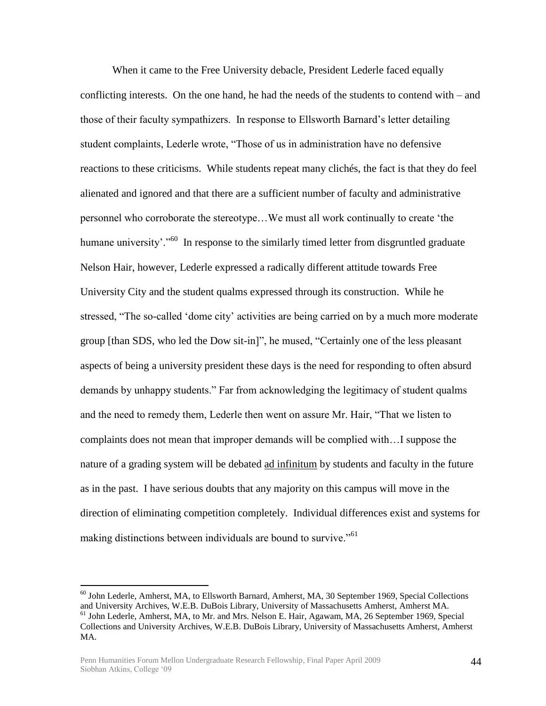When it came to the Free University debacle, President Lederle faced equally conflicting interests. On the one hand, he had the needs of the students to contend with – and those of their faculty sympathizers. In response to Ellsworth Barnard"s letter detailing student complaints, Lederle wrote, "Those of us in administration have no defensive reactions to these criticisms. While students repeat many clichés, the fact is that they do feel alienated and ignored and that there are a sufficient number of faculty and administrative personnel who corroborate the stereotype…We must all work continually to create "the humane university'."<sup>60</sup> In response to the similarly timed letter from disgruntled graduate Nelson Hair, however, Lederle expressed a radically different attitude towards Free University City and the student qualms expressed through its construction. While he stressed, "The so-called 'dome city' activities are being carried on by a much more moderate group [than SDS, who led the Dow sit-in]", he mused, "Certainly one of the less pleasant aspects of being a university president these days is the need for responding to often absurd demands by unhappy students." Far from acknowledging the legitimacy of student qualms and the need to remedy them, Lederle then went on assure Mr. Hair, "That we listen to complaints does not mean that improper demands will be complied with…I suppose the nature of a grading system will be debated ad infinitum by students and faculty in the future as in the past. I have serious doubts that any majority on this campus will move in the direction of eliminating competition completely. Individual differences exist and systems for making distinctions between individuals are bound to survive."<sup>61</sup>

<sup>&</sup>lt;sup>60</sup> John Lederle, Amherst, MA, to Ellsworth Barnard, Amherst, MA, 30 September 1969, Special Collections and University Archives, W.E.B. DuBois Library, University of Massachusetts Amherst, Amherst MA. <sup>61</sup> John Lederle, Amherst, MA, to Mr. and Mrs. Nelson E. Hair, Agawam, MA, 26 September 1969, Special Collections and University Archives, W.E.B. DuBois Library, University of Massachusetts Amherst, Amherst MA.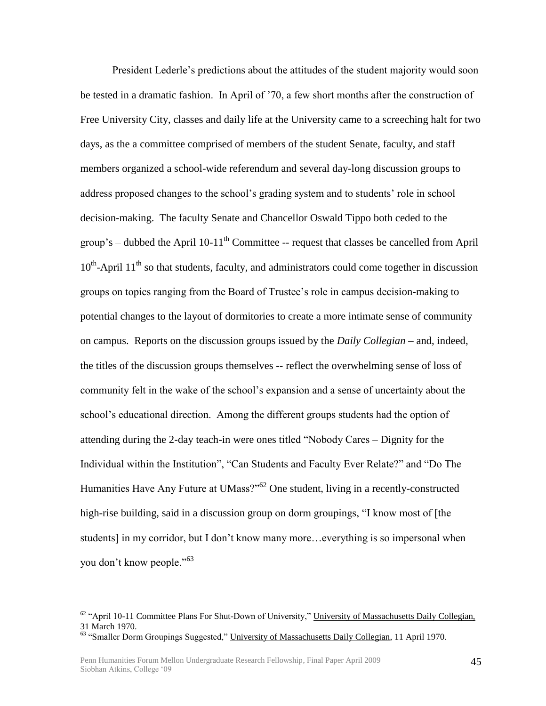President Lederle"s predictions about the attitudes of the student majority would soon be tested in a dramatic fashion. In April of "70, a few short months after the construction of Free University City, classes and daily life at the University came to a screeching halt for two days, as the a committee comprised of members of the student Senate, faculty, and staff members organized a school-wide referendum and several day-long discussion groups to address proposed changes to the school's grading system and to students' role in school decision-making. The faculty Senate and Chancellor Oswald Tippo both ceded to the group's – dubbed the April  $10-11^{th}$  Committee -- request that classes be cancelled from April  $10<sup>th</sup>$ -April  $11<sup>th</sup>$  so that students, faculty, and administrators could come together in discussion groups on topics ranging from the Board of Trustee"s role in campus decision-making to potential changes to the layout of dormitories to create a more intimate sense of community on campus. Reports on the discussion groups issued by the *Daily Collegian –* and, indeed, the titles of the discussion groups themselves -- reflect the overwhelming sense of loss of community felt in the wake of the school"s expansion and a sense of uncertainty about the school"s educational direction. Among the different groups students had the option of attending during the 2-day teach-in were ones titled "Nobody Cares – Dignity for the Individual within the Institution", "Can Students and Faculty Ever Relate?" and "Do The Humanities Have Any Future at UMass?"<sup>62</sup> One student, living in a recently-constructed high-rise building, said in a discussion group on dorm groupings, "I know most of [the students] in my corridor, but I don"t know many more…everything is so impersonal when you don't know people."<sup>63</sup>

<sup>&</sup>lt;sup>62</sup> "April 10-11 Committee Plans For Shut-Down of University," University of Massachusetts Daily Collegian, 31 March 1970.

<sup>&</sup>lt;sup>63</sup> "Smaller Dorm Groupings Suggested," University of Massachusetts Daily Collegian, 11 April 1970.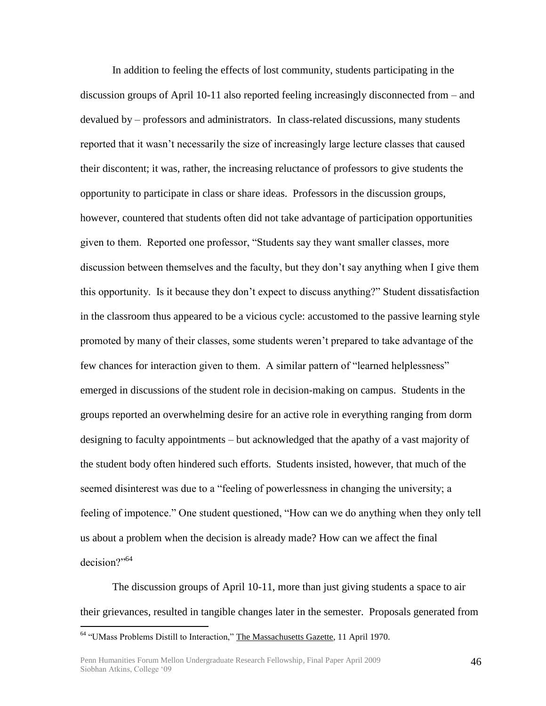In addition to feeling the effects of lost community, students participating in the discussion groups of April 10-11 also reported feeling increasingly disconnected from – and devalued by – professors and administrators. In class-related discussions, many students reported that it wasn"t necessarily the size of increasingly large lecture classes that caused their discontent; it was, rather, the increasing reluctance of professors to give students the opportunity to participate in class or share ideas. Professors in the discussion groups, however, countered that students often did not take advantage of participation opportunities given to them. Reported one professor, "Students say they want smaller classes, more discussion between themselves and the faculty, but they don"t say anything when I give them this opportunity. Is it because they don"t expect to discuss anything?" Student dissatisfaction in the classroom thus appeared to be a vicious cycle: accustomed to the passive learning style promoted by many of their classes, some students weren"t prepared to take advantage of the few chances for interaction given to them. A similar pattern of "learned helplessness" emerged in discussions of the student role in decision-making on campus. Students in the groups reported an overwhelming desire for an active role in everything ranging from dorm designing to faculty appointments – but acknowledged that the apathy of a vast majority of the student body often hindered such efforts. Students insisted, however, that much of the seemed disinterest was due to a "feeling of powerlessness in changing the university; a feeling of impotence." One student questioned, "How can we do anything when they only tell us about a problem when the decision is already made? How can we affect the final decision?"<sup>64</sup>

The discussion groups of April 10-11, more than just giving students a space to air their grievances, resulted in tangible changes later in the semester. Proposals generated from

<sup>&</sup>lt;sup>64</sup> "UMass Problems Distill to Interaction," The Massachusetts Gazette, 11 April 1970.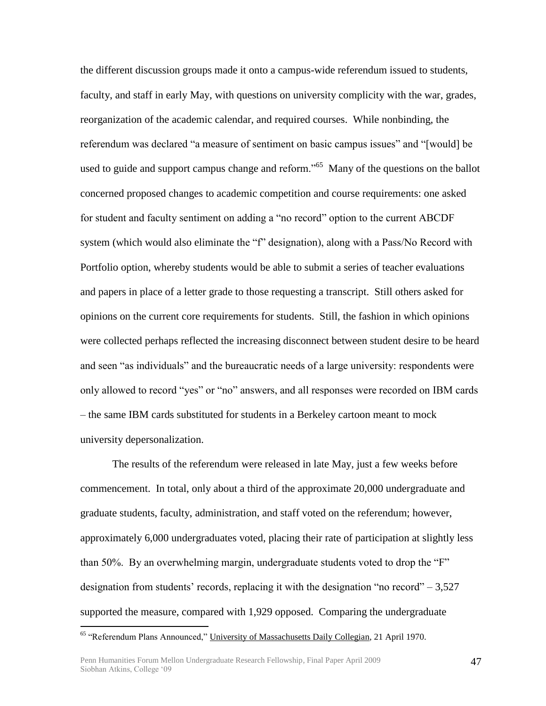the different discussion groups made it onto a campus-wide referendum issued to students, faculty, and staff in early May, with questions on university complicity with the war, grades, reorganization of the academic calendar, and required courses. While nonbinding, the referendum was declared "a measure of sentiment on basic campus issues" and "[would] be used to guide and support campus change and reform."<sup>65</sup> Many of the questions on the ballot concerned proposed changes to academic competition and course requirements: one asked for student and faculty sentiment on adding a "no record" option to the current ABCDF system (which would also eliminate the "f" designation), along with a Pass/No Record with Portfolio option, whereby students would be able to submit a series of teacher evaluations and papers in place of a letter grade to those requesting a transcript. Still others asked for opinions on the current core requirements for students. Still, the fashion in which opinions were collected perhaps reflected the increasing disconnect between student desire to be heard and seen "as individuals" and the bureaucratic needs of a large university: respondents were only allowed to record "yes" or "no" answers, and all responses were recorded on IBM cards – the same IBM cards substituted for students in a Berkeley cartoon meant to mock university depersonalization.

The results of the referendum were released in late May, just a few weeks before commencement. In total, only about a third of the approximate 20,000 undergraduate and graduate students, faculty, administration, and staff voted on the referendum; however, approximately 6,000 undergraduates voted, placing their rate of participation at slightly less than 50%. By an overwhelming margin, undergraduate students voted to drop the "F" designation from students' records, replacing it with the designation "no record"  $-3,527$ supported the measure, compared with 1,929 opposed. Comparing the undergraduate

<sup>&</sup>lt;sup>65</sup> "Referendum Plans Announced," University of Massachusetts Daily Collegian, 21 April 1970.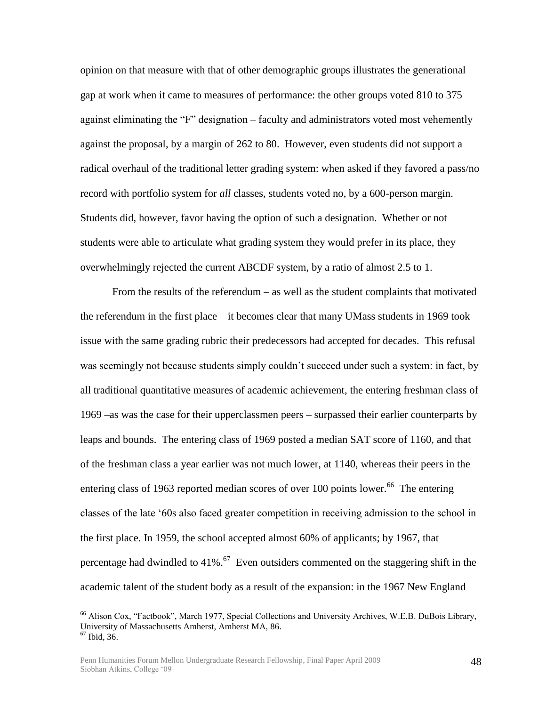opinion on that measure with that of other demographic groups illustrates the generational gap at work when it came to measures of performance: the other groups voted 810 to 375 against eliminating the "F" designation – faculty and administrators voted most vehemently against the proposal, by a margin of 262 to 80. However, even students did not support a radical overhaul of the traditional letter grading system: when asked if they favored a pass/no record with portfolio system for *all* classes, students voted no, by a 600-person margin. Students did, however, favor having the option of such a designation. Whether or not students were able to articulate what grading system they would prefer in its place, they overwhelmingly rejected the current ABCDF system, by a ratio of almost 2.5 to 1.

From the results of the referendum – as well as the student complaints that motivated the referendum in the first place – it becomes clear that many UMass students in 1969 took issue with the same grading rubric their predecessors had accepted for decades. This refusal was seemingly not because students simply couldn't succeed under such a system: in fact, by all traditional quantitative measures of academic achievement, the entering freshman class of 1969 –as was the case for their upperclassmen peers – surpassed their earlier counterparts by leaps and bounds. The entering class of 1969 posted a median SAT score of 1160, and that of the freshman class a year earlier was not much lower, at 1140, whereas their peers in the entering class of 1963 reported median scores of over 100 points lower.<sup>66</sup> The entering classes of the late "60s also faced greater competition in receiving admission to the school in the first place. In 1959, the school accepted almost 60% of applicants; by 1967, that percentage had dwindled to 41%.<sup>67</sup> Even outsiders commented on the staggering shift in the academic talent of the student body as a result of the expansion: in the 1967 New England

<sup>66</sup> Alison Cox, "Factbook", March 1977, Special Collections and University Archives, W.E.B. DuBois Library, University of Massachusetts Amherst, Amherst MA, 86.

 $67$  Ibid, 36.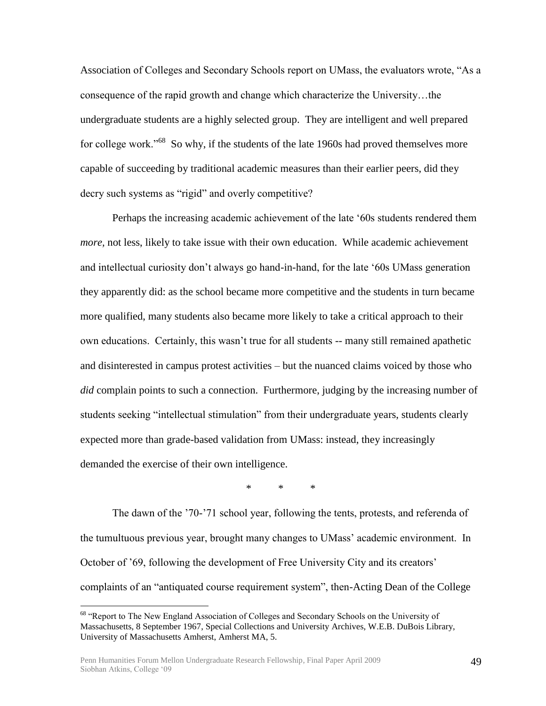Association of Colleges and Secondary Schools report on UMass, the evaluators wrote, "As a consequence of the rapid growth and change which characterize the University…the undergraduate students are a highly selected group. They are intelligent and well prepared for college work."<sup>68</sup> So why, if the students of the late 1960s had proved themselves more capable of succeeding by traditional academic measures than their earlier peers, did they decry such systems as "rigid" and overly competitive?

Perhaps the increasing academic achievement of the late "60s students rendered them *more*, not less, likely to take issue with their own education. While academic achievement and intellectual curiosity don"t always go hand-in-hand, for the late "60s UMass generation they apparently did: as the school became more competitive and the students in turn became more qualified, many students also became more likely to take a critical approach to their own educations. Certainly, this wasn"t true for all students -- many still remained apathetic and disinterested in campus protest activities – but the nuanced claims voiced by those who *did* complain points to such a connection. Furthermore, judging by the increasing number of students seeking "intellectual stimulation" from their undergraduate years, students clearly expected more than grade-based validation from UMass: instead, they increasingly demanded the exercise of their own intelligence.

\* \* \*

The dawn of the '70-'71 school year, following the tents, protests, and referenda of the tumultuous previous year, brought many changes to UMass" academic environment. In October of "69, following the development of Free University City and its creators" complaints of an "antiquated course requirement system", then-Acting Dean of the College

<sup>&</sup>lt;sup>68</sup> "Report to The New England Association of Colleges and Secondary Schools on the University of Massachusetts, 8 September 1967, Special Collections and University Archives, W.E.B. DuBois Library, University of Massachusetts Amherst, Amherst MA, 5.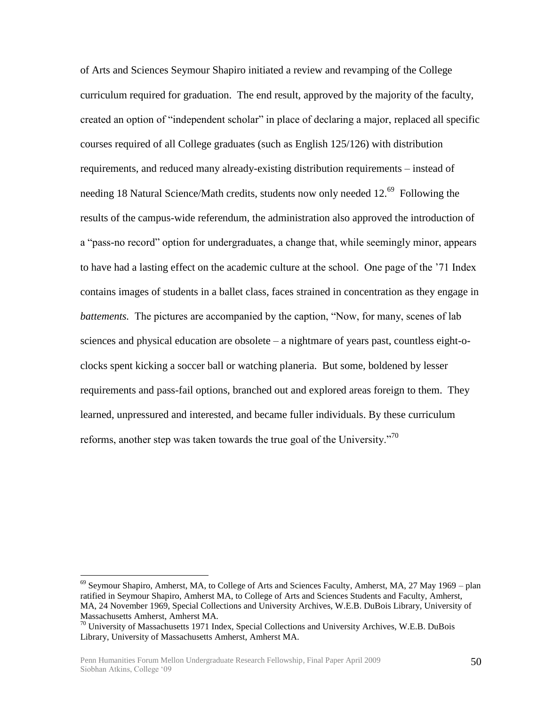of Arts and Sciences Seymour Shapiro initiated a review and revamping of the College curriculum required for graduation. The end result, approved by the majority of the faculty, created an option of "independent scholar" in place of declaring a major, replaced all specific courses required of all College graduates (such as English 125/126) with distribution requirements, and reduced many already-existing distribution requirements – instead of needing 18 Natural Science/Math credits, students now only needed 12.<sup>69</sup> Following the results of the campus-wide referendum, the administration also approved the introduction of a "pass-no record" option for undergraduates, a change that, while seemingly minor, appears to have had a lasting effect on the academic culture at the school. One page of the "71 Index contains images of students in a ballet class, faces strained in concentration as they engage in *battements.* The pictures are accompanied by the caption, "Now, for many, scenes of lab sciences and physical education are obsolete – a nightmare of years past, countless eight-oclocks spent kicking a soccer ball or watching planeria. But some, boldened by lesser requirements and pass-fail options, branched out and explored areas foreign to them. They learned, unpressured and interested, and became fuller individuals. By these curriculum reforms, another step was taken towards the true goal of the University."<sup>70</sup>

<sup>69</sup> Seymour Shapiro, Amherst, MA, to College of Arts and Sciences Faculty, Amherst, MA, 27 May 1969 – plan ratified in Seymour Shapiro, Amherst MA, to College of Arts and Sciences Students and Faculty, Amherst, MA, 24 November 1969, Special Collections and University Archives, W.E.B. DuBois Library, University of Massachusetts Amherst, Amherst MA.

<sup>70</sup> University of Massachusetts 1971 Index, Special Collections and University Archives, W.E.B. DuBois Library, University of Massachusetts Amherst, Amherst MA.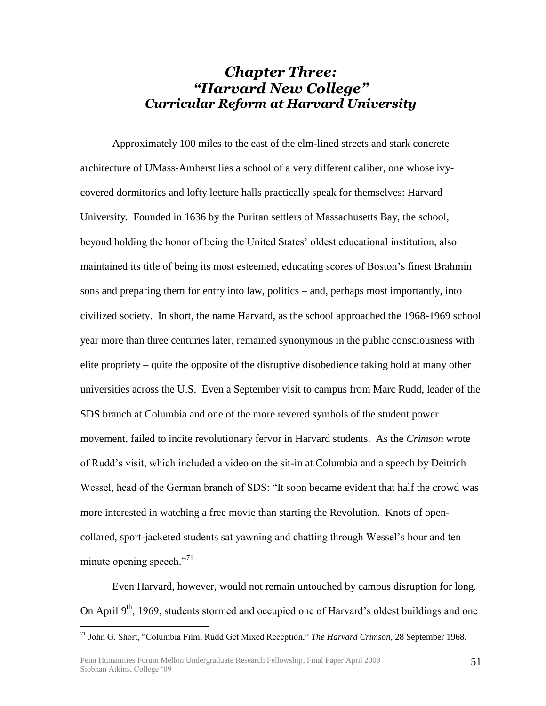## *Chapter Three: "Harvard New College" Curricular Reform at Harvard University*

Approximately 100 miles to the east of the elm-lined streets and stark concrete architecture of UMass-Amherst lies a school of a very different caliber, one whose ivycovered dormitories and lofty lecture halls practically speak for themselves: Harvard University. Founded in 1636 by the Puritan settlers of Massachusetts Bay, the school, beyond holding the honor of being the United States" oldest educational institution, also maintained its title of being its most esteemed, educating scores of Boston"s finest Brahmin sons and preparing them for entry into law, politics – and, perhaps most importantly, into civilized society. In short, the name Harvard, as the school approached the 1968-1969 school year more than three centuries later, remained synonymous in the public consciousness with elite propriety – quite the opposite of the disruptive disobedience taking hold at many other universities across the U.S. Even a September visit to campus from Marc Rudd, leader of the SDS branch at Columbia and one of the more revered symbols of the student power movement, failed to incite revolutionary fervor in Harvard students. As the *Crimson* wrote of Rudd"s visit, which included a video on the sit-in at Columbia and a speech by Deitrich Wessel, head of the German branch of SDS: "It soon became evident that half the crowd was more interested in watching a free movie than starting the Revolution. Knots of opencollared, sport-jacketed students sat yawning and chatting through Wessel"s hour and ten minute opening speech."<sup>71</sup>

Even Harvard, however, would not remain untouched by campus disruption for long. On April 9<sup>th</sup>, 1969, students stormed and occupied one of Harvard's oldest buildings and one

<sup>71</sup> John G. Short, "Columbia Film, Rudd Get Mixed Reception," *The Harvard Crimson*, 28 September 1968.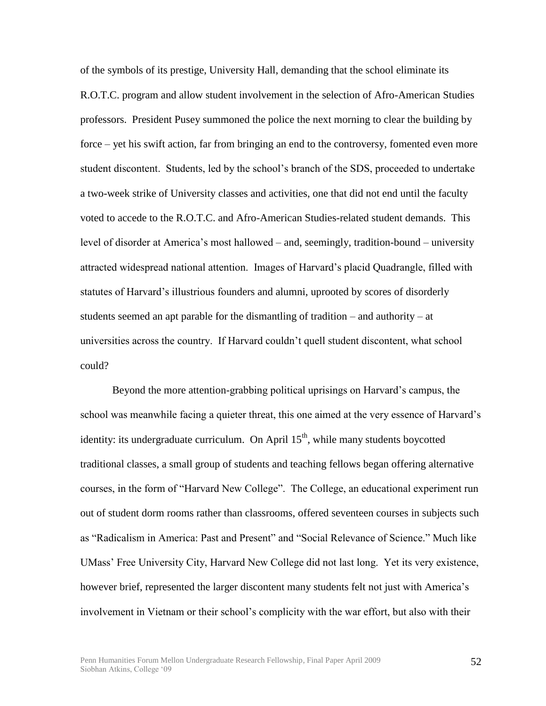of the symbols of its prestige, University Hall, demanding that the school eliminate its R.O.T.C. program and allow student involvement in the selection of Afro-American Studies professors. President Pusey summoned the police the next morning to clear the building by force – yet his swift action, far from bringing an end to the controversy, fomented even more student discontent. Students, led by the school"s branch of the SDS, proceeded to undertake a two-week strike of University classes and activities, one that did not end until the faculty voted to accede to the R.O.T.C. and Afro-American Studies-related student demands. This level of disorder at America"s most hallowed – and, seemingly, tradition-bound – university attracted widespread national attention. Images of Harvard"s placid Quadrangle, filled with statutes of Harvard"s illustrious founders and alumni, uprooted by scores of disorderly students seemed an apt parable for the dismantling of tradition – and authority – at universities across the country. If Harvard couldn"t quell student discontent, what school could?

Beyond the more attention-grabbing political uprisings on Harvard"s campus, the school was meanwhile facing a quieter threat, this one aimed at the very essence of Harvard's identity: its undergraduate curriculum. On April  $15<sup>th</sup>$ , while many students boycotted traditional classes, a small group of students and teaching fellows began offering alternative courses, in the form of "Harvard New College". The College, an educational experiment run out of student dorm rooms rather than classrooms, offered seventeen courses in subjects such as "Radicalism in America: Past and Present" and "Social Relevance of Science." Much like UMass" Free University City, Harvard New College did not last long. Yet its very existence, however brief, represented the larger discontent many students felt not just with America's involvement in Vietnam or their school"s complicity with the war effort, but also with their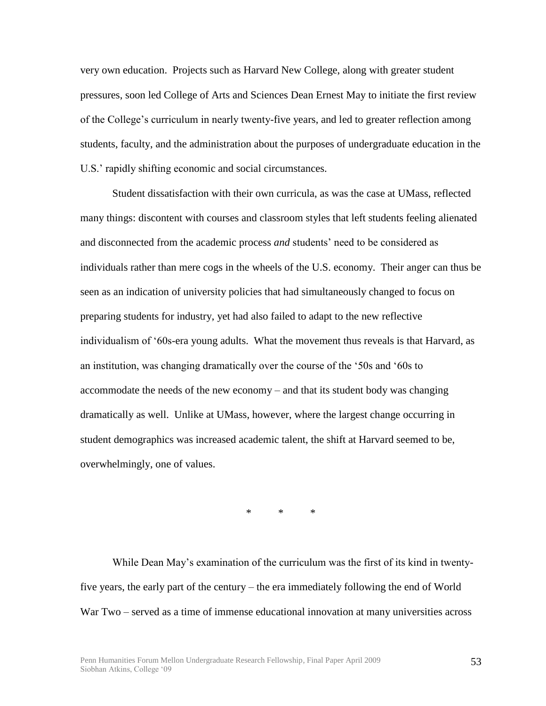very own education. Projects such as Harvard New College, along with greater student pressures, soon led College of Arts and Sciences Dean Ernest May to initiate the first review of the College"s curriculum in nearly twenty-five years, and led to greater reflection among students, faculty, and the administration about the purposes of undergraduate education in the U.S.' rapidly shifting economic and social circumstances.

Student dissatisfaction with their own curricula, as was the case at UMass, reflected many things: discontent with courses and classroom styles that left students feeling alienated and disconnected from the academic process *and* students" need to be considered as individuals rather than mere cogs in the wheels of the U.S. economy. Their anger can thus be seen as an indication of university policies that had simultaneously changed to focus on preparing students for industry, yet had also failed to adapt to the new reflective individualism of "60s-era young adults. What the movement thus reveals is that Harvard, as an institution, was changing dramatically over the course of the "50s and "60s to accommodate the needs of the new economy – and that its student body was changing dramatically as well. Unlike at UMass, however, where the largest change occurring in student demographics was increased academic talent, the shift at Harvard seemed to be, overwhelmingly, one of values.

\* \* \*

While Dean May"s examination of the curriculum was the first of its kind in twentyfive years, the early part of the century – the era immediately following the end of World War Two – served as a time of immense educational innovation at many universities across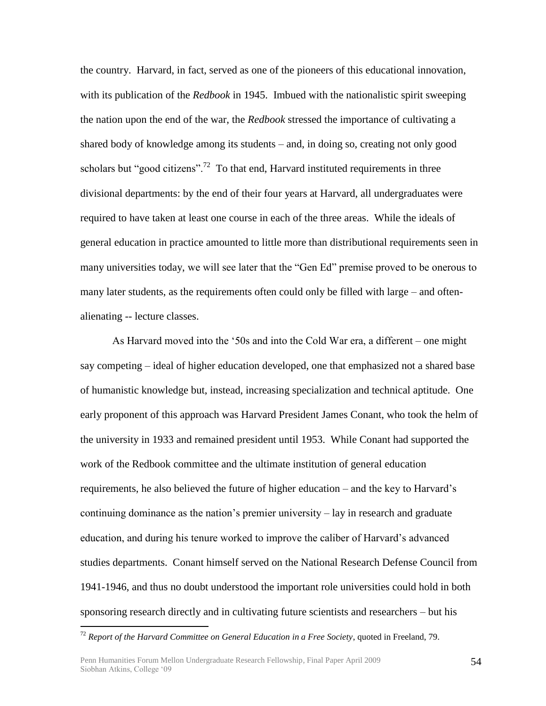the country. Harvard, in fact, served as one of the pioneers of this educational innovation, with its publication of the *Redbook* in 1945. Imbued with the nationalistic spirit sweeping the nation upon the end of the war, the *Redbook* stressed the importance of cultivating a shared body of knowledge among its students – and, in doing so, creating not only good scholars but "good citizens".<sup>72</sup> To that end, Harvard instituted requirements in three divisional departments: by the end of their four years at Harvard, all undergraduates were required to have taken at least one course in each of the three areas. While the ideals of general education in practice amounted to little more than distributional requirements seen in many universities today, we will see later that the "Gen Ed" premise proved to be onerous to many later students, as the requirements often could only be filled with large – and oftenalienating -- lecture classes.

As Harvard moved into the "50s and into the Cold War era, a different – one might say competing – ideal of higher education developed, one that emphasized not a shared base of humanistic knowledge but, instead, increasing specialization and technical aptitude. One early proponent of this approach was Harvard President James Conant, who took the helm of the university in 1933 and remained president until 1953. While Conant had supported the work of the Redbook committee and the ultimate institution of general education requirements, he also believed the future of higher education – and the key to Harvard"s continuing dominance as the nation"s premier university – lay in research and graduate education, and during his tenure worked to improve the caliber of Harvard"s advanced studies departments. Conant himself served on the National Research Defense Council from 1941-1946, and thus no doubt understood the important role universities could hold in both sponsoring research directly and in cultivating future scientists and researchers – but his

<sup>72</sup> *Report of the Harvard Committee on General Education in a Free Society*, quoted in Freeland, 79.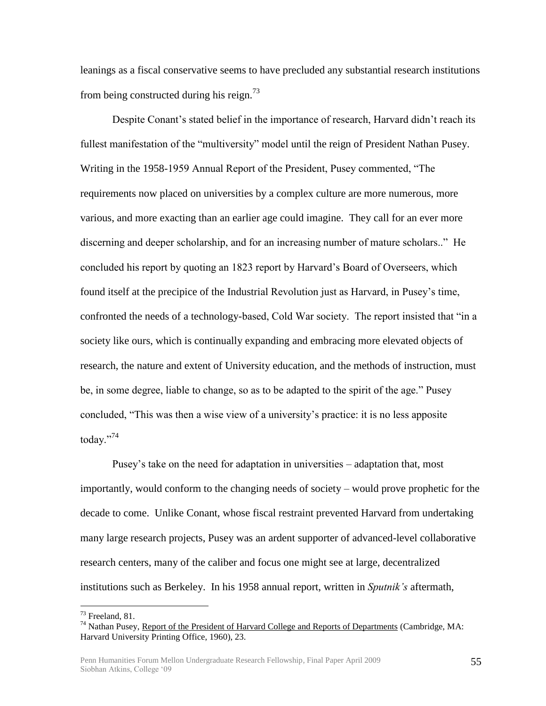leanings as a fiscal conservative seems to have precluded any substantial research institutions from being constructed during his reign.<sup>73</sup>

Despite Conant's stated belief in the importance of research, Harvard didn't reach its fullest manifestation of the "multiversity" model until the reign of President Nathan Pusey. Writing in the 1958-1959 Annual Report of the President, Pusey commented, "The requirements now placed on universities by a complex culture are more numerous, more various, and more exacting than an earlier age could imagine. They call for an ever more discerning and deeper scholarship, and for an increasing number of mature scholars.." He concluded his report by quoting an 1823 report by Harvard"s Board of Overseers, which found itself at the precipice of the Industrial Revolution just as Harvard, in Pusey"s time, confronted the needs of a technology-based, Cold War society. The report insisted that "in a society like ours, which is continually expanding and embracing more elevated objects of research, the nature and extent of University education, and the methods of instruction, must be, in some degree, liable to change, so as to be adapted to the spirit of the age." Pusey concluded, "This was then a wise view of a university"s practice: it is no less apposite today."<sup>74</sup>

Pusey"s take on the need for adaptation in universities – adaptation that, most importantly, would conform to the changing needs of society – would prove prophetic for the decade to come. Unlike Conant, whose fiscal restraint prevented Harvard from undertaking many large research projects, Pusey was an ardent supporter of advanced-level collaborative research centers, many of the caliber and focus one might see at large, decentralized institutions such as Berkeley. In his 1958 annual report, written in *Sputnik's* aftermath,

 $73$  Freeland, 81.

<sup>&</sup>lt;sup>74</sup> Nathan Pusey, Report of the President of Harvard College and Reports of Departments (Cambridge, MA: Harvard University Printing Office, 1960), 23.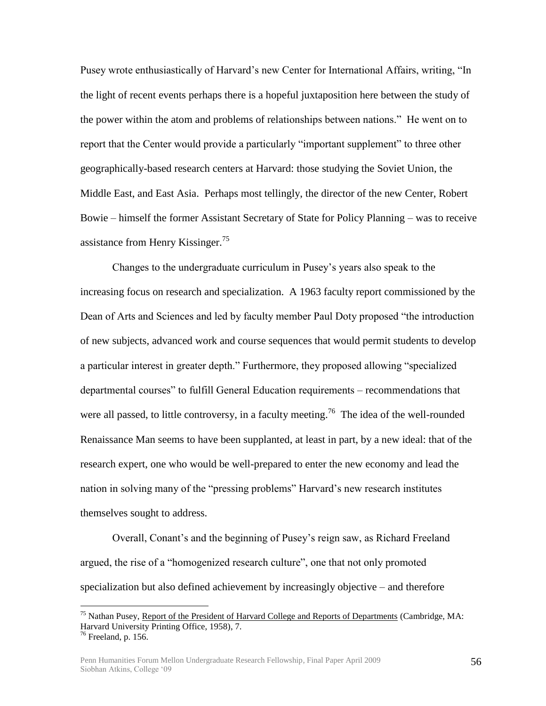Pusey wrote enthusiastically of Harvard"s new Center for International Affairs, writing, "In the light of recent events perhaps there is a hopeful juxtaposition here between the study of the power within the atom and problems of relationships between nations." He went on to report that the Center would provide a particularly "important supplement" to three other geographically-based research centers at Harvard: those studying the Soviet Union, the Middle East, and East Asia. Perhaps most tellingly, the director of the new Center, Robert Bowie – himself the former Assistant Secretary of State for Policy Planning – was to receive assistance from Henry Kissinger.<sup>75</sup>

Changes to the undergraduate curriculum in Pusey"s years also speak to the increasing focus on research and specialization. A 1963 faculty report commissioned by the Dean of Arts and Sciences and led by faculty member Paul Doty proposed "the introduction of new subjects, advanced work and course sequences that would permit students to develop a particular interest in greater depth." Furthermore, they proposed allowing "specialized departmental courses" to fulfill General Education requirements – recommendations that were all passed, to little controversy, in a faculty meeting.<sup>76</sup> The idea of the well-rounded Renaissance Man seems to have been supplanted, at least in part, by a new ideal: that of the research expert, one who would be well-prepared to enter the new economy and lead the nation in solving many of the "pressing problems" Harvard"s new research institutes themselves sought to address.

Overall, Conant's and the beginning of Pusey's reign saw, as Richard Freeland argued, the rise of a "homogenized research culture", one that not only promoted specialization but also defined achievement by increasingly objective – and therefore

<sup>&</sup>lt;sup>75</sup> Nathan Pusey, Report of the President of Harvard College and Reports of Departments (Cambridge, MA: Harvard University Printing Office, 1958), 7.

 $76$  Freeland, p. 156.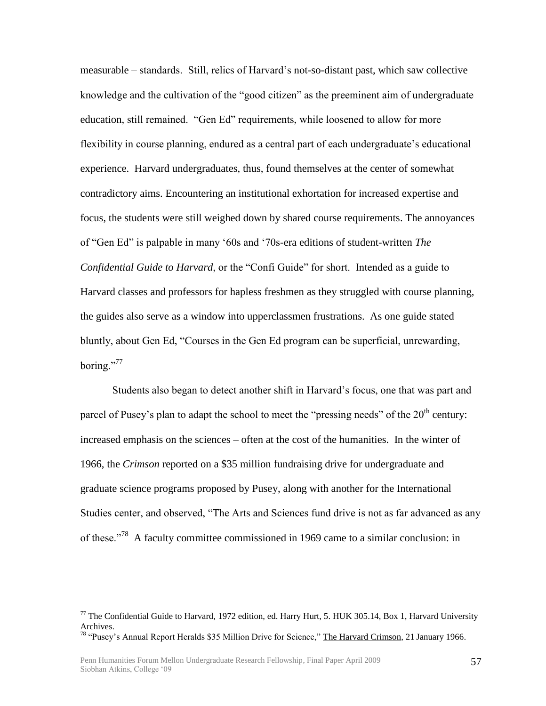measurable – standards. Still, relics of Harvard"s not-so-distant past, which saw collective knowledge and the cultivation of the "good citizen" as the preeminent aim of undergraduate education, still remained. "Gen Ed" requirements, while loosened to allow for more flexibility in course planning, endured as a central part of each undergraduate's educational experience. Harvard undergraduates, thus, found themselves at the center of somewhat contradictory aims. Encountering an institutional exhortation for increased expertise and focus, the students were still weighed down by shared course requirements. The annoyances of "Gen Ed" is palpable in many "60s and "70s-era editions of student-written *The Confidential Guide to Harvard*, or the "Confi Guide" for short. Intended as a guide to Harvard classes and professors for hapless freshmen as they struggled with course planning, the guides also serve as a window into upperclassmen frustrations. As one guide stated bluntly, about Gen Ed, "Courses in the Gen Ed program can be superficial, unrewarding, boring." $77$ 

Students also began to detect another shift in Harvard"s focus, one that was part and parcel of Pusey's plan to adapt the school to meet the "pressing needs" of the  $20<sup>th</sup>$  century: increased emphasis on the sciences – often at the cost of the humanities. In the winter of 1966, the *Crimson* reported on a \$35 million fundraising drive for undergraduate and graduate science programs proposed by Pusey, along with another for the International Studies center, and observed, "The Arts and Sciences fund drive is not as far advanced as any of these."<sup>78</sup> A faculty committee commissioned in 1969 came to a similar conclusion: in

<sup>&</sup>lt;sup>77</sup> The Confidential Guide to Harvard, 1972 edition, ed. Harry Hurt, 5. HUK 305.14, Box 1, Harvard University Archives.

<sup>&</sup>lt;sup>78</sup> "Pusey's Annual Report Heralds \$35 Million Drive for Science," The Harvard Crimson, 21 January 1966.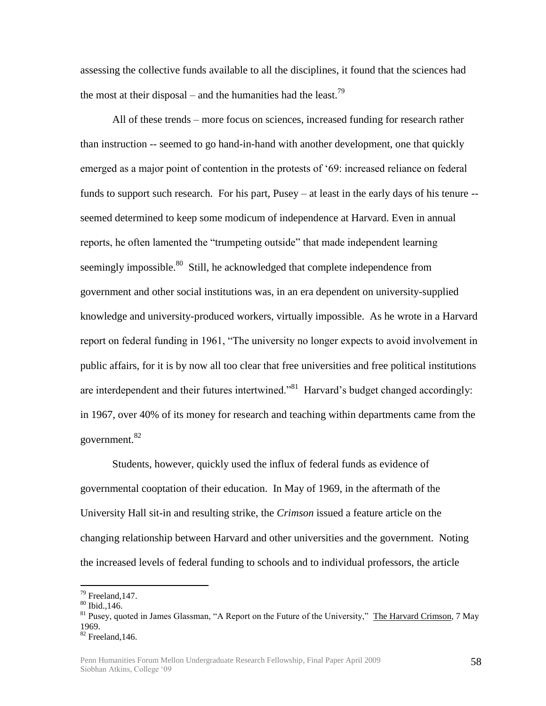assessing the collective funds available to all the disciplines, it found that the sciences had the most at their disposal – and the humanities had the least.<sup>79</sup>

All of these trends – more focus on sciences, increased funding for research rather than instruction -- seemed to go hand-in-hand with another development, one that quickly emerged as a major point of contention in the protests of "69: increased reliance on federal funds to support such research. For his part, Pusey – at least in the early days of his tenure - seemed determined to keep some modicum of independence at Harvard. Even in annual reports, he often lamented the "trumpeting outside" that made independent learning seemingly impossible.<sup>80</sup> Still, he acknowledged that complete independence from government and other social institutions was, in an era dependent on university-supplied knowledge and university-produced workers, virtually impossible. As he wrote in a Harvard report on federal funding in 1961, "The university no longer expects to avoid involvement in public affairs, for it is by now all too clear that free universities and free political institutions are interdependent and their futures intertwined."<sup>81</sup> Harvard's budget changed accordingly: in 1967, over 40% of its money for research and teaching within departments came from the government.<sup>82</sup>

Students, however, quickly used the influx of federal funds as evidence of governmental cooptation of their education. In May of 1969, in the aftermath of the University Hall sit-in and resulting strike, the *Crimson* issued a feature article on the changing relationship between Harvard and other universities and the government. Noting the increased levels of federal funding to schools and to individual professors, the article

 $79$  Freeland, 147.

 $80$  Ibid., 146.

<sup>81</sup> Pusey, quoted in James Glassman, "A Report on the Future of the University," The Harvard Crimson*,* 7 May 1969.

 $82$  Freeland, 146.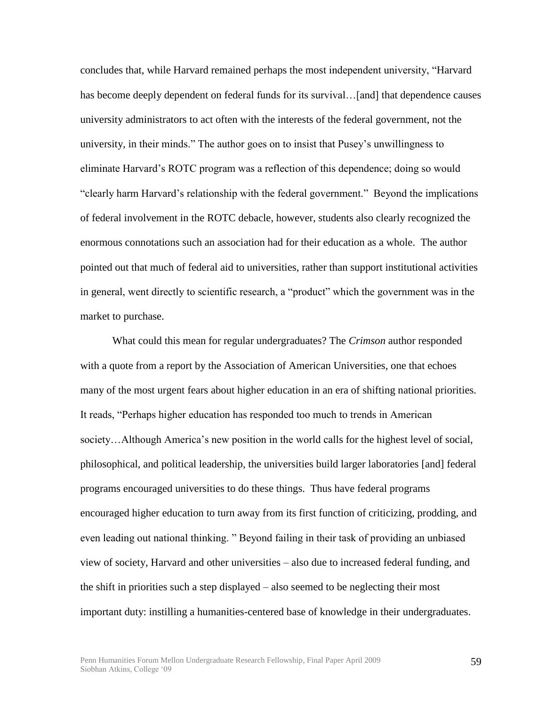concludes that, while Harvard remained perhaps the most independent university, "Harvard has become deeply dependent on federal funds for its survival...[and] that dependence causes university administrators to act often with the interests of the federal government, not the university, in their minds." The author goes on to insist that Pusey"s unwillingness to eliminate Harvard"s ROTC program was a reflection of this dependence; doing so would "clearly harm Harvard"s relationship with the federal government." Beyond the implications of federal involvement in the ROTC debacle, however, students also clearly recognized the enormous connotations such an association had for their education as a whole. The author pointed out that much of federal aid to universities, rather than support institutional activities in general, went directly to scientific research, a "product" which the government was in the market to purchase.

What could this mean for regular undergraduates? The *Crimson* author responded with a quote from a report by the Association of American Universities, one that echoes many of the most urgent fears about higher education in an era of shifting national priorities. It reads, "Perhaps higher education has responded too much to trends in American society...Although America's new position in the world calls for the highest level of social, philosophical, and political leadership, the universities build larger laboratories [and] federal programs encouraged universities to do these things. Thus have federal programs encouraged higher education to turn away from its first function of criticizing, prodding, and even leading out national thinking. " Beyond failing in their task of providing an unbiased view of society, Harvard and other universities – also due to increased federal funding, and the shift in priorities such a step displayed – also seemed to be neglecting their most important duty: instilling a humanities-centered base of knowledge in their undergraduates.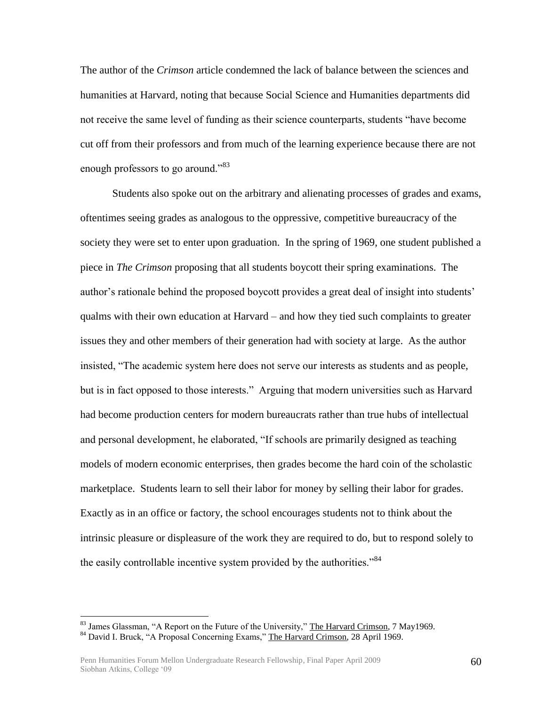The author of the *Crimson* article condemned the lack of balance between the sciences and humanities at Harvard, noting that because Social Science and Humanities departments did not receive the same level of funding as their science counterparts, students "have become cut off from their professors and from much of the learning experience because there are not enough professors to go around."<sup>83</sup>

Students also spoke out on the arbitrary and alienating processes of grades and exams, oftentimes seeing grades as analogous to the oppressive, competitive bureaucracy of the society they were set to enter upon graduation. In the spring of 1969, one student published a piece in *The Crimson* proposing that all students boycott their spring examinations. The author"s rationale behind the proposed boycott provides a great deal of insight into students" qualms with their own education at Harvard – and how they tied such complaints to greater issues they and other members of their generation had with society at large. As the author insisted, "The academic system here does not serve our interests as students and as people, but is in fact opposed to those interests." Arguing that modern universities such as Harvard had become production centers for modern bureaucrats rather than true hubs of intellectual and personal development, he elaborated, "If schools are primarily designed as teaching models of modern economic enterprises, then grades become the hard coin of the scholastic marketplace. Students learn to sell their labor for money by selling their labor for grades. Exactly as in an office or factory, the school encourages students not to think about the intrinsic pleasure or displeasure of the work they are required to do, but to respond solely to the easily controllable incentive system provided by the authorities."<sup>84</sup>

<sup>83</sup> James Glassman, "A Report on the Future of the University," The Harvard Crimson*,* 7 May1969.

<sup>&</sup>lt;sup>84</sup> David I. Bruck, "A Proposal Concerning Exams," The Harvard Crimson, 28 April 1969.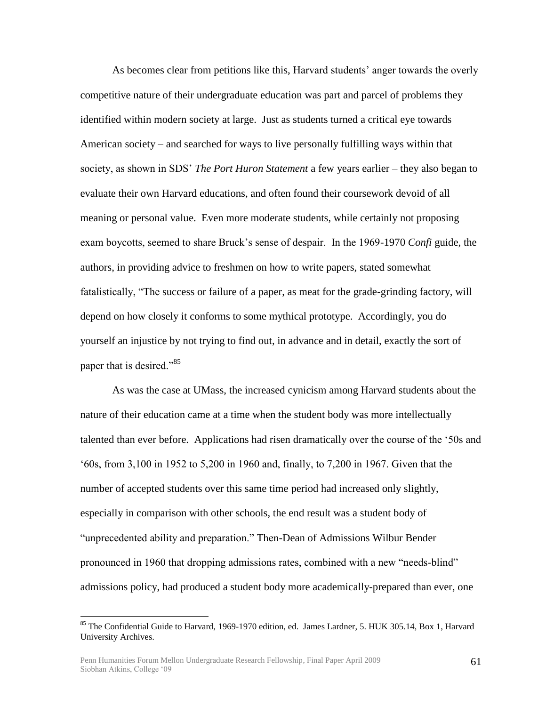As becomes clear from petitions like this, Harvard students" anger towards the overly competitive nature of their undergraduate education was part and parcel of problems they identified within modern society at large. Just as students turned a critical eye towards American society – and searched for ways to live personally fulfilling ways within that society, as shown in SDS" *The Port Huron Statement* a few years earlier – they also began to evaluate their own Harvard educations, and often found their coursework devoid of all meaning or personal value. Even more moderate students, while certainly not proposing exam boycotts, seemed to share Bruck"s sense of despair. In the 1969-1970 *Confi* guide, the authors, in providing advice to freshmen on how to write papers, stated somewhat fatalistically, "The success or failure of a paper, as meat for the grade-grinding factory, will depend on how closely it conforms to some mythical prototype. Accordingly, you do yourself an injustice by not trying to find out, in advance and in detail, exactly the sort of paper that is desired."<sup>85</sup>

As was the case at UMass, the increased cynicism among Harvard students about the nature of their education came at a time when the student body was more intellectually talented than ever before. Applications had risen dramatically over the course of the "50s and "60s, from 3,100 in 1952 to 5,200 in 1960 and, finally, to 7,200 in 1967. Given that the number of accepted students over this same time period had increased only slightly, especially in comparison with other schools, the end result was a student body of "unprecedented ability and preparation." Then-Dean of Admissions Wilbur Bender pronounced in 1960 that dropping admissions rates, combined with a new "needs-blind" admissions policy, had produced a student body more academically-prepared than ever, one

<sup>&</sup>lt;sup>85</sup> The Confidential Guide to Harvard, 1969-1970 edition, ed. James Lardner, 5. HUK 305.14, Box 1, Harvard University Archives.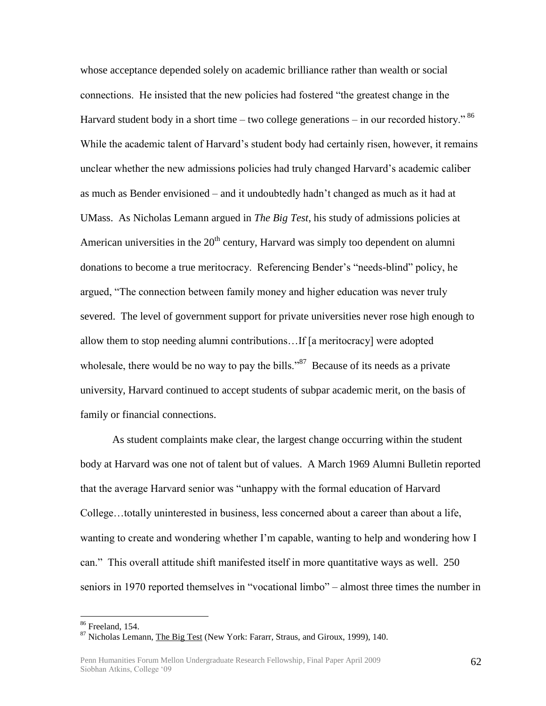whose acceptance depended solely on academic brilliance rather than wealth or social connections. He insisted that the new policies had fostered "the greatest change in the Harvard student body in a short time – two college generations – in our recorded history."  $86$ While the academic talent of Harvard's student body had certainly risen, however, it remains unclear whether the new admissions policies had truly changed Harvard"s academic caliber as much as Bender envisioned – and it undoubtedly hadn"t changed as much as it had at UMass. As Nicholas Lemann argued in *The Big Test*, his study of admissions policies at American universities in the  $20<sup>th</sup>$  century, Harvard was simply too dependent on alumni donations to become a true meritocracy. Referencing Bender"s "needs-blind" policy, he argued, "The connection between family money and higher education was never truly severed. The level of government support for private universities never rose high enough to allow them to stop needing alumni contributions…If [a meritocracy] were adopted wholesale, there would be no way to pay the bills."<sup>87</sup> Because of its needs as a private university, Harvard continued to accept students of subpar academic merit, on the basis of family or financial connections.

As student complaints make clear, the largest change occurring within the student body at Harvard was one not of talent but of values. A March 1969 Alumni Bulletin reported that the average Harvard senior was "unhappy with the formal education of Harvard College…totally uninterested in business, less concerned about a career than about a life, wanting to create and wondering whether I"m capable, wanting to help and wondering how I can." This overall attitude shift manifested itself in more quantitative ways as well. 250 seniors in 1970 reported themselves in "vocational limbo" – almost three times the number in

<sup>86</sup> Freeland, 154.

<sup>&</sup>lt;sup>87</sup> Nicholas Lemann, The Big Test (New York: Fararr, Straus, and Giroux, 1999), 140.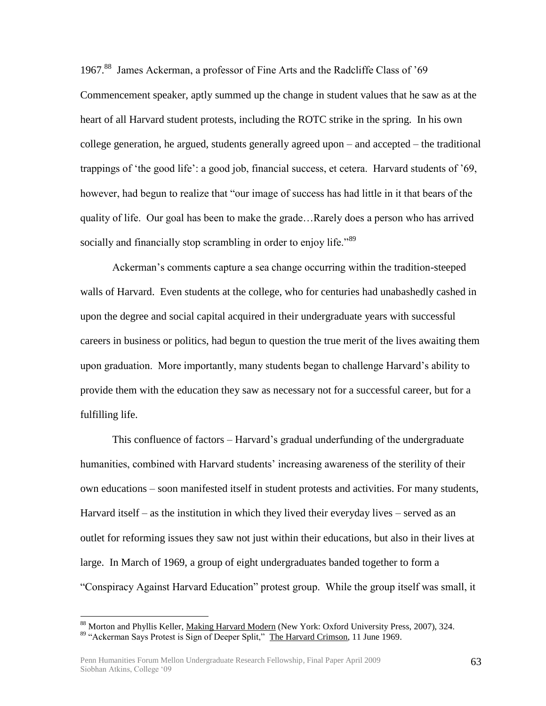1967.<sup>88</sup> James Ackerman, a professor of Fine Arts and the Radcliffe Class of '69 Commencement speaker, aptly summed up the change in student values that he saw as at the heart of all Harvard student protests, including the ROTC strike in the spring. In his own college generation, he argued, students generally agreed upon – and accepted – the traditional trappings of "the good life": a good job, financial success, et cetera. Harvard students of "69, however, had begun to realize that "our image of success has had little in it that bears of the quality of life. Our goal has been to make the grade…Rarely does a person who has arrived socially and financially stop scrambling in order to enjoy life.<sup>89</sup>

Ackerman"s comments capture a sea change occurring within the tradition-steeped walls of Harvard. Even students at the college, who for centuries had unabashedly cashed in upon the degree and social capital acquired in their undergraduate years with successful careers in business or politics, had begun to question the true merit of the lives awaiting them upon graduation. More importantly, many students began to challenge Harvard"s ability to provide them with the education they saw as necessary not for a successful career, but for a fulfilling life.

This confluence of factors – Harvard's gradual underfunding of the undergraduate humanities, combined with Harvard students' increasing awareness of the sterility of their own educations – soon manifested itself in student protests and activities. For many students, Harvard itself – as the institution in which they lived their everyday lives – served as an outlet for reforming issues they saw not just within their educations, but also in their lives at large. In March of 1969, a group of eight undergraduates banded together to form a "Conspiracy Against Harvard Education" protest group. While the group itself was small, it

<sup>88</sup> Morton and Phyllis Keller, Making Harvard Modern (New York: Oxford University Press, 2007), 324. <sup>89</sup> "Ackerman Says Protest is Sign of Deeper Split," The Harvard Crimson, 11 June 1969.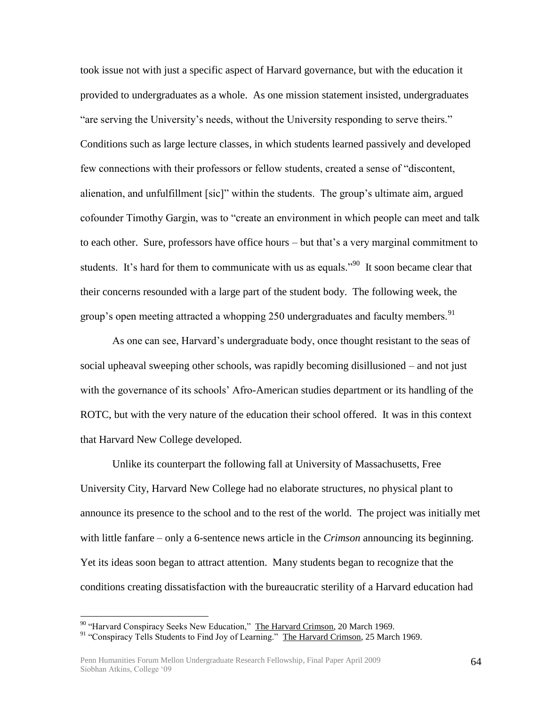took issue not with just a specific aspect of Harvard governance, but with the education it provided to undergraduates as a whole. As one mission statement insisted, undergraduates "are serving the University"s needs, without the University responding to serve theirs." Conditions such as large lecture classes, in which students learned passively and developed few connections with their professors or fellow students, created a sense of "discontent, alienation, and unfulfillment [sic]" within the students. The group"s ultimate aim, argued cofounder Timothy Gargin, was to "create an environment in which people can meet and talk to each other. Sure, professors have office hours – but that"s a very marginal commitment to students. It's hard for them to communicate with us as equals.<sup> $90$ </sup> It soon became clear that their concerns resounded with a large part of the student body. The following week, the group's open meeting attracted a whopping 250 undergraduates and faculty members.<sup>91</sup>

As one can see, Harvard"s undergraduate body, once thought resistant to the seas of social upheaval sweeping other schools, was rapidly becoming disillusioned – and not just with the governance of its schools" Afro-American studies department or its handling of the ROTC, but with the very nature of the education their school offered. It was in this context that Harvard New College developed.

Unlike its counterpart the following fall at University of Massachusetts, Free University City, Harvard New College had no elaborate structures, no physical plant to announce its presence to the school and to the rest of the world. The project was initially met with little fanfare – only a 6-sentence news article in the *Crimson* announcing its beginning. Yet its ideas soon began to attract attention. Many students began to recognize that the conditions creating dissatisfaction with the bureaucratic sterility of a Harvard education had

<sup>&</sup>lt;sup>90</sup> "Harvard Conspiracy Seeks New Education," The Harvard Crimson, 20 March 1969.

<sup>91</sup> "Conspiracy Tells Students to Find Joy of Learning." The Harvard Crimson*,* 25 March 1969.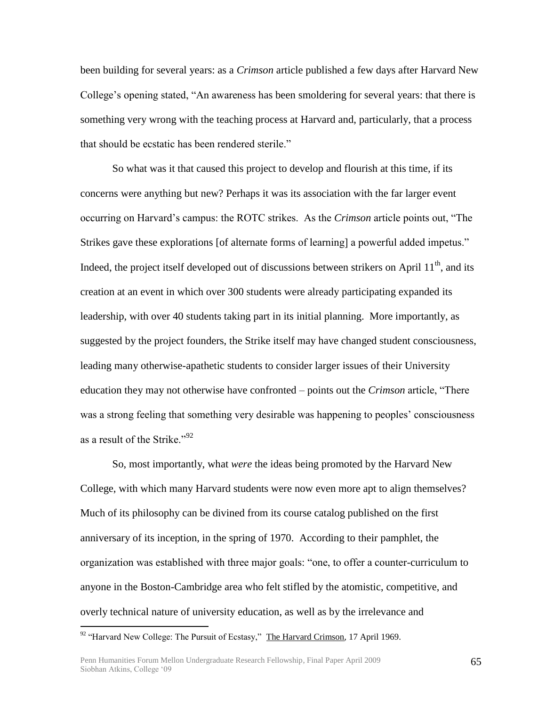been building for several years: as a *Crimson* article published a few days after Harvard New College"s opening stated, "An awareness has been smoldering for several years: that there is something very wrong with the teaching process at Harvard and, particularly, that a process that should be ecstatic has been rendered sterile."

So what was it that caused this project to develop and flourish at this time, if its concerns were anything but new? Perhaps it was its association with the far larger event occurring on Harvard"s campus: the ROTC strikes. As the *Crimson* article points out, "The Strikes gave these explorations [of alternate forms of learning] a powerful added impetus." Indeed, the project itself developed out of discussions between strikers on April  $11<sup>th</sup>$ , and its creation at an event in which over 300 students were already participating expanded its leadership, with over 40 students taking part in its initial planning. More importantly, as suggested by the project founders, the Strike itself may have changed student consciousness, leading many otherwise-apathetic students to consider larger issues of their University education they may not otherwise have confronted – points out the *Crimson* article, "There was a strong feeling that something very desirable was happening to peoples' consciousness as a result of the Strike."<sup>92</sup>

So, most importantly, what *were* the ideas being promoted by the Harvard New College, with which many Harvard students were now even more apt to align themselves? Much of its philosophy can be divined from its course catalog published on the first anniversary of its inception, in the spring of 1970. According to their pamphlet, the organization was established with three major goals: "one, to offer a counter-curriculum to anyone in the Boston-Cambridge area who felt stifled by the atomistic, competitive, and overly technical nature of university education, as well as by the irrelevance and

<sup>92</sup> "Harvard New College: The Pursuit of Ecstasy," The Harvard Crimson*,* 17 April 1969.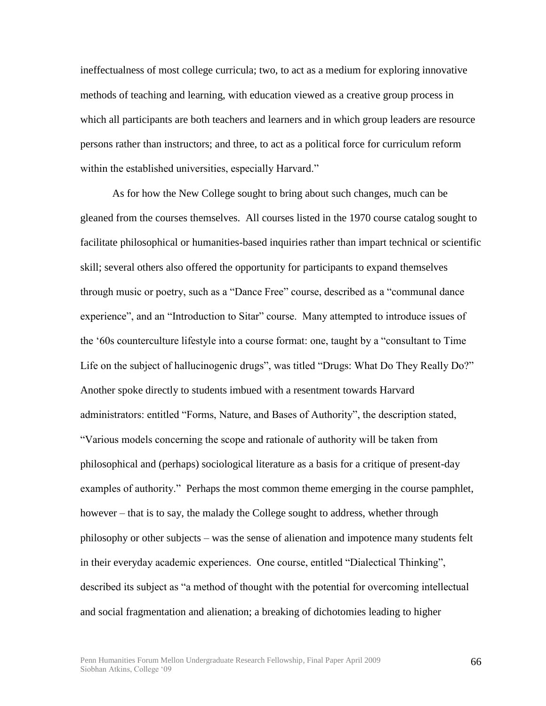ineffectualness of most college curricula; two, to act as a medium for exploring innovative methods of teaching and learning, with education viewed as a creative group process in which all participants are both teachers and learners and in which group leaders are resource persons rather than instructors; and three, to act as a political force for curriculum reform within the established universities, especially Harvard."

As for how the New College sought to bring about such changes, much can be gleaned from the courses themselves. All courses listed in the 1970 course catalog sought to facilitate philosophical or humanities-based inquiries rather than impart technical or scientific skill; several others also offered the opportunity for participants to expand themselves through music or poetry, such as a "Dance Free" course, described as a "communal dance experience", and an "Introduction to Sitar" course. Many attempted to introduce issues of the "60s counterculture lifestyle into a course format: one, taught by a "consultant to Time Life on the subject of hallucinogenic drugs", was titled "Drugs: What Do They Really Do?" Another spoke directly to students imbued with a resentment towards Harvard administrators: entitled "Forms, Nature, and Bases of Authority", the description stated, "Various models concerning the scope and rationale of authority will be taken from philosophical and (perhaps) sociological literature as a basis for a critique of present-day examples of authority." Perhaps the most common theme emerging in the course pamphlet, however – that is to say, the malady the College sought to address, whether through philosophy or other subjects – was the sense of alienation and impotence many students felt in their everyday academic experiences. One course, entitled "Dialectical Thinking", described its subject as "a method of thought with the potential for overcoming intellectual and social fragmentation and alienation; a breaking of dichotomies leading to higher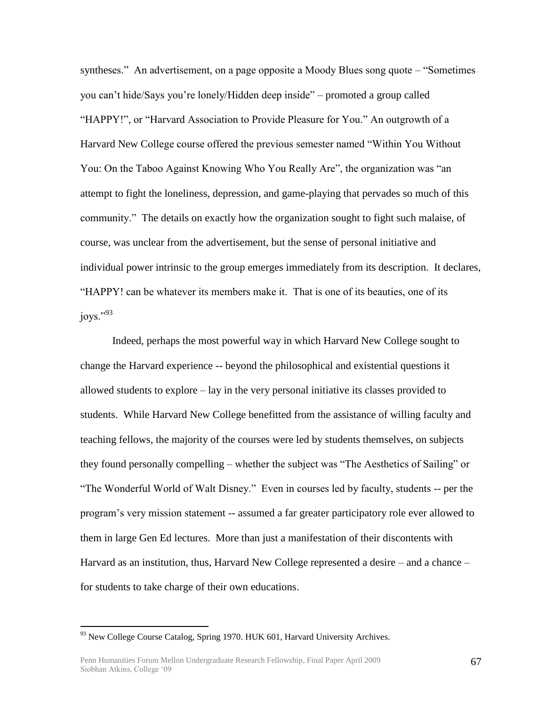syntheses." An advertisement, on a page opposite a Moody Blues song quote – "Sometimes you can"t hide/Says you"re lonely/Hidden deep inside" – promoted a group called "HAPPY!", or "Harvard Association to Provide Pleasure for You." An outgrowth of a Harvard New College course offered the previous semester named "Within You Without You: On the Taboo Against Knowing Who You Really Are", the organization was "an attempt to fight the loneliness, depression, and game-playing that pervades so much of this community." The details on exactly how the organization sought to fight such malaise, of course, was unclear from the advertisement, but the sense of personal initiative and individual power intrinsic to the group emerges immediately from its description. It declares, "HAPPY! can be whatever its members make it. That is one of its beauties, one of its joys."<sup>93</sup>

Indeed, perhaps the most powerful way in which Harvard New College sought to change the Harvard experience -- beyond the philosophical and existential questions it allowed students to explore – lay in the very personal initiative its classes provided to students. While Harvard New College benefitted from the assistance of willing faculty and teaching fellows, the majority of the courses were led by students themselves, on subjects they found personally compelling – whether the subject was "The Aesthetics of Sailing" or "The Wonderful World of Walt Disney." Even in courses led by faculty, students -- per the program"s very mission statement -- assumed a far greater participatory role ever allowed to them in large Gen Ed lectures. More than just a manifestation of their discontents with Harvard as an institution, thus, Harvard New College represented a desire – and a chance – for students to take charge of their own educations.

 $93$  New College Course Catalog, Spring 1970. HUK 601, Harvard University Archives.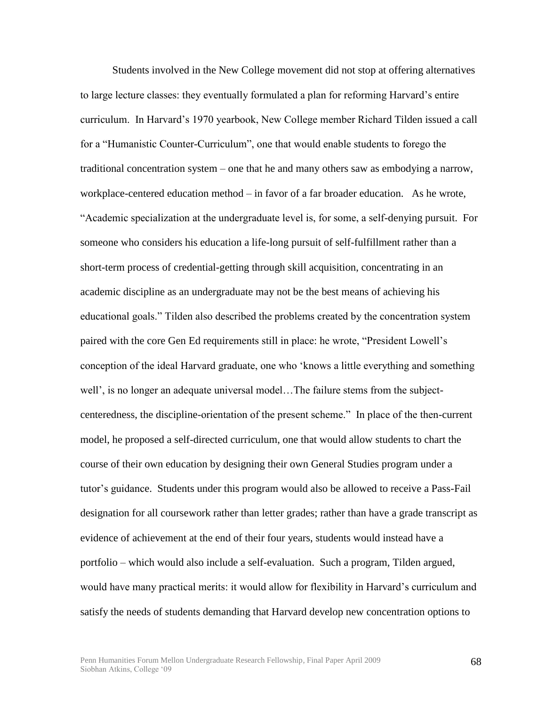Students involved in the New College movement did not stop at offering alternatives to large lecture classes: they eventually formulated a plan for reforming Harvard"s entire curriculum. In Harvard"s 1970 yearbook, New College member Richard Tilden issued a call for a "Humanistic Counter-Curriculum", one that would enable students to forego the traditional concentration system – one that he and many others saw as embodying a narrow, workplace-centered education method – in favor of a far broader education. As he wrote, "Academic specialization at the undergraduate level is, for some, a self-denying pursuit. For someone who considers his education a life-long pursuit of self-fulfillment rather than a short-term process of credential-getting through skill acquisition, concentrating in an academic discipline as an undergraduate may not be the best means of achieving his educational goals." Tilden also described the problems created by the concentration system paired with the core Gen Ed requirements still in place: he wrote, "President Lowell"s conception of the ideal Harvard graduate, one who "knows a little everything and something well', is no longer an adequate universal model...The failure stems from the subjectcenteredness, the discipline-orientation of the present scheme." In place of the then-current model, he proposed a self-directed curriculum, one that would allow students to chart the course of their own education by designing their own General Studies program under a tutor"s guidance. Students under this program would also be allowed to receive a Pass-Fail designation for all coursework rather than letter grades; rather than have a grade transcript as evidence of achievement at the end of their four years, students would instead have a portfolio – which would also include a self-evaluation. Such a program, Tilden argued, would have many practical merits: it would allow for flexibility in Harvard"s curriculum and satisfy the needs of students demanding that Harvard develop new concentration options to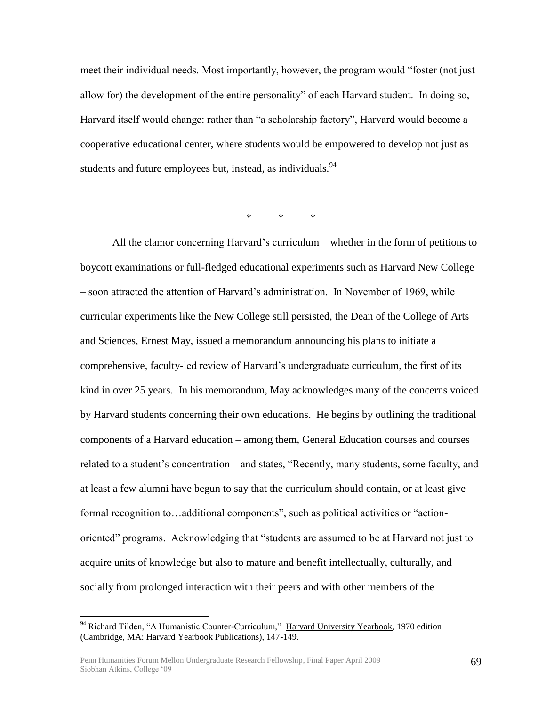meet their individual needs. Most importantly, however, the program would "foster (not just allow for) the development of the entire personality" of each Harvard student. In doing so, Harvard itself would change: rather than "a scholarship factory", Harvard would become a cooperative educational center, where students would be empowered to develop not just as students and future employees but, instead, as individuals.<sup>94</sup>

\* \* \*

All the clamor concerning Harvard's curriculum – whether in the form of petitions to boycott examinations or full-fledged educational experiments such as Harvard New College – soon attracted the attention of Harvard"s administration. In November of 1969, while curricular experiments like the New College still persisted, the Dean of the College of Arts and Sciences, Ernest May, issued a memorandum announcing his plans to initiate a comprehensive, faculty-led review of Harvard"s undergraduate curriculum, the first of its kind in over 25 years. In his memorandum, May acknowledges many of the concerns voiced by Harvard students concerning their own educations. He begins by outlining the traditional components of a Harvard education – among them, General Education courses and courses related to a student"s concentration – and states, "Recently, many students, some faculty, and at least a few alumni have begun to say that the curriculum should contain, or at least give formal recognition to…additional components", such as political activities or "actionoriented" programs. Acknowledging that "students are assumed to be at Harvard not just to acquire units of knowledge but also to mature and benefit intellectually, culturally, and socially from prolonged interaction with their peers and with other members of the

<sup>&</sup>lt;sup>94</sup> Richard Tilden, "A Humanistic Counter-Curriculum," Harvard University Yearbook, 1970 edition (Cambridge, MA: Harvard Yearbook Publications), 147-149.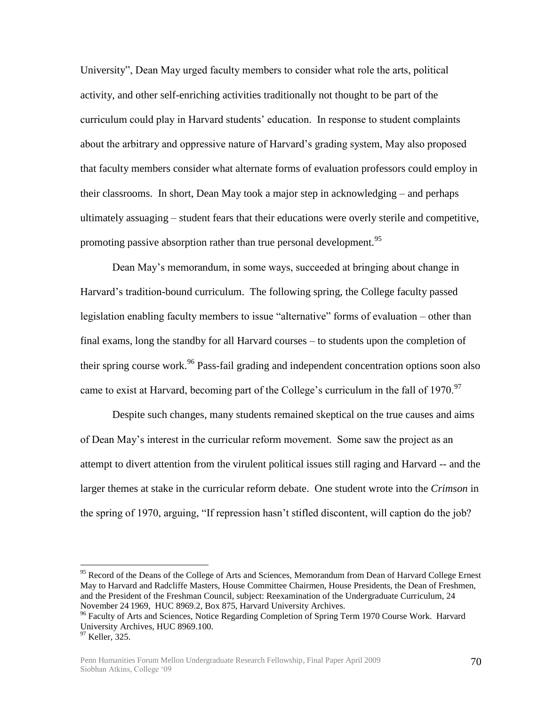University", Dean May urged faculty members to consider what role the arts, political activity, and other self-enriching activities traditionally not thought to be part of the curriculum could play in Harvard students" education. In response to student complaints about the arbitrary and oppressive nature of Harvard"s grading system, May also proposed that faculty members consider what alternate forms of evaluation professors could employ in their classrooms. In short, Dean May took a major step in acknowledging – and perhaps ultimately assuaging – student fears that their educations were overly sterile and competitive, promoting passive absorption rather than true personal development.<sup>95</sup>

Dean May"s memorandum, in some ways, succeeded at bringing about change in Harvard"s tradition-bound curriculum. The following spring, the College faculty passed legislation enabling faculty members to issue "alternative" forms of evaluation – other than final exams, long the standby for all Harvard courses – to students upon the completion of their spring course work.<sup>96</sup> Pass-fail grading and independent concentration options soon also came to exist at Harvard, becoming part of the College's curriculum in the fall of  $1970$ .<sup>97</sup>

Despite such changes, many students remained skeptical on the true causes and aims of Dean May"s interest in the curricular reform movement. Some saw the project as an attempt to divert attention from the virulent political issues still raging and Harvard -- and the larger themes at stake in the curricular reform debate. One student wrote into the *Crimson* in the spring of 1970, arguing, "If repression hasn"t stifled discontent, will caption do the job?

<sup>&</sup>lt;sup>95</sup> Record of the Deans of the College of Arts and Sciences, Memorandum from Dean of Harvard College Ernest May to Harvard and Radcliffe Masters, House Committee Chairmen, House Presidents, the Dean of Freshmen, and the President of the Freshman Council, subject: Reexamination of the Undergraduate Curriculum, 24 November 24 1969, HUC 8969.2, Box 875, Harvard University Archives.

<sup>&</sup>lt;sup>96</sup> Faculty of Arts and Sciences, Notice Regarding Completion of Spring Term 1970 Course Work. Harvard University Archives, HUC 8969.100.

 $97$  Keller, 325.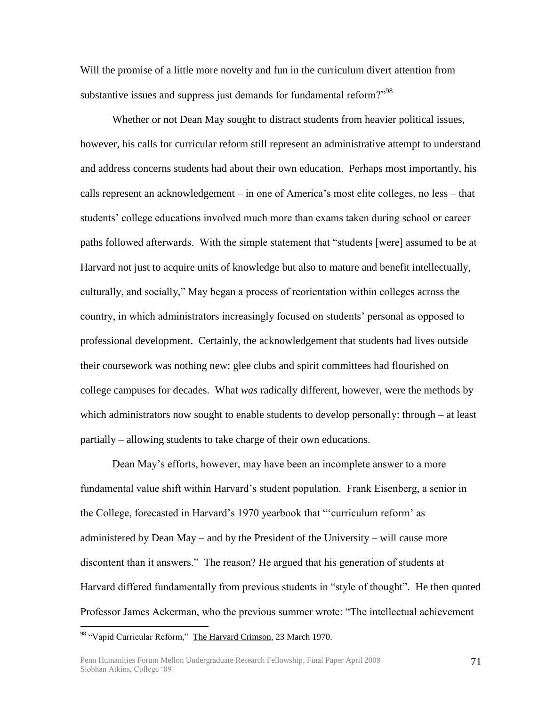Will the promise of a little more novelty and fun in the curriculum divert attention from substantive issues and suppress just demands for fundamental reform?"<sup>98</sup>

Whether or not Dean May sought to distract students from heavier political issues, however, his calls for curricular reform still represent an administrative attempt to understand and address concerns students had about their own education. Perhaps most importantly, his calls represent an acknowledgement – in one of America"s most elite colleges, no less – that students' college educations involved much more than exams taken during school or career paths followed afterwards. With the simple statement that "students [were] assumed to be at Harvard not just to acquire units of knowledge but also to mature and benefit intellectually, culturally, and socially," May began a process of reorientation within colleges across the country, in which administrators increasingly focused on students" personal as opposed to professional development. Certainly, the acknowledgement that students had lives outside their coursework was nothing new: glee clubs and spirit committees had flourished on college campuses for decades. What *was* radically different, however, were the methods by which administrators now sought to enable students to develop personally: through – at least partially – allowing students to take charge of their own educations.

Dean May"s efforts, however, may have been an incomplete answer to a more fundamental value shift within Harvard"s student population. Frank Eisenberg, a senior in the College, forecasted in Harvard"s 1970 yearbook that ""curriculum reform" as administered by Dean May – and by the President of the University – will cause more discontent than it answers." The reason? He argued that his generation of students at Harvard differed fundamentally from previous students in "style of thought". He then quoted Professor James Ackerman, who the previous summer wrote: "The intellectual achievement

<sup>&</sup>lt;sup>98</sup> "Vapid Curricular Reform," The Harvard Crimson, 23 March 1970.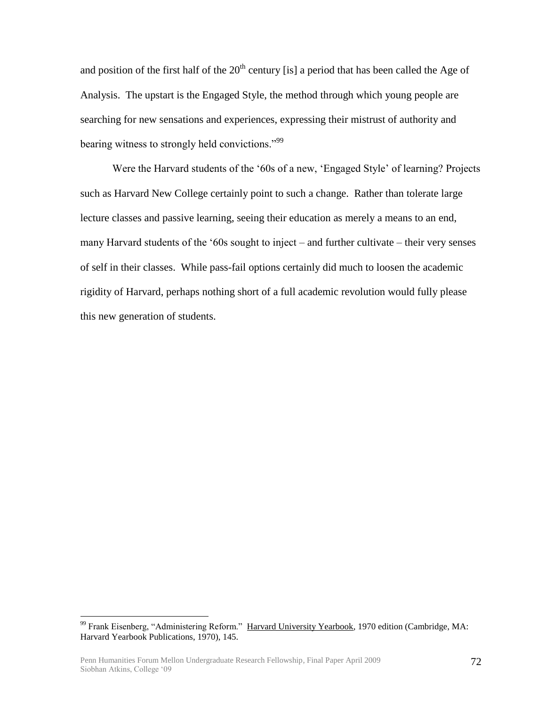and position of the first half of the  $20<sup>th</sup>$  century [is] a period that has been called the Age of Analysis. The upstart is the Engaged Style, the method through which young people are searching for new sensations and experiences, expressing their mistrust of authority and bearing witness to strongly held convictions."<sup>99</sup>

Were the Harvard students of the "60s of a new, "Engaged Style" of learning? Projects such as Harvard New College certainly point to such a change. Rather than tolerate large lecture classes and passive learning, seeing their education as merely a means to an end, many Harvard students of the "60s sought to inject – and further cultivate – their very senses of self in their classes. While pass-fail options certainly did much to loosen the academic rigidity of Harvard, perhaps nothing short of a full academic revolution would fully please this new generation of students.

<sup>&</sup>lt;sup>99</sup> Frank Eisenberg, "Administering Reform." Harvard University Yearbook, 1970 edition (Cambridge, MA: Harvard Yearbook Publications, 1970), 145.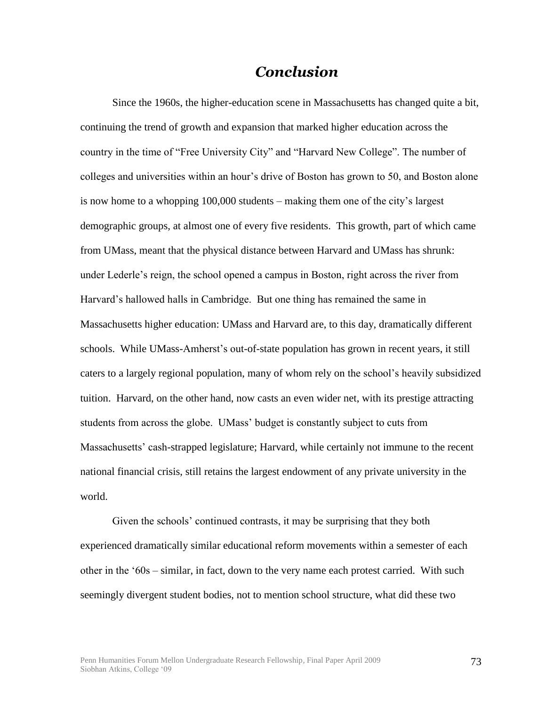## *Conclusion*

Since the 1960s, the higher-education scene in Massachusetts has changed quite a bit, continuing the trend of growth and expansion that marked higher education across the country in the time of "Free University City" and "Harvard New College". The number of colleges and universities within an hour"s drive of Boston has grown to 50, and Boston alone is now home to a whopping 100,000 students – making them one of the city"s largest demographic groups, at almost one of every five residents. This growth, part of which came from UMass, meant that the physical distance between Harvard and UMass has shrunk: under Lederle"s reign, the school opened a campus in Boston, right across the river from Harvard"s hallowed halls in Cambridge. But one thing has remained the same in Massachusetts higher education: UMass and Harvard are, to this day, dramatically different schools. While UMass-Amherst's out-of-state population has grown in recent years, it still caters to a largely regional population, many of whom rely on the school"s heavily subsidized tuition. Harvard, on the other hand, now casts an even wider net, with its prestige attracting students from across the globe. UMass" budget is constantly subject to cuts from Massachusetts' cash-strapped legislature; Harvard, while certainly not immune to the recent national financial crisis, still retains the largest endowment of any private university in the world.

Given the schools" continued contrasts, it may be surprising that they both experienced dramatically similar educational reform movements within a semester of each other in the "60s – similar, in fact, down to the very name each protest carried. With such seemingly divergent student bodies, not to mention school structure, what did these two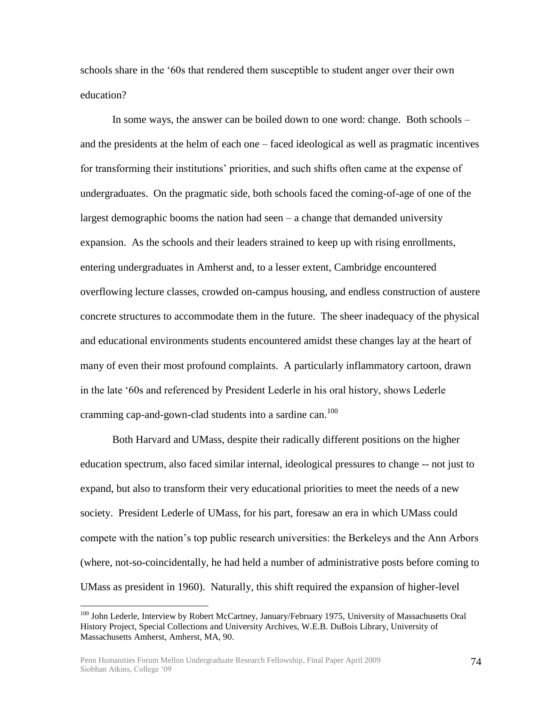schools share in the "60s that rendered them susceptible to student anger over their own education?

In some ways, the answer can be boiled down to one word: change. Both schools – and the presidents at the helm of each one – faced ideological as well as pragmatic incentives for transforming their institutions" priorities, and such shifts often came at the expense of undergraduates. On the pragmatic side, both schools faced the coming-of-age of one of the largest demographic booms the nation had seen – a change that demanded university expansion. As the schools and their leaders strained to keep up with rising enrollments, entering undergraduates in Amherst and, to a lesser extent, Cambridge encountered overflowing lecture classes, crowded on-campus housing, and endless construction of austere concrete structures to accommodate them in the future. The sheer inadequacy of the physical and educational environments students encountered amidst these changes lay at the heart of many of even their most profound complaints. A particularly inflammatory cartoon, drawn in the late "60s and referenced by President Lederle in his oral history, shows Lederle cramming cap-and-gown-clad students into a sardine can.<sup>100</sup>

Both Harvard and UMass, despite their radically different positions on the higher education spectrum, also faced similar internal, ideological pressures to change -- not just to expand, but also to transform their very educational priorities to meet the needs of a new society. President Lederle of UMass, for his part, foresaw an era in which UMass could compete with the nation"s top public research universities: the Berkeleys and the Ann Arbors (where, not-so-coincidentally, he had held a number of administrative posts before coming to UMass as president in 1960). Naturally, this shift required the expansion of higher-level

<sup>&</sup>lt;sup>100</sup> John Lederle, Interview by Robert McCartney, January/February 1975, University of Massachusetts Oral History Project, Special Collections and University Archives, W.E.B. DuBois Library, University of Massachusetts Amherst, Amherst, MA, 90.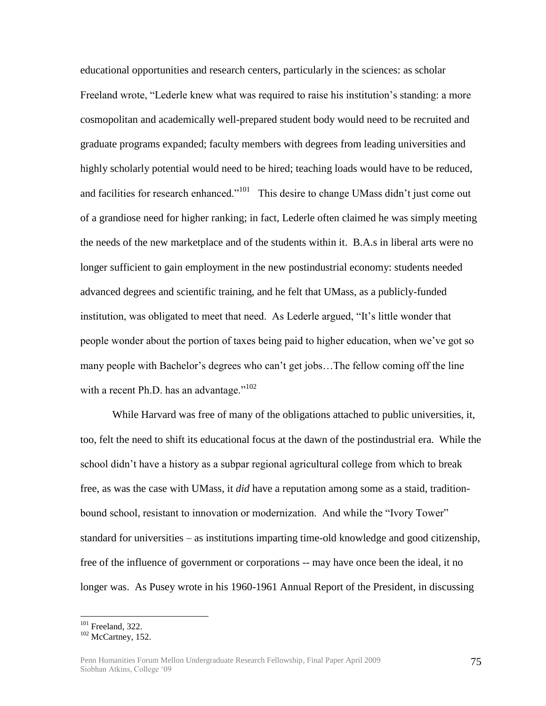educational opportunities and research centers, particularly in the sciences: as scholar Freeland wrote, "Lederle knew what was required to raise his institution's standing: a more cosmopolitan and academically well-prepared student body would need to be recruited and graduate programs expanded; faculty members with degrees from leading universities and highly scholarly potential would need to be hired; teaching loads would have to be reduced, and facilities for research enhanced."<sup>101</sup> This desire to change UMass didn't just come out of a grandiose need for higher ranking; in fact, Lederle often claimed he was simply meeting the needs of the new marketplace and of the students within it. B.A.s in liberal arts were no longer sufficient to gain employment in the new postindustrial economy: students needed advanced degrees and scientific training, and he felt that UMass, as a publicly-funded institution, was obligated to meet that need. As Lederle argued, "It"s little wonder that people wonder about the portion of taxes being paid to higher education, when we"ve got so many people with Bachelor's degrees who can't get jobs...The fellow coming off the line with a recent Ph.D. has an advantage."<sup>102</sup>

While Harvard was free of many of the obligations attached to public universities, it, too, felt the need to shift its educational focus at the dawn of the postindustrial era. While the school didn"t have a history as a subpar regional agricultural college from which to break free, as was the case with UMass, it *did* have a reputation among some as a staid, traditionbound school, resistant to innovation or modernization. And while the "Ivory Tower" standard for universities – as institutions imparting time-old knowledge and good citizenship, free of the influence of government or corporations -- may have once been the ideal, it no longer was. As Pusey wrote in his 1960-1961 Annual Report of the President, in discussing

<sup>&</sup>lt;sup>101</sup> Freeland, 322.

<sup>&</sup>lt;sup>102</sup> McCartney, 152.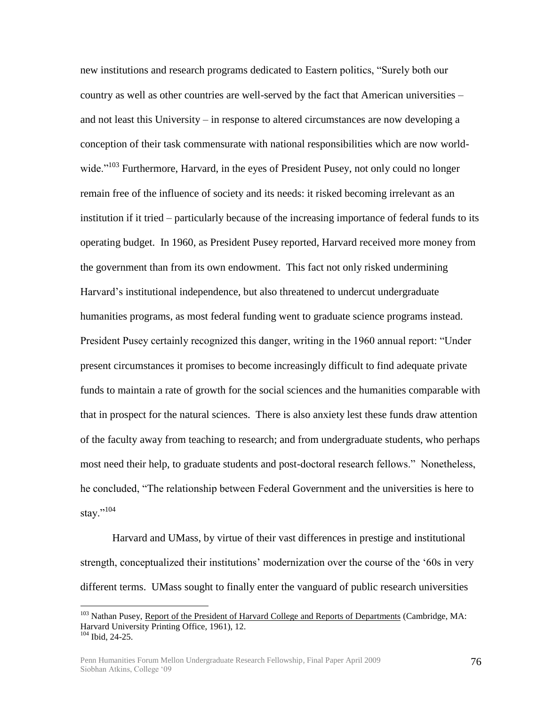new institutions and research programs dedicated to Eastern politics, "Surely both our country as well as other countries are well-served by the fact that American universities – and not least this University – in response to altered circumstances are now developing a conception of their task commensurate with national responsibilities which are now worldwide."<sup>103</sup> Furthermore, Harvard, in the eyes of President Pusey, not only could no longer remain free of the influence of society and its needs: it risked becoming irrelevant as an institution if it tried – particularly because of the increasing importance of federal funds to its operating budget. In 1960, as President Pusey reported, Harvard received more money from the government than from its own endowment. This fact not only risked undermining Harvard"s institutional independence, but also threatened to undercut undergraduate humanities programs, as most federal funding went to graduate science programs instead. President Pusey certainly recognized this danger, writing in the 1960 annual report: "Under present circumstances it promises to become increasingly difficult to find adequate private funds to maintain a rate of growth for the social sciences and the humanities comparable with that in prospect for the natural sciences. There is also anxiety lest these funds draw attention of the faculty away from teaching to research; and from undergraduate students, who perhaps most need their help, to graduate students and post-doctoral research fellows." Nonetheless, he concluded, "The relationship between Federal Government and the universities is here to stay." $104$ 

Harvard and UMass, by virtue of their vast differences in prestige and institutional strength, conceptualized their institutions" modernization over the course of the "60s in very different terms. UMass sought to finally enter the vanguard of public research universities

<sup>&</sup>lt;sup>103</sup> Nathan Pusey, Report of the President of Harvard College and Reports of Departments (Cambridge, MA: Harvard University Printing Office, 1961), 12. <sup>104</sup> Ibid, 24-25.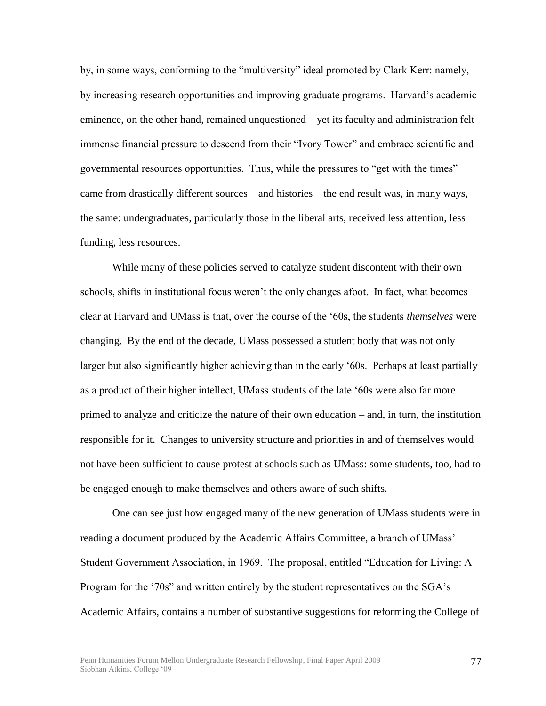by, in some ways, conforming to the "multiversity" ideal promoted by Clark Kerr: namely, by increasing research opportunities and improving graduate programs. Harvard's academic eminence, on the other hand, remained unquestioned – yet its faculty and administration felt immense financial pressure to descend from their "Ivory Tower" and embrace scientific and governmental resources opportunities. Thus, while the pressures to "get with the times" came from drastically different sources – and histories – the end result was, in many ways, the same: undergraduates, particularly those in the liberal arts, received less attention, less funding, less resources.

While many of these policies served to catalyze student discontent with their own schools, shifts in institutional focus weren"t the only changes afoot. In fact, what becomes clear at Harvard and UMass is that, over the course of the "60s, the students *themselves* were changing. By the end of the decade, UMass possessed a student body that was not only larger but also significantly higher achieving than in the early '60s. Perhaps at least partially as a product of their higher intellect, UMass students of the late "60s were also far more primed to analyze and criticize the nature of their own education – and, in turn, the institution responsible for it. Changes to university structure and priorities in and of themselves would not have been sufficient to cause protest at schools such as UMass: some students, too, had to be engaged enough to make themselves and others aware of such shifts.

One can see just how engaged many of the new generation of UMass students were in reading a document produced by the Academic Affairs Committee, a branch of UMass" Student Government Association, in 1969. The proposal, entitled "Education for Living: A Program for the '70s" and written entirely by the student representatives on the SGA's Academic Affairs, contains a number of substantive suggestions for reforming the College of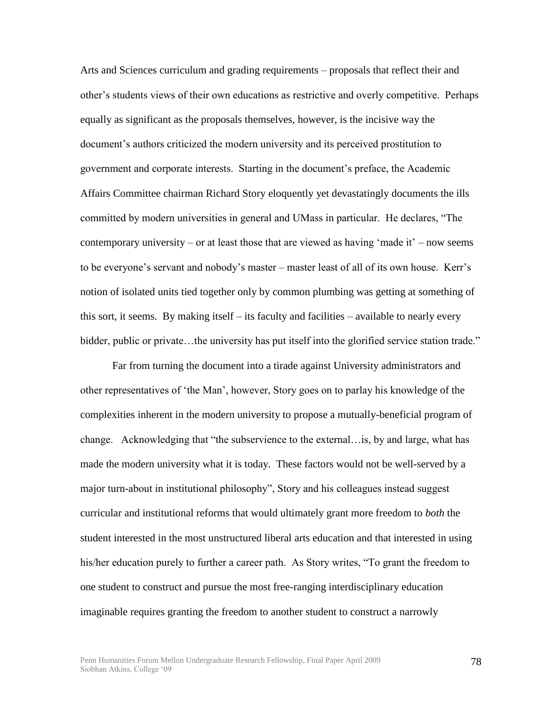Arts and Sciences curriculum and grading requirements – proposals that reflect their and other"s students views of their own educations as restrictive and overly competitive. Perhaps equally as significant as the proposals themselves, however, is the incisive way the document"s authors criticized the modern university and its perceived prostitution to government and corporate interests. Starting in the document"s preface, the Academic Affairs Committee chairman Richard Story eloquently yet devastatingly documents the ills committed by modern universities in general and UMass in particular. He declares, "The contemporary university – or at least those that are viewed as having 'made it' – now seems to be everyone"s servant and nobody"s master – master least of all of its own house. Kerr"s notion of isolated units tied together only by common plumbing was getting at something of this sort, it seems. By making itself – its faculty and facilities – available to nearly every bidder, public or private...the university has put itself into the glorified service station trade."

Far from turning the document into a tirade against University administrators and other representatives of "the Man", however, Story goes on to parlay his knowledge of the complexities inherent in the modern university to propose a mutually-beneficial program of change. Acknowledging that "the subservience to the external…is, by and large, what has made the modern university what it is today. These factors would not be well-served by a major turn-about in institutional philosophy", Story and his colleagues instead suggest curricular and institutional reforms that would ultimately grant more freedom to *both* the student interested in the most unstructured liberal arts education and that interested in using his/her education purely to further a career path. As Story writes, "To grant the freedom to one student to construct and pursue the most free-ranging interdisciplinary education imaginable requires granting the freedom to another student to construct a narrowly

78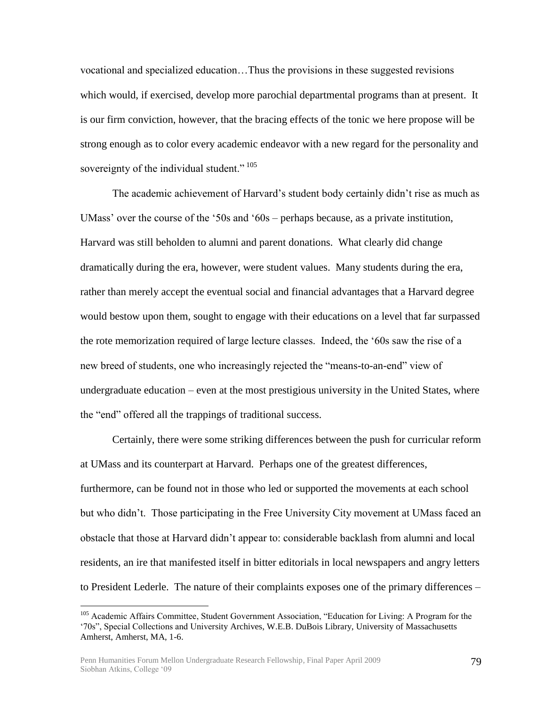vocational and specialized education…Thus the provisions in these suggested revisions which would, if exercised, develop more parochial departmental programs than at present. It is our firm conviction, however, that the bracing effects of the tonic we here propose will be strong enough as to color every academic endeavor with a new regard for the personality and sovereignty of the individual student." <sup>105</sup>

The academic achievement of Harvard"s student body certainly didn"t rise as much as UMass' over the course of the '50s and '60s – perhaps because, as a private institution, Harvard was still beholden to alumni and parent donations. What clearly did change dramatically during the era, however, were student values. Many students during the era, rather than merely accept the eventual social and financial advantages that a Harvard degree would bestow upon them, sought to engage with their educations on a level that far surpassed the rote memorization required of large lecture classes. Indeed, the "60s saw the rise of a new breed of students, one who increasingly rejected the "means-to-an-end" view of undergraduate education – even at the most prestigious university in the United States, where the "end" offered all the trappings of traditional success.

Certainly, there were some striking differences between the push for curricular reform at UMass and its counterpart at Harvard. Perhaps one of the greatest differences, furthermore, can be found not in those who led or supported the movements at each school but who didn"t. Those participating in the Free University City movement at UMass faced an obstacle that those at Harvard didn"t appear to: considerable backlash from alumni and local residents, an ire that manifested itself in bitter editorials in local newspapers and angry letters to President Lederle. The nature of their complaints exposes one of the primary differences –

<sup>&</sup>lt;sup>105</sup> Academic Affairs Committee, Student Government Association, "Education for Living: A Program for the "70s", Special Collections and University Archives, W.E.B. DuBois Library, University of Massachusetts Amherst, Amherst, MA, 1-6.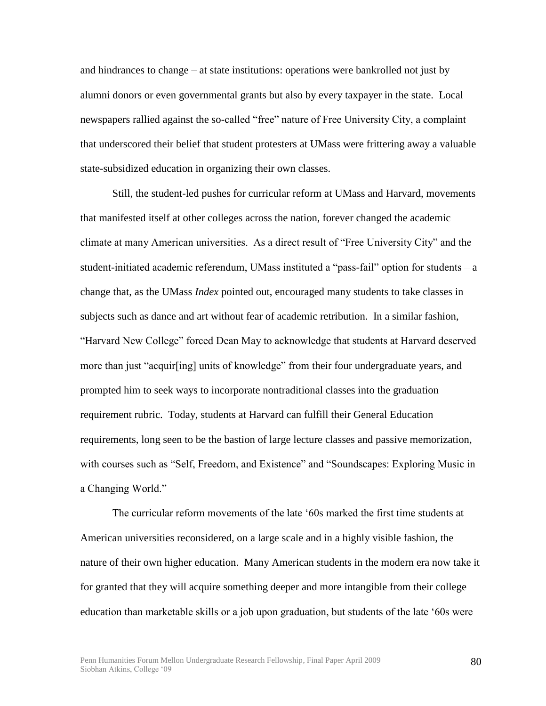and hindrances to change – at state institutions: operations were bankrolled not just by alumni donors or even governmental grants but also by every taxpayer in the state. Local newspapers rallied against the so-called "free" nature of Free University City, a complaint that underscored their belief that student protesters at UMass were frittering away a valuable state-subsidized education in organizing their own classes.

Still, the student-led pushes for curricular reform at UMass and Harvard, movements that manifested itself at other colleges across the nation, forever changed the academic climate at many American universities. As a direct result of "Free University City" and the student-initiated academic referendum, UMass instituted a "pass-fail" option for students – a change that, as the UMass *Index* pointed out, encouraged many students to take classes in subjects such as dance and art without fear of academic retribution. In a similar fashion, "Harvard New College" forced Dean May to acknowledge that students at Harvard deserved more than just "acquir[ing] units of knowledge" from their four undergraduate years, and prompted him to seek ways to incorporate nontraditional classes into the graduation requirement rubric. Today, students at Harvard can fulfill their General Education requirements, long seen to be the bastion of large lecture classes and passive memorization, with courses such as "Self, Freedom, and Existence" and "Soundscapes: Exploring Music in a Changing World."

The curricular reform movements of the late "60s marked the first time students at American universities reconsidered, on a large scale and in a highly visible fashion, the nature of their own higher education. Many American students in the modern era now take it for granted that they will acquire something deeper and more intangible from their college education than marketable skills or a job upon graduation, but students of the late "60s were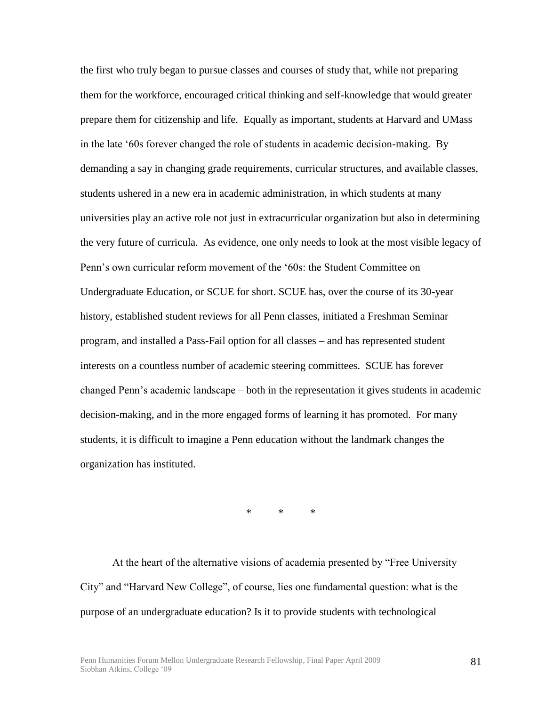the first who truly began to pursue classes and courses of study that, while not preparing them for the workforce, encouraged critical thinking and self-knowledge that would greater prepare them for citizenship and life. Equally as important, students at Harvard and UMass in the late "60s forever changed the role of students in academic decision-making. By demanding a say in changing grade requirements, curricular structures, and available classes, students ushered in a new era in academic administration, in which students at many universities play an active role not just in extracurricular organization but also in determining the very future of curricula. As evidence, one only needs to look at the most visible legacy of Penn"s own curricular reform movement of the "60s: the Student Committee on Undergraduate Education, or SCUE for short. SCUE has, over the course of its 30-year history, established student reviews for all Penn classes, initiated a Freshman Seminar program, and installed a Pass-Fail option for all classes – and has represented student interests on a countless number of academic steering committees. SCUE has forever changed Penn"s academic landscape – both in the representation it gives students in academic decision-making, and in the more engaged forms of learning it has promoted. For many students, it is difficult to imagine a Penn education without the landmark changes the organization has instituted.

\* \* \*

At the heart of the alternative visions of academia presented by "Free University City" and "Harvard New College", of course, lies one fundamental question: what is the purpose of an undergraduate education? Is it to provide students with technological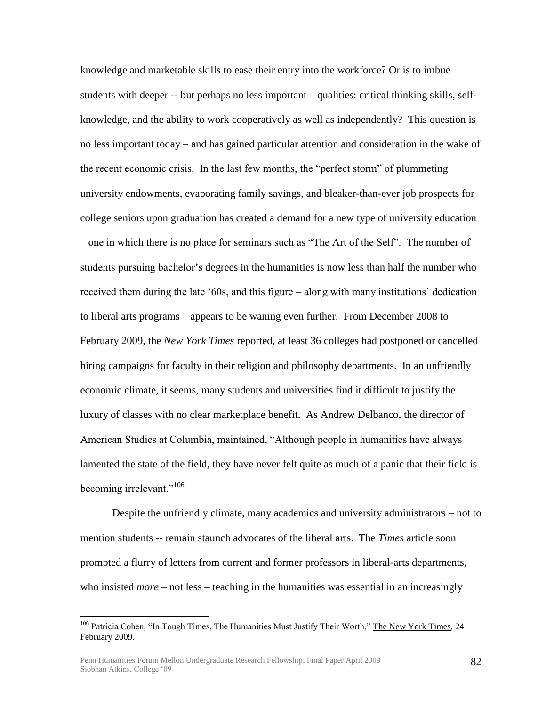knowledge and marketable skills to ease their entry into the workforce? Or is to imbue students with deeper -- but perhaps no less important – qualities: critical thinking skills, selfknowledge, and the ability to work cooperatively as well as independently? This question is no less important today – and has gained particular attention and consideration in the wake of the recent economic crisis. In the last few months, the "perfect storm" of plummeting university endowments, evaporating family savings, and bleaker-than-ever job prospects for college seniors upon graduation has created a demand for a new type of university education – one in which there is no place for seminars such as "The Art of the Self". The number of students pursuing bachelor"s degrees in the humanities is now less than half the number who received them during the late "60s, and this figure – along with many institutions" dedication to liberal arts programs – appears to be waning even further. From December 2008 to February 2009, the *New York Times* reported, at least 36 colleges had postponed or cancelled hiring campaigns for faculty in their religion and philosophy departments. In an unfriendly economic climate, it seems, many students and universities find it difficult to justify the luxury of classes with no clear marketplace benefit. As Andrew Delbanco, the director of American Studies at Columbia, maintained, "Although people in humanities have always lamented the state of the field, they have never felt quite as much of a panic that their field is becoming irrelevant."<sup>106</sup>

Despite the unfriendly climate, many academics and university administrators – not to mention students -- remain staunch advocates of the liberal arts. The *Times* article soon prompted a flurry of letters from current and former professors in liberal-arts departments, who insisted *more* – not less – teaching in the humanities was essential in an increasingly

<sup>&</sup>lt;sup>106</sup> Patricia Cohen, "In Tough Times, The Humanities Must Justify Their Worth," The New York Times, 24 February 2009.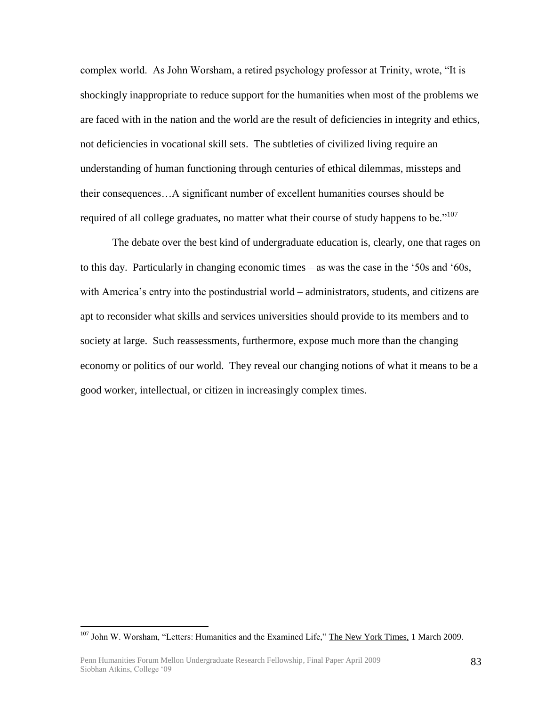complex world. As John Worsham, a retired psychology professor at Trinity, wrote, "It is shockingly inappropriate to reduce support for the humanities when most of the problems we are faced with in the nation and the world are the result of deficiencies in integrity and ethics, not deficiencies in vocational skill sets. The subtleties of civilized living require an understanding of human functioning through centuries of ethical dilemmas, missteps and their consequences…A significant number of excellent humanities courses should be required of all college graduates, no matter what their course of study happens to be."<sup>107</sup>

The debate over the best kind of undergraduate education is, clearly, one that rages on to this day. Particularly in changing economic times – as was the case in the "50s and "60s, with America's entry into the postindustrial world – administrators, students, and citizens are apt to reconsider what skills and services universities should provide to its members and to society at large. Such reassessments, furthermore, expose much more than the changing economy or politics of our world. They reveal our changing notions of what it means to be a good worker, intellectual, or citizen in increasingly complex times.

<sup>&</sup>lt;sup>107</sup> John W. Worsham, "Letters: Humanities and the Examined Life," The New York Times, 1 March 2009.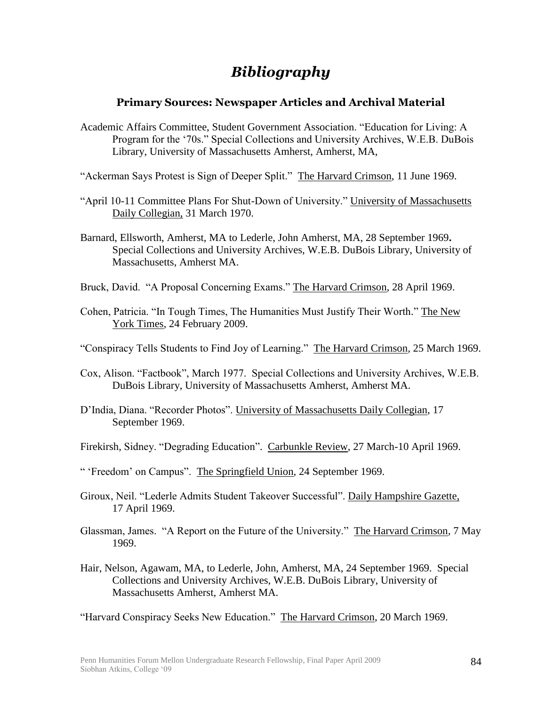# *Bibliography*

### **Primary Sources: Newspaper Articles and Archival Material**

Academic Affairs Committee, Student Government Association. "Education for Living: A Program for the "70s." Special Collections and University Archives, W.E.B. DuBois Library, University of Massachusetts Amherst, Amherst, MA,

"Ackerman Says Protest is Sign of Deeper Split." The Harvard Crimson, 11 June 1969.

- "April 10-11 Committee Plans For Shut-Down of University." University of Massachusetts Daily Collegian, 31 March 1970.
- Barnard, Ellsworth, Amherst, MA to Lederle, John Amherst, MA, 28 September 1969**.**  Special Collections and University Archives, W.E.B. DuBois Library, University of Massachusetts, Amherst MA.
- Bruck, David. "A Proposal Concerning Exams." The Harvard Crimson, 28 April 1969.
- Cohen, Patricia. "In Tough Times, The Humanities Must Justify Their Worth." The New York Times, 24 February 2009.
- "Conspiracy Tells Students to Find Joy of Learning." The Harvard Crimson*,* 25 March 1969.
- Cox, Alison. "Factbook", March 1977. Special Collections and University Archives, W.E.B. DuBois Library, University of Massachusetts Amherst, Amherst MA.
- D"India, Diana. "Recorder Photos". University of Massachusetts Daily Collegian, 17 September 1969.
- Firekirsh, Sidney. "Degrading Education". Carbunkle Review, 27 March-10 April 1969.
- " "Freedom" on Campus". The Springfield Union*,* 24 September 1969.
- Giroux, Neil. "Lederle Admits Student Takeover Successful". Daily Hampshire Gazette, 17 April 1969.
- Glassman, James. "A Report on the Future of the University." The Harvard Crimson*,* 7 May 1969.
- Hair, Nelson, Agawam, MA, to Lederle, John, Amherst, MA, 24 September 1969. Special Collections and University Archives, W.E.B. DuBois Library, University of Massachusetts Amherst, Amherst MA.

"Harvard Conspiracy Seeks New Education." The Harvard Crimson, 20 March 1969.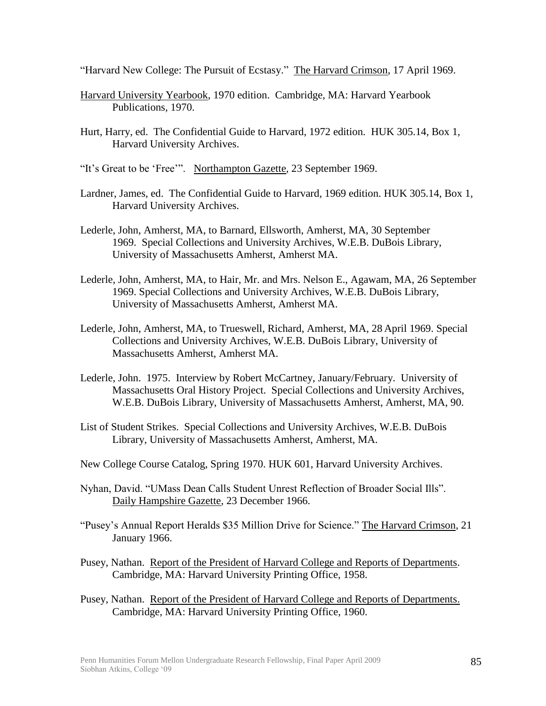"Harvard New College: The Pursuit of Ecstasy." The Harvard Crimson*,* 17 April 1969.

- Harvard University Yearbook, 1970 edition. Cambridge, MA: Harvard Yearbook Publications, 1970.
- Hurt, Harry, ed. The Confidential Guide to Harvard, 1972 edition. HUK 305.14, Box 1, Harvard University Archives.
- "It"s Great to be "Free"". Northampton Gazette*,* 23 September 1969.
- Lardner, James, ed. The Confidential Guide to Harvard*,* 1969 edition. HUK 305.14, Box 1, Harvard University Archives.
- Lederle, John, Amherst, MA, to Barnard, Ellsworth, Amherst, MA, 30 September 1969. Special Collections and University Archives, W.E.B. DuBois Library, University of Massachusetts Amherst, Amherst MA.
- Lederle, John, Amherst, MA, to Hair, Mr. and Mrs. Nelson E., Agawam, MA, 26 September 1969. Special Collections and University Archives, W.E.B. DuBois Library, University of Massachusetts Amherst, Amherst MA.
- Lederle, John, Amherst, MA, to Trueswell, Richard, Amherst, MA, 28 April 1969. Special Collections and University Archives, W.E.B. DuBois Library, University of Massachusetts Amherst, Amherst MA.
- Lederle, John. 1975. Interview by Robert McCartney, January/February. University of Massachusetts Oral History Project. Special Collections and University Archives, W.E.B. DuBois Library, University of Massachusetts Amherst, Amherst, MA, 90.
- List of Student Strikes. Special Collections and University Archives, W.E.B. DuBois Library, University of Massachusetts Amherst, Amherst, MA.
- New College Course Catalog, Spring 1970. HUK 601, Harvard University Archives.
- Nyhan, David. "UMass Dean Calls Student Unrest Reflection of Broader Social Ills". Daily Hampshire Gazette, 23 December 1966.
- "Pusey"s Annual Report Heralds \$35 Million Drive for Science." The Harvard Crimson, 21 January 1966.
- Pusey, Nathan. Report of the President of Harvard College and Reports of Departments. Cambridge, MA: Harvard University Printing Office, 1958.
- Pusey, Nathan. Report of the President of Harvard College and Reports of Departments. Cambridge, MA: Harvard University Printing Office, 1960.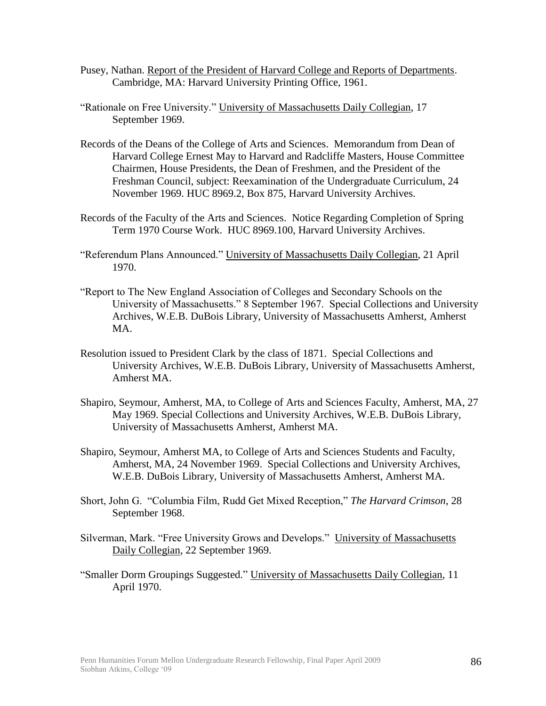- Pusey, Nathan. Report of the President of Harvard College and Reports of Departments. Cambridge, MA: Harvard University Printing Office, 1961.
- "Rationale on Free University." University of Massachusetts Daily Collegian, 17 September 1969.
- Records of the Deans of the College of Arts and Sciences. Memorandum from Dean of Harvard College Ernest May to Harvard and Radcliffe Masters, House Committee Chairmen, House Presidents, the Dean of Freshmen, and the President of the Freshman Council, subject: Reexamination of the Undergraduate Curriculum, 24 November 1969. HUC 8969.2, Box 875, Harvard University Archives.
- Records of the Faculty of the Arts and Sciences. Notice Regarding Completion of Spring Term 1970 Course Work. HUC 8969.100, Harvard University Archives.
- "Referendum Plans Announced." University of Massachusetts Daily Collegian, 21 April 1970.
- "Report to The New England Association of Colleges and Secondary Schools on the University of Massachusetts." 8 September 1967. Special Collections and University Archives, W.E.B. DuBois Library, University of Massachusetts Amherst, Amherst MA.
- Resolution issued to President Clark by the class of 1871. Special Collections and University Archives, W.E.B. DuBois Library, University of Massachusetts Amherst, Amherst MA.
- Shapiro, Seymour, Amherst, MA, to College of Arts and Sciences Faculty, Amherst, MA, 27 May 1969. Special Collections and University Archives, W.E.B. DuBois Library, University of Massachusetts Amherst, Amherst MA.
- Shapiro, Seymour, Amherst MA, to College of Arts and Sciences Students and Faculty, Amherst, MA, 24 November 1969. Special Collections and University Archives, W.E.B. DuBois Library, University of Massachusetts Amherst, Amherst MA.
- Short, John G. "Columbia Film, Rudd Get Mixed Reception," *The Harvard Crimson*, 28 September 1968.
- Silverman, Mark. "Free University Grows and Develops." University of Massachusetts Daily Collegian, 22 September 1969.
- "Smaller Dorm Groupings Suggested." University of Massachusetts Daily Collegian, 11 April 1970.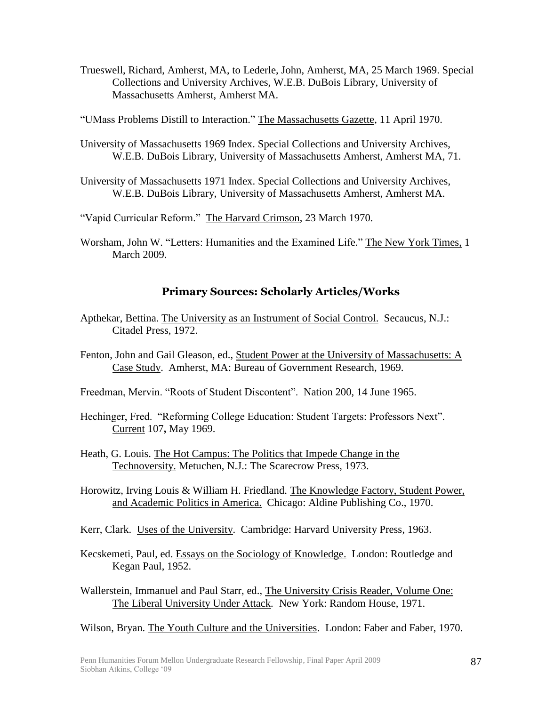- Trueswell, Richard, Amherst, MA, to Lederle, John, Amherst, MA, 25 March 1969. Special Collections and University Archives, W.E.B. DuBois Library, University of Massachusetts Amherst, Amherst MA.
- "UMass Problems Distill to Interaction." The Massachusetts Gazette, 11 April 1970.
- University of Massachusetts 1969 Index. Special Collections and University Archives, W.E.B. DuBois Library, University of Massachusetts Amherst, Amherst MA, 71.
- University of Massachusetts 1971 Index. Special Collections and University Archives, W.E.B. DuBois Library, University of Massachusetts Amherst, Amherst MA.
- "Vapid Curricular Reform." The Harvard Crimson, 23 March 1970.
- Worsham, John W. "Letters: Humanities and the Examined Life." The New York Times, 1 March 2009.

#### **Primary Sources: Scholarly Articles/Works**

- Apthekar, Bettina. The University as an Instrument of Social Control. Secaucus, N.J.: Citadel Press, 1972.
- Fenton, John and Gail Gleason, ed., Student Power at the University of Massachusetts: A Case Study. Amherst, MA: Bureau of Government Research, 1969.
- Freedman, Mervin. "Roots of Student Discontent". Nation 200, 14 June 1965.
- Hechinger, Fred. "Reforming College Education: Student Targets: Professors Next". Current 107**,** May 1969.
- Heath, G. Louis. The Hot Campus: The Politics that Impede Change in the Technoversity. Metuchen, N.J.: The Scarecrow Press, 1973.
- Horowitz, Irving Louis & William H. Friedland. The Knowledge Factory, Student Power, and Academic Politics in America. Chicago: Aldine Publishing Co., 1970.
- Kerr, Clark. Uses of the University. Cambridge: Harvard University Press, 1963.
- Kecskemeti, Paul, ed. Essays on the Sociology of Knowledge. London: Routledge and Kegan Paul, 1952.
- Wallerstein, Immanuel and Paul Starr, ed., The University Crisis Reader, Volume One: The Liberal University Under Attack*.* New York: Random House, 1971.

Wilson, Bryan. The Youth Culture and the Universities. London: Faber and Faber, 1970.